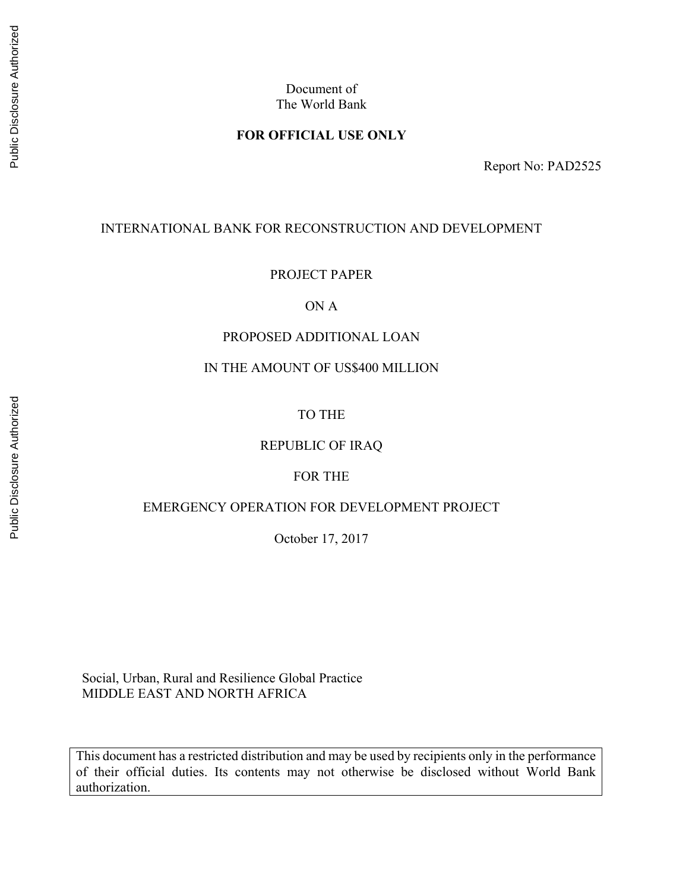Document of The World Bank

## **FOR OFFICIAL USE ONLY**

Report No: PAD2525

### INTERNATIONAL BANK FOR RECONSTRUCTION AND DEVELOPMENT

#### PROJECT PAPER

## ON A

## PROPOSED ADDITIONAL LOAN

## IN THE AMOUNT OF US\$400 MILLION

## TO THE

## REPUBLIC OF IRAQ

#### FOR THE

## EMERGENCY OPERATION FOR DEVELOPMENT PROJECT

October 17, 2017

 Social, Urban, Rural and Resilience Global Practice MIDDLE EAST AND NORTH AFRICA

This document has a restricted distribution and may be used by recipients only in the performance of their official duties. Its contents may not otherwise be disclosed without World Bank authorization.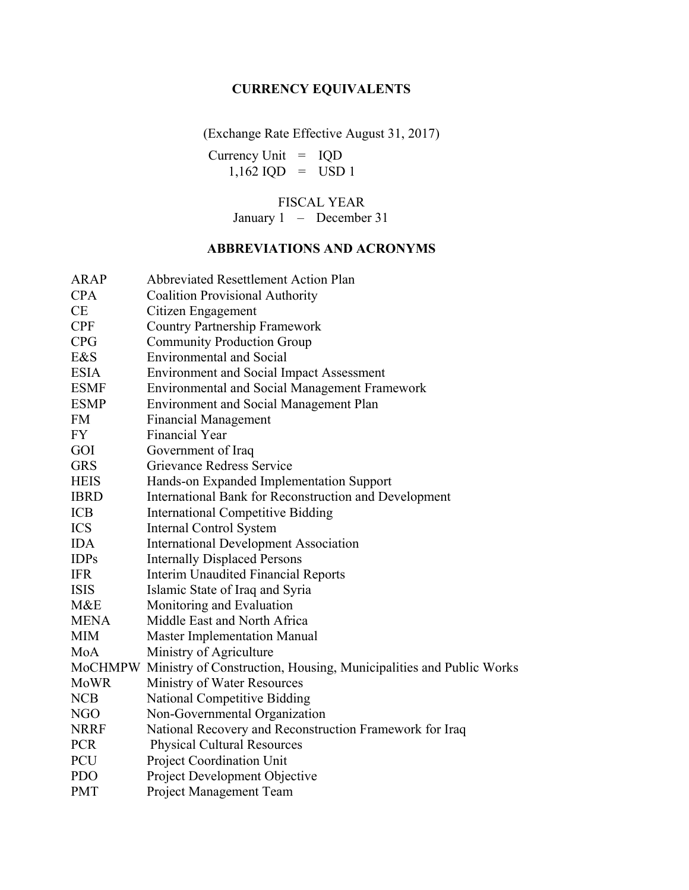## **CURRENCY EQUIVALENTS**

(Exchange Rate Effective August 31, 2017)

Currency Unit = IQD  $1,162$  IQD = USD 1

FISCAL YEAR

January 1 – December 31

## **ABBREVIATIONS AND ACRONYMS**

| <b>ARAP</b> | <b>Abbreviated Resettlement Action Plan</b>                                |
|-------------|----------------------------------------------------------------------------|
| <b>CPA</b>  | <b>Coalition Provisional Authority</b>                                     |
| CE          | Citizen Engagement                                                         |
| <b>CPF</b>  | <b>Country Partnership Framework</b>                                       |
| <b>CPG</b>  | <b>Community Production Group</b>                                          |
| E&S         | <b>Environmental and Social</b>                                            |
| <b>ESIA</b> | <b>Environment and Social Impact Assessment</b>                            |
| <b>ESMF</b> | <b>Environmental and Social Management Framework</b>                       |
| <b>ESMP</b> | <b>Environment and Social Management Plan</b>                              |
| <b>FM</b>   | <b>Financial Management</b>                                                |
| FY          | <b>Financial Year</b>                                                      |
| GOI         | Government of Iraq                                                         |
| <b>GRS</b>  | Grievance Redress Service                                                  |
| <b>HEIS</b> | Hands-on Expanded Implementation Support                                   |
| <b>IBRD</b> | International Bank for Reconstruction and Development                      |
| <b>ICB</b>  | <b>International Competitive Bidding</b>                                   |
| <b>ICS</b>  | Internal Control System                                                    |
| <b>IDA</b>  | <b>International Development Association</b>                               |
| <b>IDPs</b> | <b>Internally Displaced Persons</b>                                        |
| <b>IFR</b>  | Interim Unaudited Financial Reports                                        |
| <b>ISIS</b> | Islamic State of Iraq and Syria                                            |
| M&E         | Monitoring and Evaluation                                                  |
| <b>MENA</b> | Middle East and North Africa                                               |
| <b>MIM</b>  | <b>Master Implementation Manual</b>                                        |
| MoA         | Ministry of Agriculture                                                    |
|             | MoCHMPW Ministry of Construction, Housing, Municipalities and Public Works |
| MoWR        | Ministry of Water Resources                                                |
| <b>NCB</b>  | <b>National Competitive Bidding</b>                                        |
| <b>NGO</b>  | Non-Governmental Organization                                              |
| <b>NRRF</b> | National Recovery and Reconstruction Framework for Iraq                    |
| <b>PCR</b>  | <b>Physical Cultural Resources</b>                                         |
| PCU         | <b>Project Coordination Unit</b>                                           |
| <b>PDO</b>  | Project Development Objective                                              |
| <b>PMT</b>  | Project Management Team                                                    |
|             |                                                                            |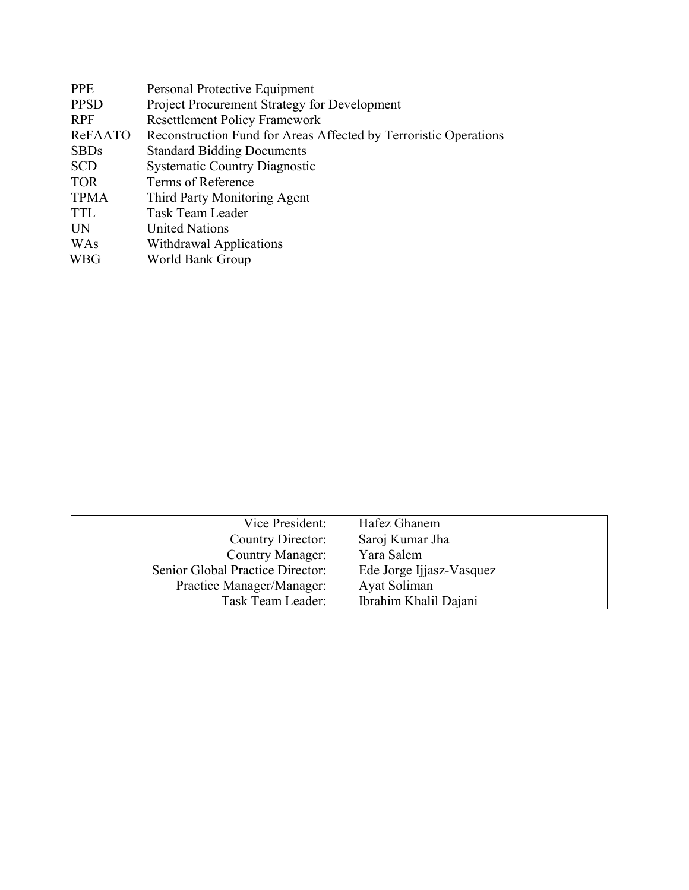| <b>PPE</b>  | Personal Protective Equipment                                    |
|-------------|------------------------------------------------------------------|
| <b>PPSD</b> | Project Procurement Strategy for Development                     |
| <b>RPF</b>  | <b>Resettlement Policy Framework</b>                             |
| ReFAATO     | Reconstruction Fund for Areas Affected by Terroristic Operations |
| <b>SBDs</b> | <b>Standard Bidding Documents</b>                                |
| <b>SCD</b>  | <b>Systematic Country Diagnostic</b>                             |
| <b>TOR</b>  | Terms of Reference                                               |
| <b>TPMA</b> | Third Party Monitoring Agent                                     |
| <b>TTL</b>  | Task Team Leader                                                 |
| <b>UN</b>   | <b>United Nations</b>                                            |
| WAs         | Withdrawal Applications                                          |
| WBG         | World Bank Group                                                 |
|             |                                                                  |

| Vice President:                  | Hafez Ghanem             |
|----------------------------------|--------------------------|
| Country Director:                | Saroj Kumar Jha          |
| <b>Country Manager:</b>          | Yara Salem               |
| Senior Global Practice Director: | Ede Jorge Ijjasz-Vasquez |
| Practice Manager/Manager:        | Ayat Soliman             |
| Task Team Leader:                | Ibrahim Khalil Dajani    |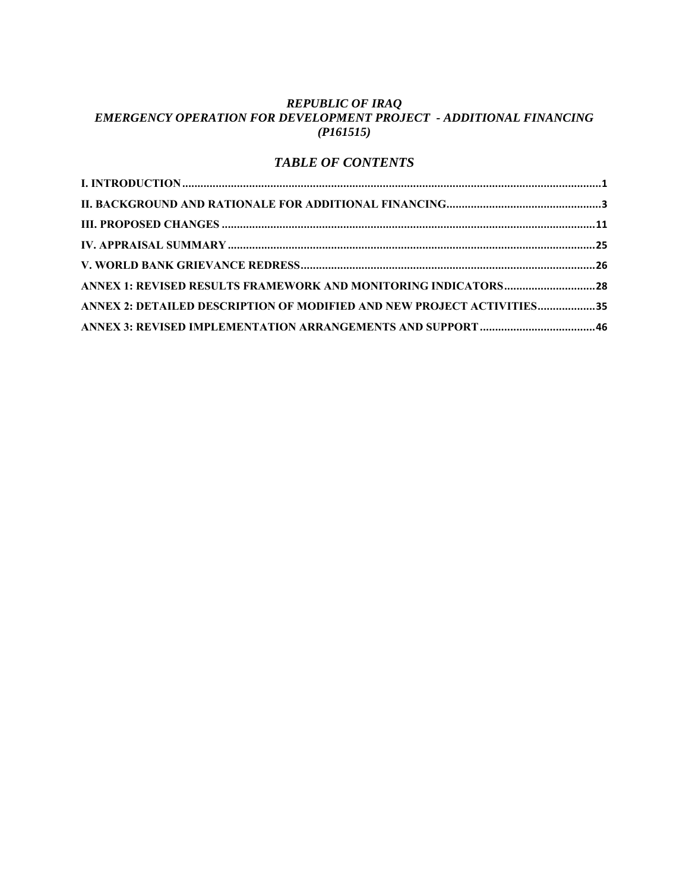#### *REPUBLIC OF IRAQ EMERGENCY OPERATION FOR DEVELOPMENT PROJECT - ADDITIONAL FINANCING (P161515)*

## *TABLE OF CONTENTS*

| ANNEX 1: REVISED RESULTS FRAMEWORK AND MONITORING INDICATORS 28        |  |
|------------------------------------------------------------------------|--|
| ANNEX 2: DETAILED DESCRIPTION OF MODIFIED AND NEW PROJECT ACTIVITIES35 |  |
|                                                                        |  |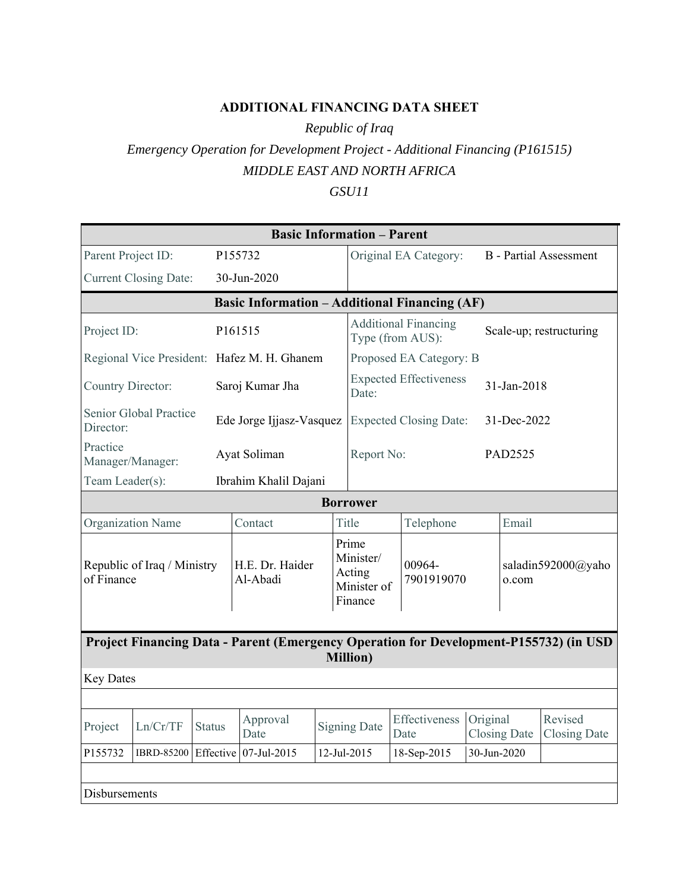## **ADDITIONAL FINANCING DATA SHEET**

*Republic of Iraq*

# *Emergency Operation for Development Project - Additional Financing (P161515) MIDDLE EAST AND NORTH AFRICA*

## *GSU11*

|                                                                                                           |                                             |               |                                                      |  | <b>Basic Information - Parent</b>                      |                                                 |                               |             |                     |                                |
|-----------------------------------------------------------------------------------------------------------|---------------------------------------------|---------------|------------------------------------------------------|--|--------------------------------------------------------|-------------------------------------------------|-------------------------------|-------------|---------------------|--------------------------------|
| Parent Project ID:                                                                                        |                                             |               | P155732                                              |  |                                                        |                                                 | Original EA Category:         |             |                     | <b>B</b> - Partial Assessment  |
|                                                                                                           | <b>Current Closing Date:</b><br>30-Jun-2020 |               |                                                      |  |                                                        |                                                 |                               |             |                     |                                |
|                                                                                                           |                                             |               | <b>Basic Information - Additional Financing (AF)</b> |  |                                                        |                                                 |                               |             |                     |                                |
| Project ID:                                                                                               |                                             |               | P161515                                              |  |                                                        | <b>Additional Financing</b><br>Type (from AUS): |                               |             |                     | Scale-up; restructuring        |
|                                                                                                           |                                             |               | Regional Vice President: Hafez M. H. Ghanem          |  |                                                        |                                                 | Proposed EA Category: B       |             |                     |                                |
| Country Director:                                                                                         |                                             |               | Saroj Kumar Jha                                      |  | Date:                                                  |                                                 | <b>Expected Effectiveness</b> |             | 31-Jan-2018         |                                |
| Director:                                                                                                 | Senior Global Practice                      |               | Ede Jorge Ijjasz-Vasquez                             |  |                                                        |                                                 | <b>Expected Closing Date:</b> |             | 31-Dec-2022         |                                |
| Practice<br>Manager/Manager:                                                                              |                                             |               | Ayat Soliman                                         |  |                                                        | Report No:                                      |                               |             | PAD2525             |                                |
| Team Leader(s):                                                                                           |                                             |               | Ibrahim Khalil Dajani                                |  |                                                        |                                                 |                               |             |                     |                                |
|                                                                                                           |                                             |               |                                                      |  | <b>Borrower</b>                                        |                                                 |                               |             |                     |                                |
| Organization Name                                                                                         |                                             |               | Contact                                              |  | Title                                                  |                                                 | Telephone                     |             | Email               |                                |
| Republic of Iraq / Ministry<br>of Finance                                                                 |                                             |               | H.E. Dr. Haider<br>Al-Abadi                          |  | Prime<br>Minister/<br>Acting<br>Minister of<br>Finance |                                                 | 00964-<br>7901919070          |             | o.com               | saladin592000@yaho             |
| Project Financing Data - Parent (Emergency Operation for Development-P155732) (in USD<br><b>Million</b> ) |                                             |               |                                                      |  |                                                        |                                                 |                               |             |                     |                                |
| <b>Key Dates</b>                                                                                          |                                             |               |                                                      |  |                                                        |                                                 |                               |             |                     |                                |
|                                                                                                           |                                             |               |                                                      |  |                                                        |                                                 |                               |             |                     |                                |
| Project                                                                                                   | Ln/Cr/TF                                    | <b>Status</b> | Approval<br>Date                                     |  | <b>Signing Date</b>                                    |                                                 | Effectiveness<br>Date         | Original    | <b>Closing Date</b> | Revised<br><b>Closing Date</b> |
| P155732                                                                                                   |                                             |               | IBRD-85200 Effective 07-Jul-2015                     |  | 12-Jul-2015                                            |                                                 | 18-Sep-2015                   | 30-Jun-2020 |                     |                                |
| Disbursements                                                                                             |                                             |               |                                                      |  |                                                        |                                                 |                               |             |                     |                                |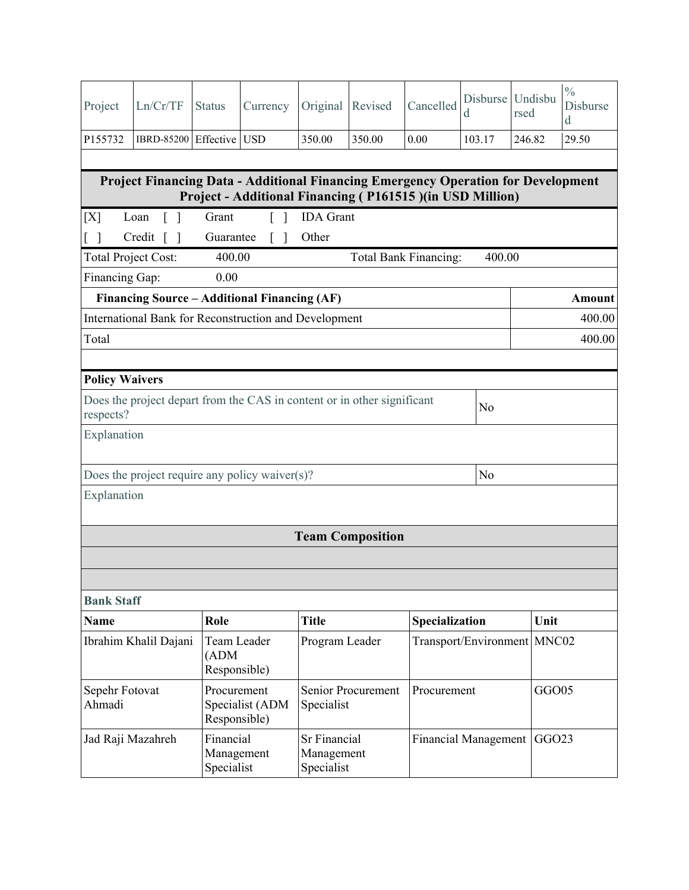| Project                                                                                                                                               | Ln/Cr/TF                                                                                                        | <b>Status</b>                         | Currency        | Original                                 | Revised                 | Cancelled             | Disburse<br>d               | Undisbu<br>rsed   | $\frac{0}{0}$<br>Disburse<br>d |
|-------------------------------------------------------------------------------------------------------------------------------------------------------|-----------------------------------------------------------------------------------------------------------------|---------------------------------------|-----------------|------------------------------------------|-------------------------|-----------------------|-----------------------------|-------------------|--------------------------------|
| P155732                                                                                                                                               | IBRD-85200 Effective USD                                                                                        |                                       |                 | 350.00                                   | 350.00                  | 0.00                  | 103.17                      | 246.82            | 29.50                          |
| <b>Project Financing Data - Additional Financing Emergency Operation for Development</b><br>Project - Additional Financing (P161515) (in USD Million) |                                                                                                                 |                                       |                 |                                          |                         |                       |                             |                   |                                |
| [X]                                                                                                                                                   | $\lceil \; \rceil$<br>Loan                                                                                      | Grant                                 |                 | <b>IDA</b> Grant                         |                         |                       |                             |                   |                                |
| Credit [ ]<br>Other<br>Guarantee<br>$\lceil$ $\rceil$<br>$\Box$                                                                                       |                                                                                                                 |                                       |                 |                                          |                         |                       |                             |                   |                                |
| <b>Total Project Cost:</b>                                                                                                                            |                                                                                                                 | 400.00                                |                 |                                          |                         | Total Bank Financing: | 400.00                      |                   |                                |
| Financing Gap:                                                                                                                                        |                                                                                                                 | 0.00                                  |                 |                                          |                         |                       |                             |                   |                                |
|                                                                                                                                                       | Financing Source – Additional Financing (AF)                                                                    |                                       |                 |                                          |                         |                       |                             |                   | Amount                         |
|                                                                                                                                                       | International Bank for Reconstruction and Development                                                           |                                       |                 |                                          |                         |                       |                             |                   | 400.00                         |
| Total                                                                                                                                                 |                                                                                                                 |                                       |                 |                                          |                         |                       |                             |                   | 400.00                         |
|                                                                                                                                                       | respects?<br>Explanation<br>N <sub>o</sub><br>Does the project require any policy waiver $(s)$ ?<br>Explanation |                                       |                 |                                          |                         |                       |                             |                   |                                |
|                                                                                                                                                       |                                                                                                                 |                                       |                 |                                          | <b>Team Composition</b> |                       |                             |                   |                                |
|                                                                                                                                                       |                                                                                                                 |                                       |                 |                                          |                         |                       |                             |                   |                                |
|                                                                                                                                                       |                                                                                                                 |                                       |                 |                                          |                         |                       |                             |                   |                                |
| <b>Bank Staff</b>                                                                                                                                     |                                                                                                                 |                                       |                 |                                          |                         |                       |                             |                   |                                |
| <b>Name</b>                                                                                                                                           |                                                                                                                 | Role                                  |                 | <b>Title</b>                             |                         | Specialization        |                             | Unit              |                                |
|                                                                                                                                                       | Ibrahim Khalil Dajani                                                                                           | Team Leader<br>(ADM)<br>Responsible)  |                 | Program Leader                           |                         |                       | Transport/Environment MNC02 |                   |                                |
| Sepehr Fotovat<br>Ahmadi                                                                                                                              |                                                                                                                 | Procurement<br>Responsible)           | Specialist (ADM | Specialist                               | Senior Procurement      | Procurement           |                             | GGO05             |                                |
| Jad Raji Mazahreh                                                                                                                                     |                                                                                                                 | Financial<br>Management<br>Specialist |                 | Sr Financial<br>Management<br>Specialist |                         |                       | <b>Financial Management</b> | GGO <sub>23</sub> |                                |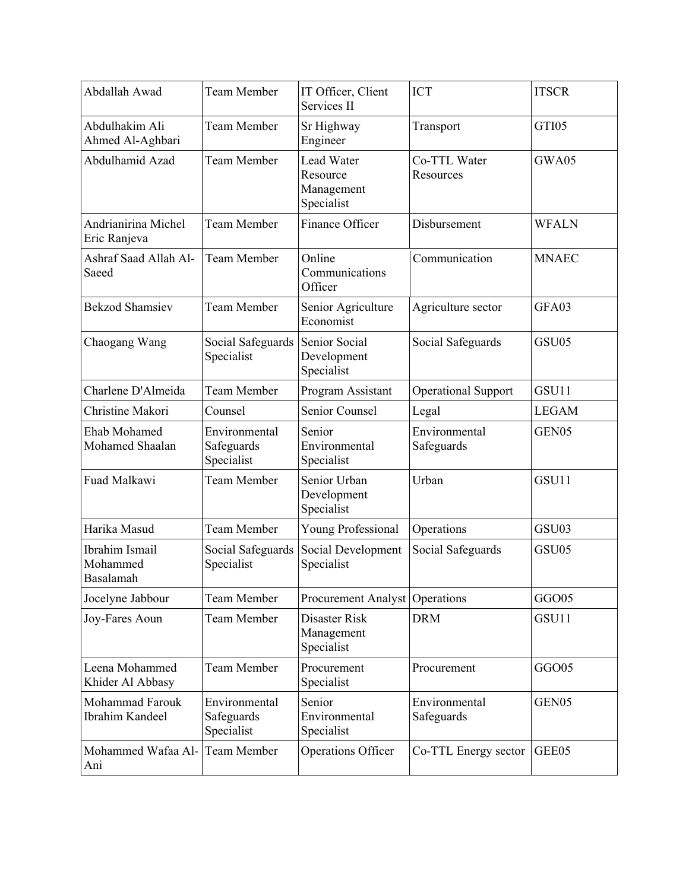| Abdallah Awad                           | <b>Team Member</b>                        | IT Officer, Client<br>Services II                  | <b>ICT</b>                  | <b>ITSCR</b>      |
|-----------------------------------------|-------------------------------------------|----------------------------------------------------|-----------------------------|-------------------|
| Abdulhakim Ali<br>Ahmed Al-Aghbari      | <b>Team Member</b>                        | Sr Highway<br>Engineer                             | Transport                   | GTI05             |
| Abdulhamid Azad                         | <b>Team Member</b>                        | Lead Water<br>Resource<br>Management<br>Specialist | Co-TTL Water<br>Resources   | GWA05             |
| Andrianirina Michel<br>Eric Ranjeva     | <b>Team Member</b>                        | Finance Officer                                    | Disbursement                | <b>WFALN</b>      |
| Ashraf Saad Allah Al-<br>Saeed          | <b>Team Member</b>                        | Online<br>Communications<br>Officer                | Communication               | <b>MNAEC</b>      |
| <b>Bekzod Shamsiev</b>                  | <b>Team Member</b>                        | Senior Agriculture<br>Economist                    | Agriculture sector          | GFA03             |
| Chaogang Wang                           | Social Safeguards<br>Specialist           | Senior Social<br>Development<br>Specialist         | Social Safeguards           | GSU05             |
| Charlene D'Almeida                      | <b>Team Member</b>                        | Program Assistant                                  | Operational Support         | GSU11             |
| Christine Makori                        | Counsel                                   | Senior Counsel                                     | Legal                       | <b>LEGAM</b>      |
| Ehab Mohamed<br>Mohamed Shaalan         | Environmental<br>Safeguards<br>Specialist | Senior<br>Environmental<br>Specialist              | Environmental<br>Safeguards | GEN05             |
| Fuad Malkawi                            | <b>Team Member</b>                        | Senior Urban<br>Development<br>Specialist          | Urban                       | GSU11             |
| Harika Masud                            | <b>Team Member</b>                        | Young Professional                                 | Operations                  | GSU03             |
| Ibrahim Ismail<br>Mohammed<br>Basalamah | Social Safeguards<br>Specialist           | Social Development<br>Specialist                   | Social Safeguards           | GSU05             |
| Jocelyne Jabbour                        | <b>Team Member</b>                        | Procurement Analyst Operations                     |                             | GGO05             |
| Joy-Fares Aoun                          | Team Member                               | Disaster Risk<br>Management<br>Specialist          | <b>DRM</b>                  | GSU11             |
| Leena Mohammed<br>Khider Al Abbasy      | <b>Team Member</b>                        | Procurement<br>Specialist                          | Procurement                 | GGO05             |
| Mohammad Farouk<br>Ibrahim Kandeel      | Environmental<br>Safeguards<br>Specialist | Senior<br>Environmental<br>Specialist              | Environmental<br>Safeguards | GEN <sub>05</sub> |
| Mohammed Wafaa Al-<br>Ani               | Team Member                               | <b>Operations Officer</b>                          | Co-TTL Energy sector        | GEE05             |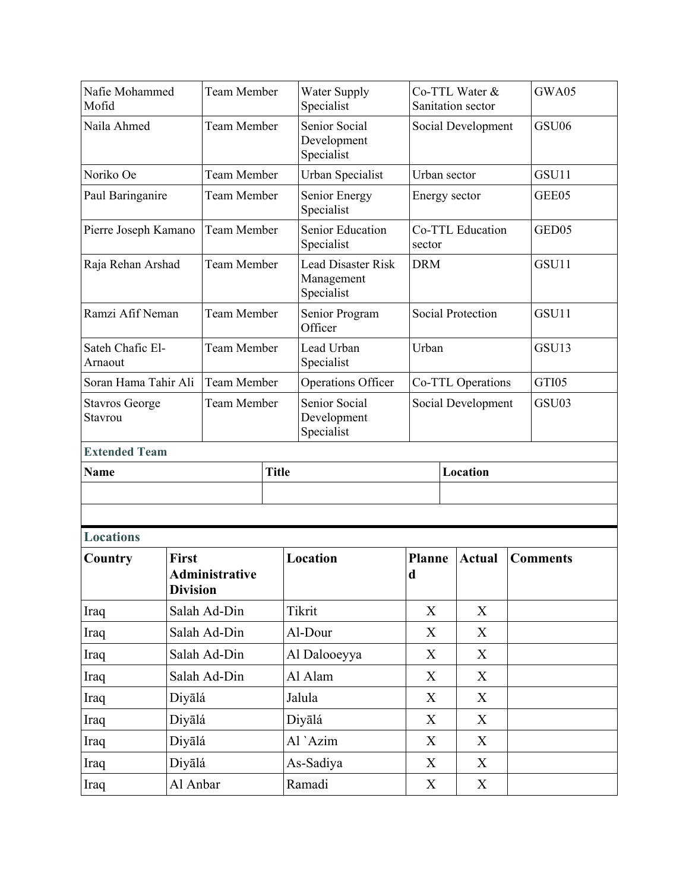| Nafie Mohammed<br>Mofid          |                                 | <b>Team Member</b> |              | <b>Water Supply</b><br>Specialist                     | Sanitation sector            | Co-TTL Water &    |  | GWA05           |
|----------------------------------|---------------------------------|--------------------|--------------|-------------------------------------------------------|------------------------------|-------------------|--|-----------------|
| Naila Ahmed                      |                                 | <b>Team Member</b> |              | Senior Social<br>Development<br>Specialist            | Social Development           |                   |  | GSU06           |
| Noriko Oe                        |                                 | <b>Team Member</b> |              | Urban Specialist                                      | Urban sector                 |                   |  | GSU11           |
| Paul Baringanire                 |                                 | Team Member        |              | Senior Energy<br>Specialist                           | Energy sector                |                   |  | GEE05           |
| Pierre Joseph Kamano             |                                 | <b>Team Member</b> |              | Senior Education<br>Specialist                        | sector                       | Co-TTL Education  |  | GED05           |
| Raja Rehan Arshad                |                                 | <b>Team Member</b> |              | <b>Lead Disaster Risk</b><br>Management<br>Specialist | <b>DRM</b>                   |                   |  | GSU11           |
| Ramzi Afif Neman                 |                                 | <b>Team Member</b> |              | Senior Program<br>Officer                             | <b>Social Protection</b>     |                   |  | GSU11           |
| Sateh Chafic El-<br>Arnaout      |                                 | <b>Team Member</b> |              | Lead Urban<br>Specialist                              | Urban                        |                   |  | GSU13           |
| Soran Hama Tahir Ali             |                                 | <b>Team Member</b> |              | Operations Officer                                    |                              | Co-TTL Operations |  | GTI05           |
| <b>Stavros George</b><br>Stavrou |                                 | <b>Team Member</b> |              | Senior Social<br>Development<br>Specialist            | Social Development           |                   |  | GSU03           |
| <b>Extended Team</b>             |                                 |                    |              |                                                       |                              |                   |  |                 |
| <b>Name</b>                      |                                 |                    | <b>Title</b> |                                                       |                              | Location          |  |                 |
|                                  |                                 |                    |              |                                                       |                              |                   |  |                 |
|                                  |                                 |                    |              |                                                       |                              |                   |  |                 |
| <b>Locations</b>                 |                                 |                    |              |                                                       |                              |                   |  |                 |
| Country                          | <b>First</b><br><b>Division</b> | Administrative     |              | Location                                              | <b>Planne</b><br>$\mathbf d$ | <b>Actual</b>     |  | <b>Comments</b> |
|                                  |                                 | Salah Ad-Din       |              | Tikrit                                                | X                            | $\boldsymbol{X}$  |  |                 |
| Iraq<br>Iraq                     |                                 | Salah Ad-Din       |              | Al-Dour                                               | X                            | X                 |  |                 |
| Iraq                             |                                 | Salah Ad-Din       |              | Al Dalooeyya                                          | X                            | X                 |  |                 |
| Iraq                             |                                 | Salah Ad-Din       |              | Al Alam                                               | X                            | X                 |  |                 |
| Iraq                             | Diyālá                          |                    |              | Jalula                                                | X                            | X                 |  |                 |
| Iraq                             | Diyālá                          |                    |              | Diyālá                                                | X                            | X                 |  |                 |
| Iraq                             | Diyālá                          |                    |              | Al `Azim                                              | X                            | X                 |  |                 |
| Iraq                             | Diyālá                          |                    |              | As-Sadiya                                             | X                            | X                 |  |                 |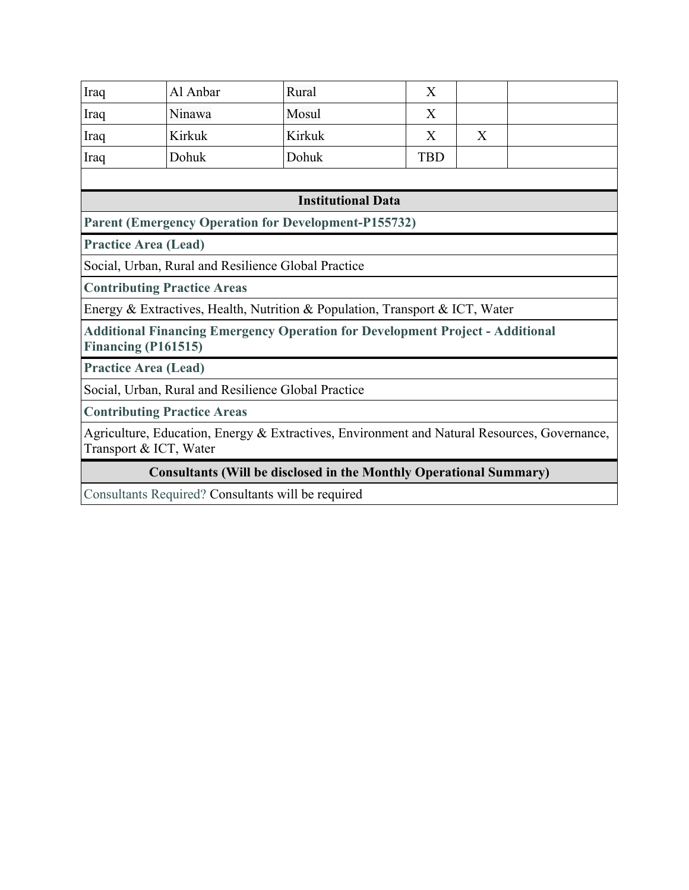| Iraq                                                                                                                   | Al Anbar                                                | Rural                                                                        | X          |   |  |  |  |
|------------------------------------------------------------------------------------------------------------------------|---------------------------------------------------------|------------------------------------------------------------------------------|------------|---|--|--|--|
| Iraq                                                                                                                   | Ninawa                                                  | Mosul                                                                        | X          |   |  |  |  |
| Iraq                                                                                                                   | Kirkuk                                                  | Kirkuk                                                                       | X          | X |  |  |  |
| Iraq                                                                                                                   | Dohuk                                                   | Dohuk                                                                        | <b>TBD</b> |   |  |  |  |
|                                                                                                                        |                                                         |                                                                              |            |   |  |  |  |
| <b>Institutional Data</b>                                                                                              |                                                         |                                                                              |            |   |  |  |  |
|                                                                                                                        |                                                         | <b>Parent (Emergency Operation for Development-P155732)</b>                  |            |   |  |  |  |
| <b>Practice Area (Lead)</b>                                                                                            |                                                         |                                                                              |            |   |  |  |  |
|                                                                                                                        |                                                         | Social, Urban, Rural and Resilience Global Practice                          |            |   |  |  |  |
|                                                                                                                        | <b>Contributing Practice Areas</b>                      |                                                                              |            |   |  |  |  |
|                                                                                                                        |                                                         | Energy & Extractives, Health, Nutrition & Population, Transport & ICT, Water |            |   |  |  |  |
| <b>Additional Financing Emergency Operation for Development Project - Additional</b><br>Financing (P161515)            |                                                         |                                                                              |            |   |  |  |  |
| <b>Practice Area (Lead)</b>                                                                                            |                                                         |                                                                              |            |   |  |  |  |
|                                                                                                                        |                                                         | Social, Urban, Rural and Resilience Global Practice                          |            |   |  |  |  |
|                                                                                                                        | <b>Contributing Practice Areas</b>                      |                                                                              |            |   |  |  |  |
| Agriculture, Education, Energy & Extractives, Environment and Natural Resources, Governance,<br>Transport & ICT, Water |                                                         |                                                                              |            |   |  |  |  |
|                                                                                                                        |                                                         | <b>Consultants (Will be disclosed in the Monthly Operational Summary)</b>    |            |   |  |  |  |
|                                                                                                                        | $\sim$ $\sim$ $\sim$ $\sim$ $\sim$ $\sim$ $\sim$ $\sim$ | 1111                                                                         |            |   |  |  |  |

Consultants Required? Consultants will be required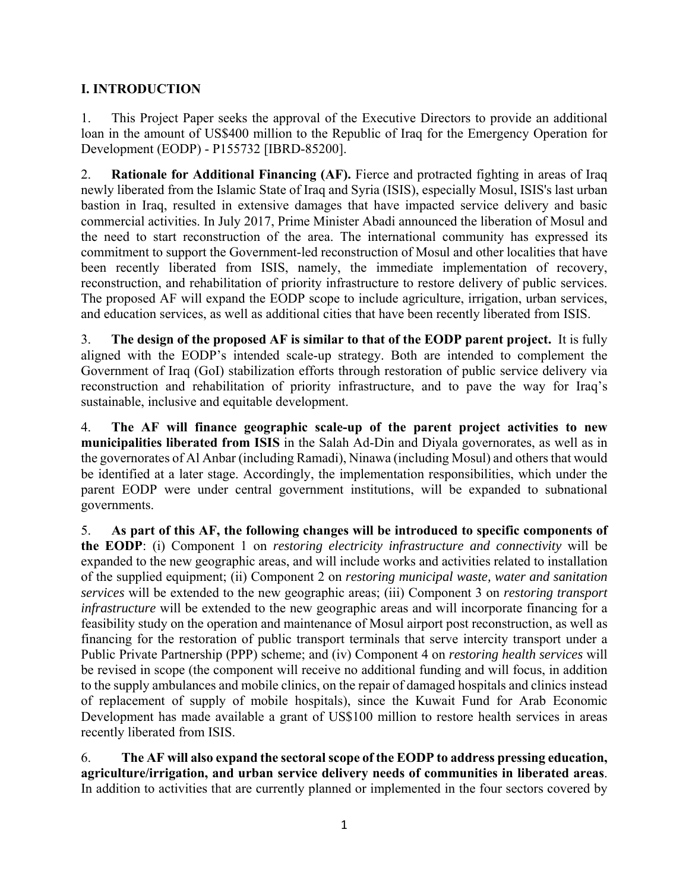## **I. INTRODUCTION**

1. This Project Paper seeks the approval of the Executive Directors to provide an additional loan in the amount of US\$400 million to the Republic of Iraq for the Emergency Operation for Development (EODP) - P155732 [IBRD-85200].

2. **Rationale for Additional Financing (AF).** Fierce and protracted fighting in areas of Iraq newly liberated from the Islamic State of Iraq and Syria (ISIS), especially Mosul, ISIS's last urban bastion in Iraq, resulted in extensive damages that have impacted service delivery and basic commercial activities. In July 2017, Prime Minister Abadi announced the liberation of Mosul and the need to start reconstruction of the area. The international community has expressed its commitment to support the Government-led reconstruction of Mosul and other localities that have been recently liberated from ISIS, namely, the immediate implementation of recovery, reconstruction, and rehabilitation of priority infrastructure to restore delivery of public services. The proposed AF will expand the EODP scope to include agriculture, irrigation, urban services, and education services, as well as additional cities that have been recently liberated from ISIS.

3. **The design of the proposed AF is similar to that of the EODP parent project.** It is fully aligned with the EODP's intended scale-up strategy. Both are intended to complement the Government of Iraq (GoI) stabilization efforts through restoration of public service delivery via reconstruction and rehabilitation of priority infrastructure, and to pave the way for Iraq's sustainable, inclusive and equitable development.

4. **The AF will finance geographic scale-up of the parent project activities to new municipalities liberated from ISIS** in the Salah Ad-Din and Diyala governorates, as well as in the governorates of Al Anbar (including Ramadi), Ninawa (including Mosul) and others that would be identified at a later stage. Accordingly, the implementation responsibilities, which under the parent EODP were under central government institutions, will be expanded to subnational governments.

5. **As part of this AF, the following changes will be introduced to specific components of the EODP**: (i) Component 1 on *restoring electricity infrastructure and connectivity* will be expanded to the new geographic areas, and will include works and activities related to installation of the supplied equipment; (ii) Component 2 on *restoring municipal waste, water and sanitation services* will be extended to the new geographic areas; (iii) Component 3 on *restoring transport infrastructure* will be extended to the new geographic areas and will incorporate financing for a feasibility study on the operation and maintenance of Mosul airport post reconstruction, as well as financing for the restoration of public transport terminals that serve intercity transport under a Public Private Partnership (PPP) scheme; and (iv) Component 4 on *restoring health services* will be revised in scope (the component will receive no additional funding and will focus, in addition to the supply ambulances and mobile clinics, on the repair of damaged hospitals and clinics instead of replacement of supply of mobile hospitals), since the Kuwait Fund for Arab Economic Development has made available a grant of US\$100 million to restore health services in areas recently liberated from ISIS.

6. **The AF will also expand the sectoral scope of the EODP to address pressing education, agriculture/irrigation, and urban service delivery needs of communities in liberated areas**. In addition to activities that are currently planned or implemented in the four sectors covered by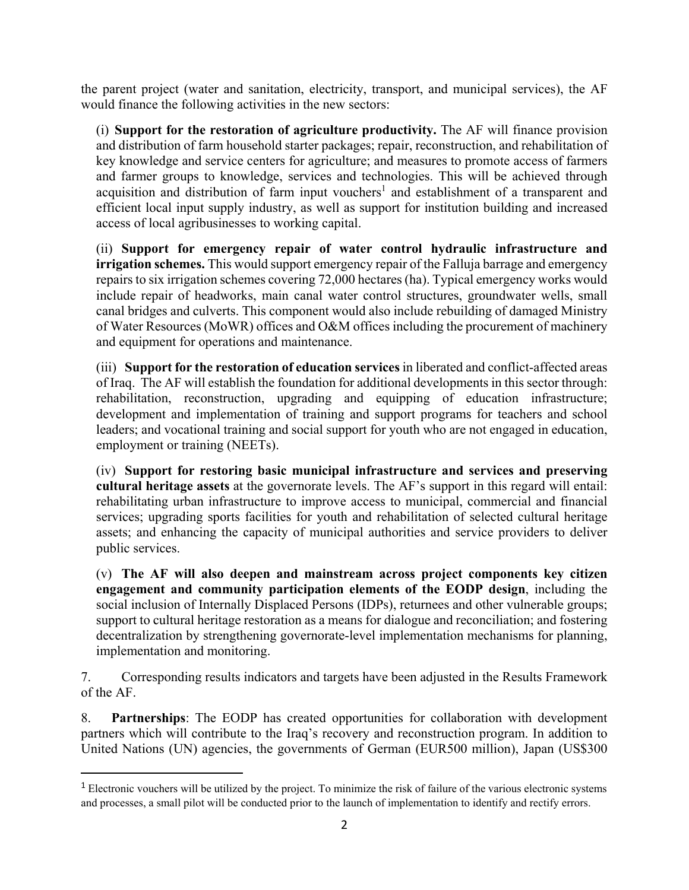the parent project (water and sanitation, electricity, transport, and municipal services), the AF would finance the following activities in the new sectors:

(i) **Support for the restoration of agriculture productivity.** The AF will finance provision and distribution of farm household starter packages; repair, reconstruction, and rehabilitation of key knowledge and service centers for agriculture; and measures to promote access of farmers and farmer groups to knowledge, services and technologies. This will be achieved through acquisition and distribution of farm input vouchers<sup>1</sup> and establishment of a transparent and efficient local input supply industry, as well as support for institution building and increased access of local agribusinesses to working capital.

(ii) **Support for emergency repair of water control hydraulic infrastructure and irrigation schemes.** This would support emergency repair of the Falluja barrage and emergency repairs to six irrigation schemes covering 72,000 hectares (ha). Typical emergency works would include repair of headworks, main canal water control structures, groundwater wells, small canal bridges and culverts. This component would also include rebuilding of damaged Ministry of Water Resources (MoWR) offices and O&M offices including the procurement of machinery and equipment for operations and maintenance.

(iii) **Support for the restoration of education services** in liberated and conflict-affected areas of Iraq. The AF will establish the foundation for additional developments in this sector through: rehabilitation, reconstruction, upgrading and equipping of education infrastructure; development and implementation of training and support programs for teachers and school leaders; and vocational training and social support for youth who are not engaged in education, employment or training (NEETs).

(iv) **Support for restoring basic municipal infrastructure and services and preserving cultural heritage assets** at the governorate levels. The AF's support in this regard will entail: rehabilitating urban infrastructure to improve access to municipal, commercial and financial services; upgrading sports facilities for youth and rehabilitation of selected cultural heritage assets; and enhancing the capacity of municipal authorities and service providers to deliver public services.

(v) **The AF will also deepen and mainstream across project components key citizen engagement and community participation elements of the EODP design**, including the social inclusion of Internally Displaced Persons (IDPs), returnees and other vulnerable groups; support to cultural heritage restoration as a means for dialogue and reconciliation; and fostering decentralization by strengthening governorate-level implementation mechanisms for planning, implementation and monitoring.

7. Corresponding results indicators and targets have been adjusted in the Results Framework of the AF.

8. **Partnerships**: The EODP has created opportunities for collaboration with development partners which will contribute to the Iraq's recovery and reconstruction program. In addition to United Nations (UN) agencies, the governments of German (EUR500 million), Japan (US\$300

 $<sup>1</sup>$  Electronic vouchers will be utilized by the project. To minimize the risk of failure of the various electronic systems</sup> and processes, a small pilot will be conducted prior to the launch of implementation to identify and rectify errors.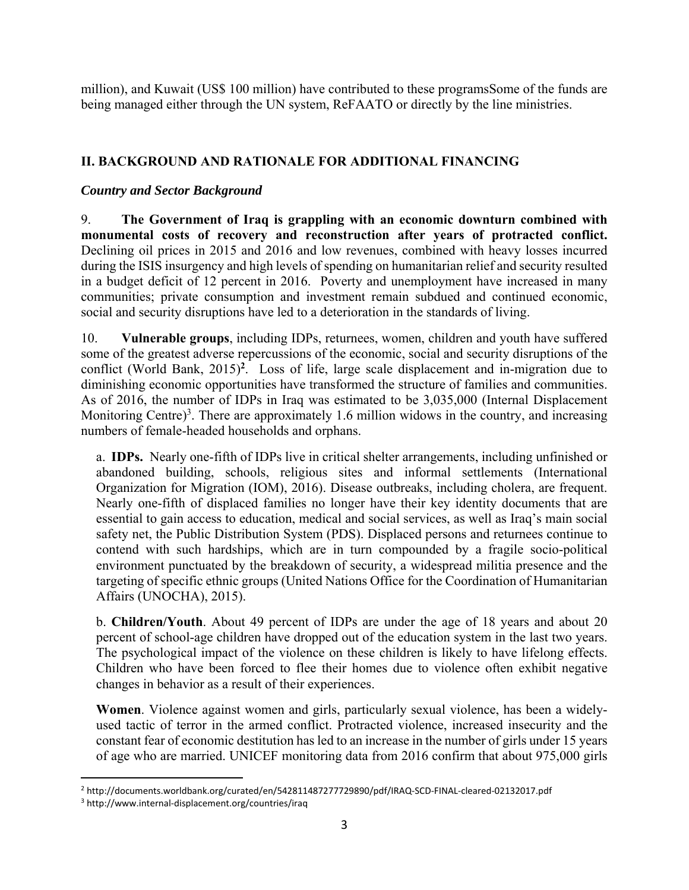million), and Kuwait (US\$ 100 million) have contributed to these programsSome of the funds are being managed either through the UN system, ReFAATO or directly by the line ministries.

## **II. BACKGROUND AND RATIONALE FOR ADDITIONAL FINANCING**

## *Country and Sector Background*

9. **The Government of Iraq is grappling with an economic downturn combined with monumental costs of recovery and reconstruction after years of protracted conflict.** Declining oil prices in 2015 and 2016 and low revenues, combined with heavy losses incurred during the ISIS insurgency and high levels of spending on humanitarian relief and security resulted in a budget deficit of 12 percent in 2016. Poverty and unemployment have increased in many communities; private consumption and investment remain subdued and continued economic, social and security disruptions have led to a deterioration in the standards of living.

10. **Vulnerable groups**, including IDPs, returnees, women, children and youth have suffered some of the greatest adverse repercussions of the economic, social and security disruptions of the conflict (World Bank, 2015)**<sup>2</sup>**. Loss of life, large scale displacement and in-migration due to diminishing economic opportunities have transformed the structure of families and communities. As of 2016, the number of IDPs in Iraq was estimated to be 3,035,000 (Internal Displacement Monitoring Centre)<sup>3</sup>. There are approximately 1.6 million widows in the country, and increasing numbers of female-headed households and orphans.

a. **IDPs.** Nearly one-fifth of IDPs live in critical shelter arrangements, including unfinished or abandoned building, schools, religious sites and informal settlements (International Organization for Migration (IOM), 2016). Disease outbreaks, including cholera, are frequent. Nearly one-fifth of displaced families no longer have their key identity documents that are essential to gain access to education, medical and social services, as well as Iraq's main social safety net, the Public Distribution System (PDS). Displaced persons and returnees continue to contend with such hardships, which are in turn compounded by a fragile socio-political environment punctuated by the breakdown of security, a widespread militia presence and the targeting of specific ethnic groups (United Nations Office for the Coordination of Humanitarian Affairs (UNOCHA), 2015).

b. **Children/Youth**. About 49 percent of IDPs are under the age of 18 years and about 20 percent of school-age children have dropped out of the education system in the last two years. The psychological impact of the violence on these children is likely to have lifelong effects. Children who have been forced to flee their homes due to violence often exhibit negative changes in behavior as a result of their experiences.

**Women**. Violence against women and girls, particularly sexual violence, has been a widelyused tactic of terror in the armed conflict. Protracted violence, increased insecurity and the constant fear of economic destitution has led to an increase in the number of girls under 15 years of age who are married. UNICEF monitoring data from 2016 confirm that about 975,000 girls

 2 http://documents.worldbank.org/curated/en/542811487277729890/pdf/IRAQ‐SCD‐FINAL‐cleared‐02132017.pdf

<sup>3</sup> http://www.internal‐displacement.org/countries/iraq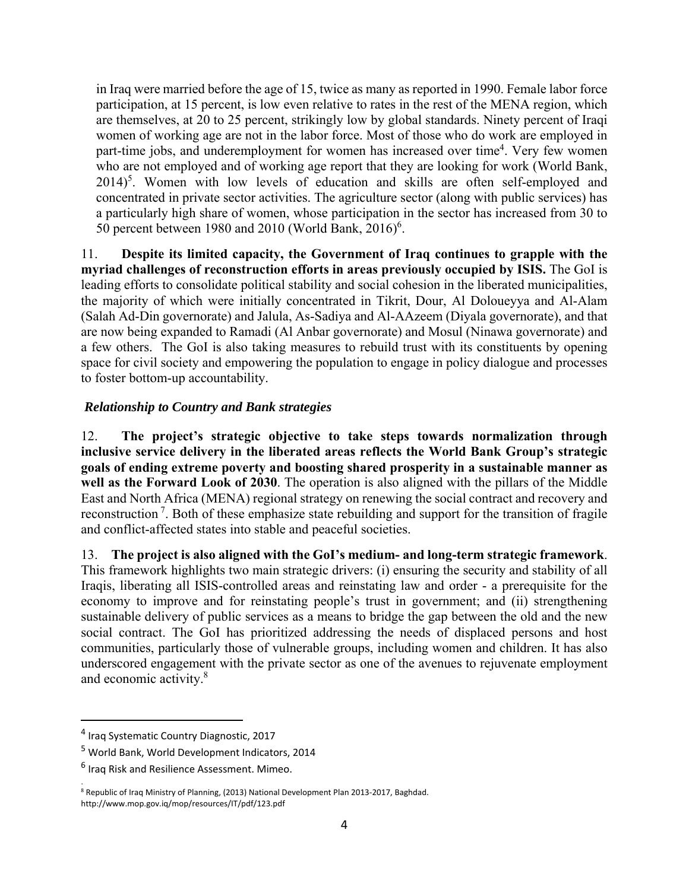in Iraq were married before the age of 15, twice as many as reported in 1990. Female labor force participation, at 15 percent, is low even relative to rates in the rest of the MENA region, which are themselves, at 20 to 25 percent, strikingly low by global standards. Ninety percent of Iraqi women of working age are not in the labor force. Most of those who do work are employed in part-time jobs, and underemployment for women has increased over time<sup>4</sup>. Very few women who are not employed and of working age report that they are looking for work (World Bank, 2014)<sup>5</sup>. Women with low levels of education and skills are often self-employed and concentrated in private sector activities. The agriculture sector (along with public services) has a particularly high share of women, whose participation in the sector has increased from 30 to 50 percent between 1980 and 2010 (World Bank,  $2016$ <sup>6</sup>.

11. **Despite its limited capacity, the Government of Iraq continues to grapple with the myriad challenges of reconstruction efforts in areas previously occupied by ISIS.** The GoI is leading efforts to consolidate political stability and social cohesion in the liberated municipalities, the majority of which were initially concentrated in Tikrit, Dour, Al Doloueyya and Al-Alam (Salah Ad-Din governorate) and Jalula, As-Sadiya and Al-AAzeem (Diyala governorate), and that are now being expanded to Ramadi (Al Anbar governorate) and Mosul (Ninawa governorate) and a few others. The GoI is also taking measures to rebuild trust with its constituents by opening space for civil society and empowering the population to engage in policy dialogue and processes to foster bottom-up accountability.

## *Relationship to Country and Bank strategies*

12. **The project's strategic objective to take steps towards normalization through inclusive service delivery in the liberated areas reflects the World Bank Group's strategic goals of ending extreme poverty and boosting shared prosperity in a sustainable manner as well as the Forward Look of 2030**. The operation is also aligned with the pillars of the Middle East and North Africa (MENA) regional strategy on renewing the social contract and recovery and reconstruction 7. Both of these emphasize state rebuilding and support for the transition of fragile and conflict-affected states into stable and peaceful societies.

13. **The project is also aligned with the GoI's medium- and long-term strategic framework**. This framework highlights two main strategic drivers: (i) ensuring the security and stability of all Iraqis, liberating all ISIS-controlled areas and reinstating law and order - a prerequisite for the economy to improve and for reinstating people's trust in government; and (ii) strengthening sustainable delivery of public services as a means to bridge the gap between the old and the new social contract. The GoI has prioritized addressing the needs of displaced persons and host communities, particularly those of vulnerable groups, including women and children. It has also underscored engagement with the private sector as one of the avenues to rejuvenate employment and economic activity.<sup>8</sup>

<sup>4</sup> Iraq Systematic Country Diagnostic, 2017

<sup>&</sup>lt;sup>5</sup> World Bank, World Development Indicators, 2014

<sup>&</sup>lt;sup>6</sup> Iraq Risk and Resilience Assessment. Mimeo.

<sup>.&</sup>lt;br><sup>8</sup> Republic of Iraq Ministry of Planning, (2013) National Development Plan 2013-2017, Baghdad. http://www.mop.gov.iq/mop/resources/IT/pdf/123.pdf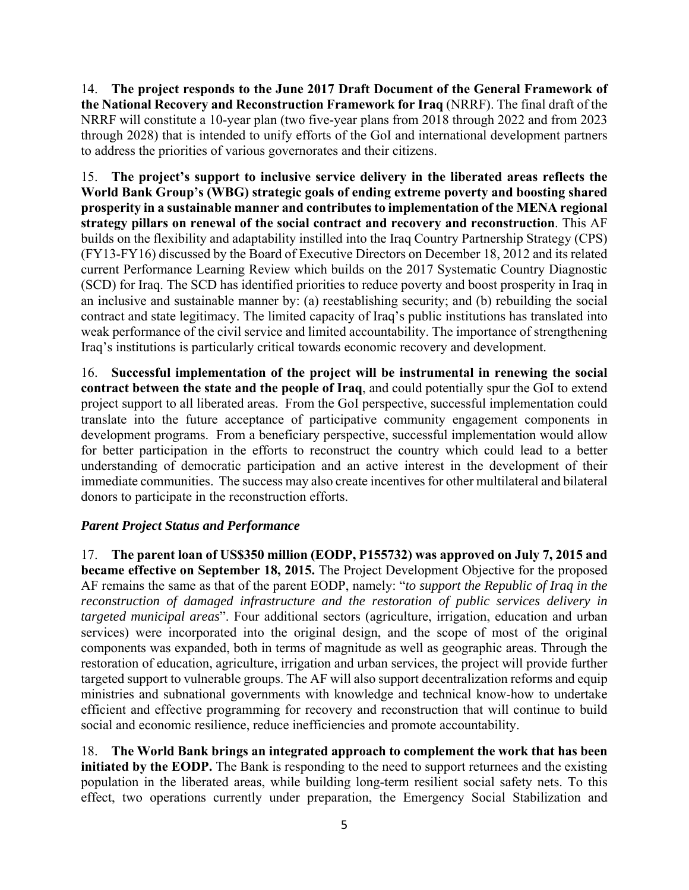14. **The project responds to the June 2017 Draft Document of the General Framework of the National Recovery and Reconstruction Framework for Iraq** (NRRF). The final draft of the NRRF will constitute a 10-year plan (two five-year plans from 2018 through 2022 and from 2023 through 2028) that is intended to unify efforts of the GoI and international development partners to address the priorities of various governorates and their citizens.

15. **The project's support to inclusive service delivery in the liberated areas reflects the World Bank Group's (WBG) strategic goals of ending extreme poverty and boosting shared prosperity in a sustainable manner and contributes to implementation of the MENA regional strategy pillars on renewal of the social contract and recovery and reconstruction**. This AF builds on the flexibility and adaptability instilled into the Iraq Country Partnership Strategy (CPS) (FY13-FY16) discussed by the Board of Executive Directors on December 18, 2012 and its related current Performance Learning Review which builds on the 2017 Systematic Country Diagnostic (SCD) for Iraq. The SCD has identified priorities to reduce poverty and boost prosperity in Iraq in an inclusive and sustainable manner by: (a) reestablishing security; and (b) rebuilding the social contract and state legitimacy. The limited capacity of Iraq's public institutions has translated into weak performance of the civil service and limited accountability. The importance of strengthening Iraq's institutions is particularly critical towards economic recovery and development.

16. **Successful implementation of the project will be instrumental in renewing the social contract between the state and the people of Iraq**, and could potentially spur the GoI to extend project support to all liberated areas. From the GoI perspective, successful implementation could translate into the future acceptance of participative community engagement components in development programs. From a beneficiary perspective, successful implementation would allow for better participation in the efforts to reconstruct the country which could lead to a better understanding of democratic participation and an active interest in the development of their immediate communities. The success may also create incentives for other multilateral and bilateral donors to participate in the reconstruction efforts.

## *Parent Project Status and Performance*

17. **The parent loan of US\$350 million (EODP, P155732) was approved on July 7, 2015 and became effective on September 18, 2015.** The Project Development Objective for the proposed AF remains the same as that of the parent EODP, namely: "*to support the Republic of Iraq in the reconstruction of damaged infrastructure and the restoration of public services delivery in targeted municipal areas*". Four additional sectors (agriculture, irrigation, education and urban services) were incorporated into the original design, and the scope of most of the original components was expanded, both in terms of magnitude as well as geographic areas. Through the restoration of education, agriculture, irrigation and urban services, the project will provide further targeted support to vulnerable groups. The AF will also support decentralization reforms and equip ministries and subnational governments with knowledge and technical know-how to undertake efficient and effective programming for recovery and reconstruction that will continue to build social and economic resilience, reduce inefficiencies and promote accountability.

18. **The World Bank brings an integrated approach to complement the work that has been initiated by the EODP.** The Bank is responding to the need to support returnees and the existing population in the liberated areas, while building long-term resilient social safety nets. To this effect, two operations currently under preparation, the Emergency Social Stabilization and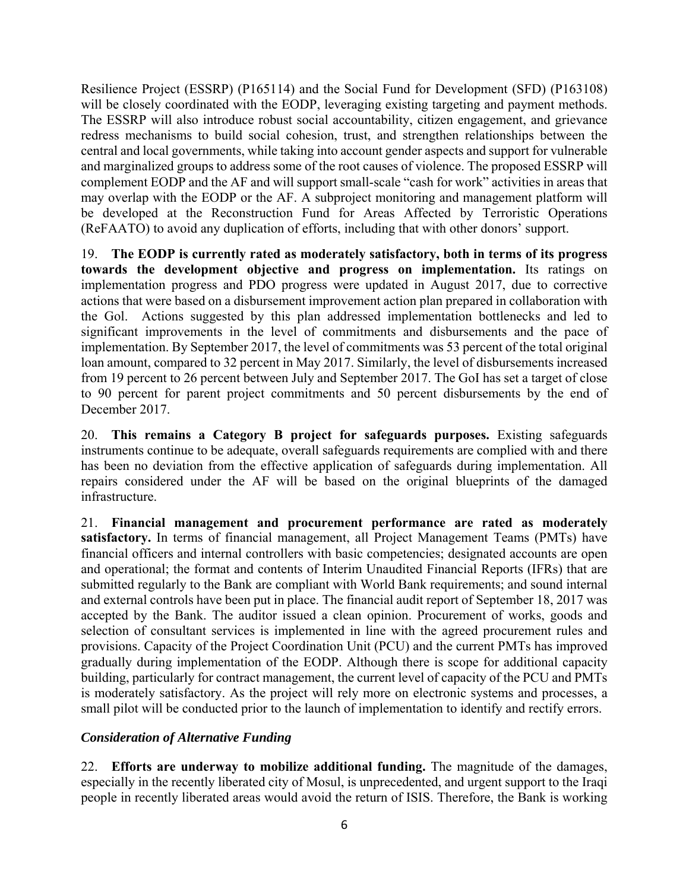Resilience Project (ESSRP) (P165114) and the Social Fund for Development (SFD) (P163108) will be closely coordinated with the EODP, leveraging existing targeting and payment methods. The ESSRP will also introduce robust social accountability, citizen engagement, and grievance redress mechanisms to build social cohesion, trust, and strengthen relationships between the central and local governments, while taking into account gender aspects and support for vulnerable and marginalized groups to address some of the root causes of violence. The proposed ESSRP will complement EODP and the AF and will support small-scale "cash for work" activities in areas that may overlap with the EODP or the AF. A subproject monitoring and management platform will be developed at the Reconstruction Fund for Areas Affected by Terroristic Operations (ReFAATO) to avoid any duplication of efforts, including that with other donors' support.

19. **The EODP is currently rated as moderately satisfactory, both in terms of its progress towards the development objective and progress on implementation.** Its ratings on implementation progress and PDO progress were updated in August 2017, due to corrective actions that were based on a disbursement improvement action plan prepared in collaboration with the Gol. Actions suggested by this plan addressed implementation bottlenecks and led to significant improvements in the level of commitments and disbursements and the pace of implementation. By September 2017, the level of commitments was 53 percent of the total original loan amount, compared to 32 percent in May 2017. Similarly, the level of disbursements increased from 19 percent to 26 percent between July and September 2017. The GoI has set a target of close to 90 percent for parent project commitments and 50 percent disbursements by the end of December 2017.

20. **This remains a Category B project for safeguards purposes.** Existing safeguards instruments continue to be adequate, overall safeguards requirements are complied with and there has been no deviation from the effective application of safeguards during implementation. All repairs considered under the AF will be based on the original blueprints of the damaged infrastructure.

21. **Financial management and procurement performance are rated as moderately satisfactory.** In terms of financial management, all Project Management Teams (PMTs) have financial officers and internal controllers with basic competencies; designated accounts are open and operational; the format and contents of Interim Unaudited Financial Reports (IFRs) that are submitted regularly to the Bank are compliant with World Bank requirements; and sound internal and external controls have been put in place. The financial audit report of September 18, 2017 was accepted by the Bank. The auditor issued a clean opinion. Procurement of works, goods and selection of consultant services is implemented in line with the agreed procurement rules and provisions. Capacity of the Project Coordination Unit (PCU) and the current PMTs has improved gradually during implementation of the EODP. Although there is scope for additional capacity building, particularly for contract management, the current level of capacity of the PCU and PMTs is moderately satisfactory. As the project will rely more on electronic systems and processes, a small pilot will be conducted prior to the launch of implementation to identify and rectify errors.

## *Consideration of Alternative Funding*

22. **Efforts are underway to mobilize additional funding.** The magnitude of the damages, especially in the recently liberated city of Mosul, is unprecedented, and urgent support to the Iraqi people in recently liberated areas would avoid the return of ISIS. Therefore, the Bank is working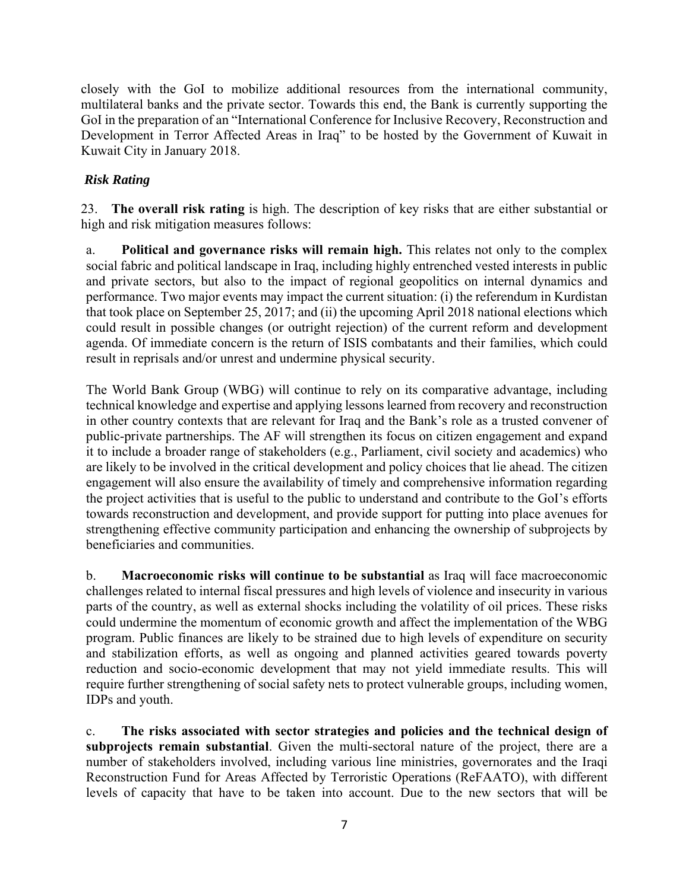closely with the GoI to mobilize additional resources from the international community, multilateral banks and the private sector. Towards this end, the Bank is currently supporting the GoI in the preparation of an "International Conference for Inclusive Recovery, Reconstruction and Development in Terror Affected Areas in Iraq" to be hosted by the Government of Kuwait in Kuwait City in January 2018.

## *Risk Rating*

23. **The overall risk rating** is high. The description of key risks that are either substantial or high and risk mitigation measures follows:

a. **Political and governance risks will remain high.** This relates not only to the complex social fabric and political landscape in Iraq, including highly entrenched vested interests in public and private sectors, but also to the impact of regional geopolitics on internal dynamics and performance. Two major events may impact the current situation: (i) the referendum in Kurdistan that took place on September 25, 2017; and (ii) the upcoming April 2018 national elections which could result in possible changes (or outright rejection) of the current reform and development agenda. Of immediate concern is the return of ISIS combatants and their families, which could result in reprisals and/or unrest and undermine physical security.

The World Bank Group (WBG) will continue to rely on its comparative advantage, including technical knowledge and expertise and applying lessons learned from recovery and reconstruction in other country contexts that are relevant for Iraq and the Bank's role as a trusted convener of public-private partnerships. The AF will strengthen its focus on citizen engagement and expand it to include a broader range of stakeholders (e.g., Parliament, civil society and academics) who are likely to be involved in the critical development and policy choices that lie ahead. The citizen engagement will also ensure the availability of timely and comprehensive information regarding the project activities that is useful to the public to understand and contribute to the GoI's efforts towards reconstruction and development, and provide support for putting into place avenues for strengthening effective community participation and enhancing the ownership of subprojects by beneficiaries and communities.

b. **Macroeconomic risks will continue to be substantial** as Iraq will face macroeconomic challenges related to internal fiscal pressures and high levels of violence and insecurity in various parts of the country, as well as external shocks including the volatility of oil prices. These risks could undermine the momentum of economic growth and affect the implementation of the WBG program. Public finances are likely to be strained due to high levels of expenditure on security and stabilization efforts, as well as ongoing and planned activities geared towards poverty reduction and socio-economic development that may not yield immediate results. This will require further strengthening of social safety nets to protect vulnerable groups, including women, IDPs and youth.

c. **The risks associated with sector strategies and policies and the technical design of subprojects remain substantial**. Given the multi-sectoral nature of the project, there are a number of stakeholders involved, including various line ministries, governorates and the Iraqi Reconstruction Fund for Areas Affected by Terroristic Operations (ReFAATO), with different levels of capacity that have to be taken into account. Due to the new sectors that will be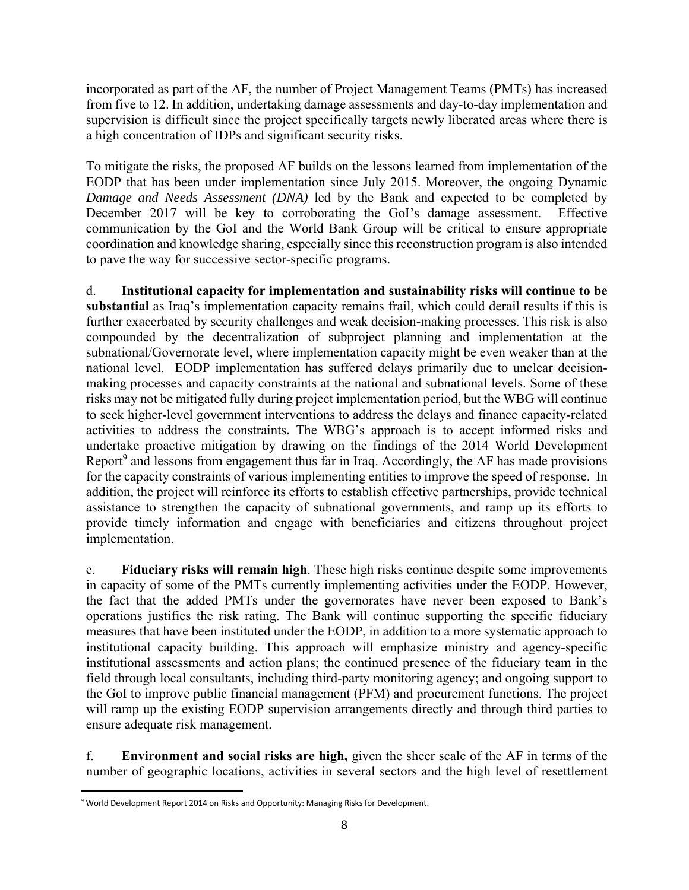incorporated as part of the AF, the number of Project Management Teams (PMTs) has increased from five to 12. In addition, undertaking damage assessments and day-to-day implementation and supervision is difficult since the project specifically targets newly liberated areas where there is a high concentration of IDPs and significant security risks.

To mitigate the risks, the proposed AF builds on the lessons learned from implementation of the EODP that has been under implementation since July 2015. Moreover, the ongoing Dynamic *Damage and Needs Assessment (DNA)* led by the Bank and expected to be completed by December 2017 will be key to corroborating the GoI's damage assessment. Effective communication by the GoI and the World Bank Group will be critical to ensure appropriate coordination and knowledge sharing, especially since this reconstruction program is also intended to pave the way for successive sector-specific programs.

d. **Institutional capacity for implementation and sustainability risks will continue to be substantial** as Iraq's implementation capacity remains frail, which could derail results if this is further exacerbated by security challenges and weak decision-making processes. This risk is also compounded by the decentralization of subproject planning and implementation at the subnational/Governorate level, where implementation capacity might be even weaker than at the national level. EODP implementation has suffered delays primarily due to unclear decisionmaking processes and capacity constraints at the national and subnational levels. Some of these risks may not be mitigated fully during project implementation period, but the WBG will continue to seek higher-level government interventions to address the delays and finance capacity-related activities to address the constraints**.** The WBG's approach is to accept informed risks and undertake proactive mitigation by drawing on the findings of the 2014 World Development Report<sup>9</sup> and lessons from engagement thus far in Iraq. Accordingly, the AF has made provisions for the capacity constraints of various implementing entities to improve the speed of response. In addition, the project will reinforce its efforts to establish effective partnerships, provide technical assistance to strengthen the capacity of subnational governments, and ramp up its efforts to provide timely information and engage with beneficiaries and citizens throughout project implementation.

e. **Fiduciary risks will remain high**. These high risks continue despite some improvements in capacity of some of the PMTs currently implementing activities under the EODP. However, the fact that the added PMTs under the governorates have never been exposed to Bank's operations justifies the risk rating. The Bank will continue supporting the specific fiduciary measures that have been instituted under the EODP, in addition to a more systematic approach to institutional capacity building. This approach will emphasize ministry and agency-specific institutional assessments and action plans; the continued presence of the fiduciary team in the field through local consultants, including third-party monitoring agency; and ongoing support to the GoI to improve public financial management (PFM) and procurement functions. The project will ramp up the existing EODP supervision arrangements directly and through third parties to ensure adequate risk management.

f. **Environment and social risks are high,** given the sheer scale of the AF in terms of the number of geographic locations, activities in several sectors and the high level of resettlement

 9 World Development Report 2014 on Risks and Opportunity: Managing Risks for Development.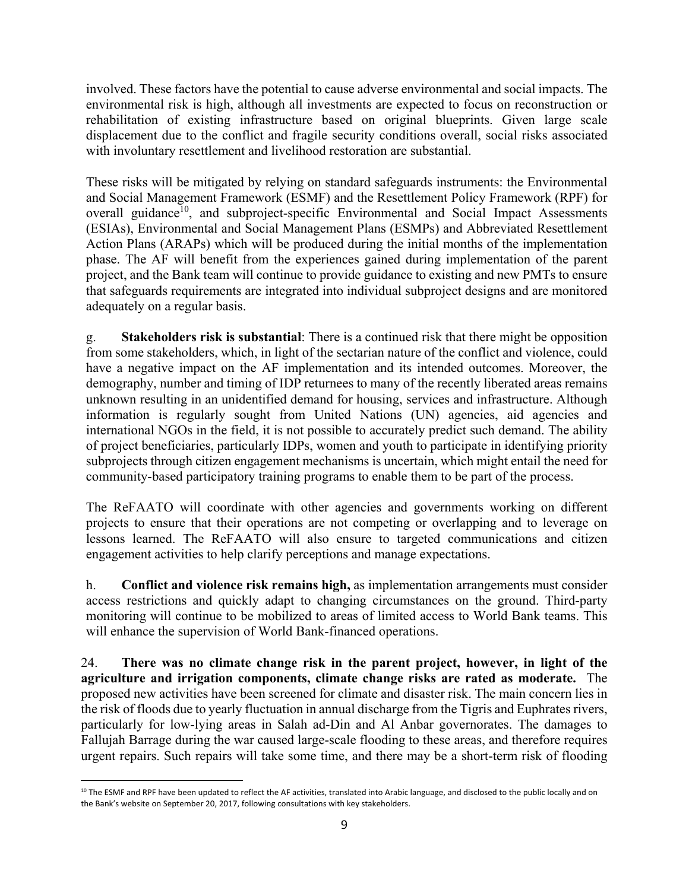involved. These factors have the potential to cause adverse environmental and social impacts. The environmental risk is high, although all investments are expected to focus on reconstruction or rehabilitation of existing infrastructure based on original blueprints. Given large scale displacement due to the conflict and fragile security conditions overall, social risks associated with involuntary resettlement and livelihood restoration are substantial.

These risks will be mitigated by relying on standard safeguards instruments: the Environmental and Social Management Framework (ESMF) and the Resettlement Policy Framework (RPF) for overall guidance<sup>10</sup>, and subproject-specific Environmental and Social Impact Assessments (ESIAs), Environmental and Social Management Plans (ESMPs) and Abbreviated Resettlement Action Plans (ARAPs) which will be produced during the initial months of the implementation phase. The AF will benefit from the experiences gained during implementation of the parent project, and the Bank team will continue to provide guidance to existing and new PMTs to ensure that safeguards requirements are integrated into individual subproject designs and are monitored adequately on a regular basis.

g. **Stakeholders risk is substantial**: There is a continued risk that there might be opposition from some stakeholders, which, in light of the sectarian nature of the conflict and violence, could have a negative impact on the AF implementation and its intended outcomes. Moreover, the demography, number and timing of IDP returnees to many of the recently liberated areas remains unknown resulting in an unidentified demand for housing, services and infrastructure. Although information is regularly sought from United Nations (UN) agencies, aid agencies and international NGOs in the field, it is not possible to accurately predict such demand. The ability of project beneficiaries, particularly IDPs, women and youth to participate in identifying priority subprojects through citizen engagement mechanisms is uncertain, which might entail the need for community-based participatory training programs to enable them to be part of the process.

The ReFAATO will coordinate with other agencies and governments working on different projects to ensure that their operations are not competing or overlapping and to leverage on lessons learned. The ReFAATO will also ensure to targeted communications and citizen engagement activities to help clarify perceptions and manage expectations.

h. **Conflict and violence risk remains high,** as implementation arrangements must consider access restrictions and quickly adapt to changing circumstances on the ground. Third-party monitoring will continue to be mobilized to areas of limited access to World Bank teams. This will enhance the supervision of World Bank-financed operations.

24. **There was no climate change risk in the parent project, however, in light of the agriculture and irrigation components, climate change risks are rated as moderate.** The proposed new activities have been screened for climate and disaster risk. The main concern lies in the risk of floods due to yearly fluctuation in annual discharge from the Tigris and Euphrates rivers, particularly for low-lying areas in Salah ad-Din and Al Anbar governorates. The damages to Fallujah Barrage during the war caused large-scale flooding to these areas, and therefore requires urgent repairs. Such repairs will take some time, and there may be a short-term risk of flooding

 <sup>10</sup> The ESMF and RPF have been updated to reflect the AF activities, translated into Arabic language, and disclosed to the public locally and on the Bank's website on September 20, 2017, following consultations with key stakeholders.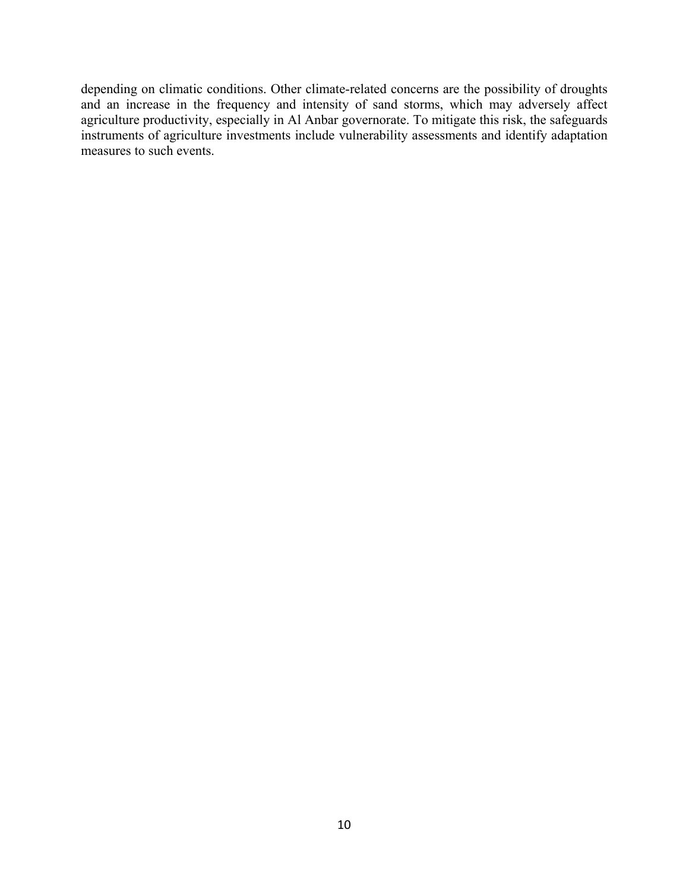depending on climatic conditions. Other climate-related concerns are the possibility of droughts and an increase in the frequency and intensity of sand storms, which may adversely affect agriculture productivity, especially in Al Anbar governorate. To mitigate this risk, the safeguards instruments of agriculture investments include vulnerability assessments and identify adaptation measures to such events.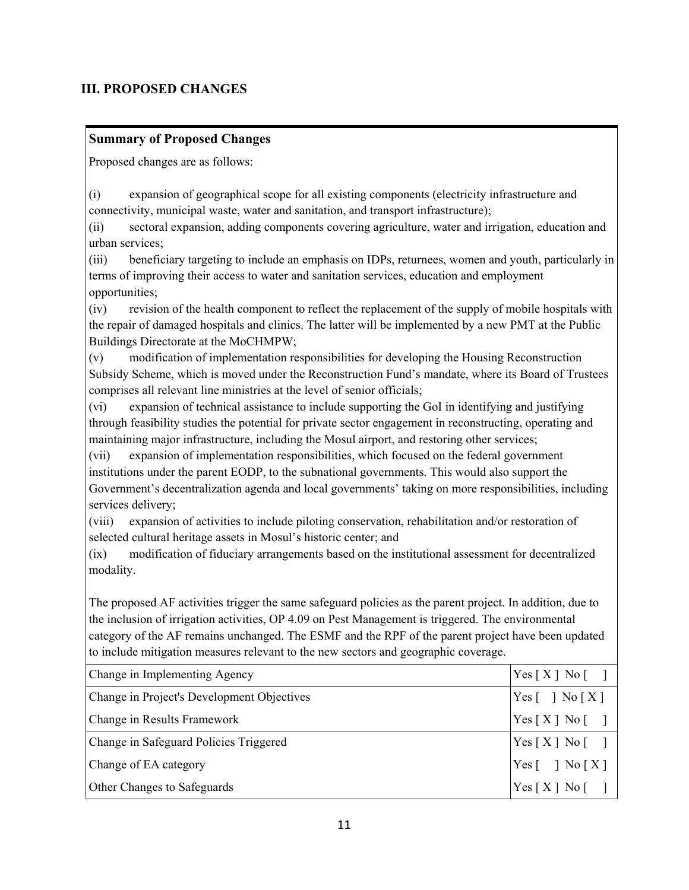## **III. PROPOSED CHANGES**

## **Summary of Proposed Changes**

Proposed changes are as follows:

(i) expansion of geographical scope for all existing components (electricity infrastructure and connectivity, municipal waste, water and sanitation, and transport infrastructure);

(ii) sectoral expansion, adding components covering agriculture, water and irrigation, education and urban services;

(iii) beneficiary targeting to include an emphasis on IDPs, returnees, women and youth, particularly in terms of improving their access to water and sanitation services, education and employment opportunities;

(iv) revision of the health component to reflect the replacement of the supply of mobile hospitals with the repair of damaged hospitals and clinics. The latter will be implemented by a new PMT at the Public Buildings Directorate at the MoCHMPW;

(v) modification of implementation responsibilities for developing the Housing Reconstruction Subsidy Scheme, which is moved under the Reconstruction Fund's mandate, where its Board of Trustees comprises all relevant line ministries at the level of senior officials;

(vi) expansion of technical assistance to include supporting the GoI in identifying and justifying through feasibility studies the potential for private sector engagement in reconstructing, operating and maintaining major infrastructure, including the Mosul airport, and restoring other services;

(vii) expansion of implementation responsibilities, which focused on the federal government institutions under the parent EODP, to the subnational governments. This would also support the Government's decentralization agenda and local governments' taking on more responsibilities, including services delivery;

(viii) expansion of activities to include piloting conservation, rehabilitation and/or restoration of selected cultural heritage assets in Mosul's historic center; and

(ix) modification of fiduciary arrangements based on the institutional assessment for decentralized modality.

The proposed AF activities trigger the same safeguard policies as the parent project. In addition, due to the inclusion of irrigation activities, OP 4.09 on Pest Management is triggered. The environmental category of the AF remains unchanged. The ESMF and the RPF of the parent project have been updated to include mitigation measures relevant to the new sectors and geographic coverage.

| Change in Implementing Agency              | $Yes[X] No$ []                                                            |
|--------------------------------------------|---------------------------------------------------------------------------|
| Change in Project's Development Objectives | $Yes \lceil \rceil No \lceil X \rceil$                                    |
| Change in Results Framework                | $Yes[X] No$ []                                                            |
| Change in Safeguard Policies Triggered     | Yes[X] No[]                                                               |
| Change of EA category                      | $\left  \text{Yes} \right $ $\left  \text{No} \right $ X $\left  \right $ |
| Other Changes to Safeguards                | Yes[X] No[]                                                               |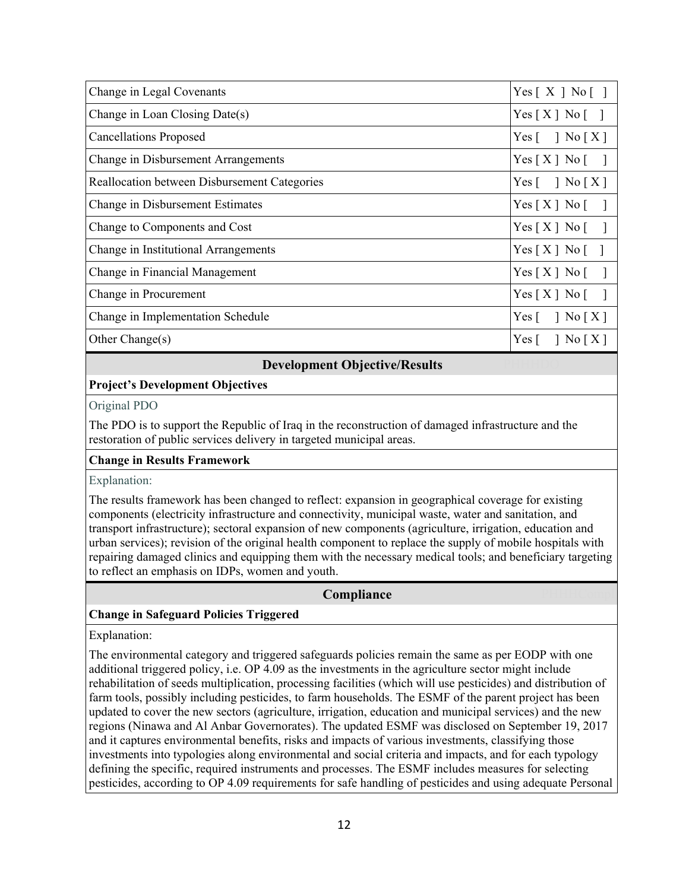| Change in Legal Covenants                    | Yes $[X \rceil N_0 \rceil$                     |
|----------------------------------------------|------------------------------------------------|
| Change in Loan Closing Date(s)               | Yes[X] No[]                                    |
| <b>Cancellations Proposed</b>                | Yes $\lceil \quad \rceil$ No $\lceil X \rceil$ |
| Change in Disbursement Arrangements          | Yes[X] No[                                     |
| Reallocation between Disbursement Categories | Yes $\lceil \quad \rceil$ No $\lceil X \rceil$ |
| Change in Disbursement Estimates             | Yes [ X ] No [ ]                               |
| Change to Components and Cost                | Yes[X] No[]                                    |
| Change in Institutional Arrangements         | Yes[X] No[]                                    |
| Change in Financial Management               | Yes[X] No[]                                    |
| Change in Procurement                        | $Yes[X] No$ [ ]                                |
| Change in Implementation Schedule            | Yes $\lceil \quad \rceil$ No $\lceil X \rceil$ |
| Other Change(s)                              | $Yes \lceil \rceil No \lceil X \rceil$         |

## **Development Objective/Results**

### **Project's Development Objectives**

Original PDO

The PDO is to support the Republic of Iraq in the reconstruction of damaged infrastructure and the restoration of public services delivery in targeted municipal areas.

#### **Change in Results Framework**

#### Explanation:

The results framework has been changed to reflect: expansion in geographical coverage for existing components (electricity infrastructure and connectivity, municipal waste, water and sanitation, and transport infrastructure); sectoral expansion of new components (agriculture, irrigation, education and urban services); revision of the original health component to replace the supply of mobile hospitals with repairing damaged clinics and equipping them with the necessary medical tools; and beneficiary targeting to reflect an emphasis on IDPs, women and youth.

#### **Compliance**

#### **Change in Safeguard Policies Triggered**

Explanation:

The environmental category and triggered safeguards policies remain the same as per EODP with one additional triggered policy, i.e. OP 4.09 as the investments in the agriculture sector might include rehabilitation of seeds multiplication, processing facilities (which will use pesticides) and distribution of farm tools, possibly including pesticides, to farm households. The ESMF of the parent project has been updated to cover the new sectors (agriculture, irrigation, education and municipal services) and the new regions (Ninawa and Al Anbar Governorates). The updated ESMF was disclosed on September 19, 2017 and it captures environmental benefits, risks and impacts of various investments, classifying those investments into typologies along environmental and social criteria and impacts, and for each typology defining the specific, required instruments and processes. The ESMF includes measures for selecting pesticides, according to OP 4.09 requirements for safe handling of pesticides and using adequate Personal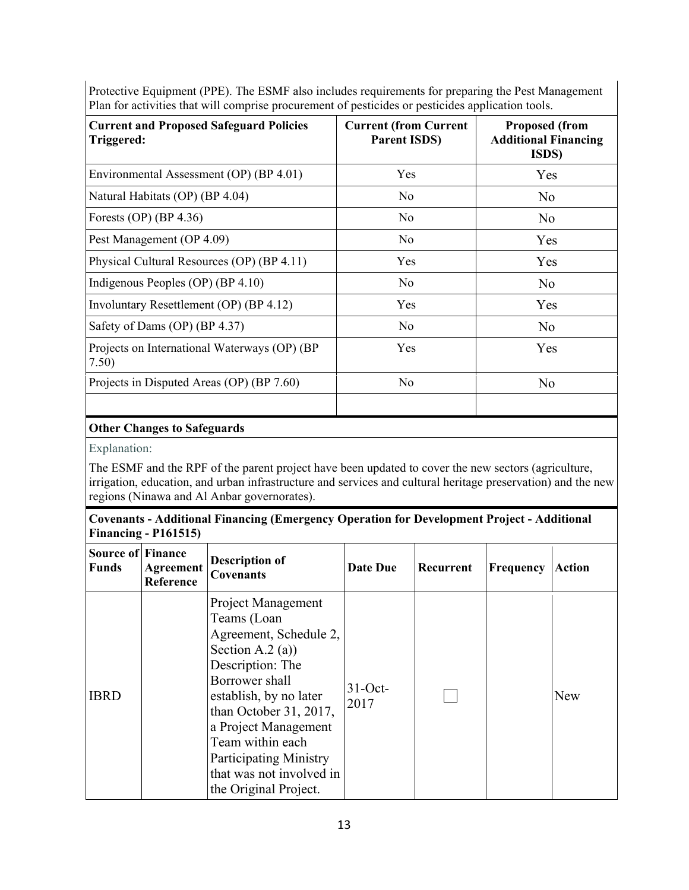|                                                              |                                                     | <b>A A</b>                                                            |
|--------------------------------------------------------------|-----------------------------------------------------|-----------------------------------------------------------------------|
| <b>Current and Proposed Safeguard Policies</b><br>Triggered: | <b>Current (from Current</b><br><b>Parent ISDS)</b> | <b>Proposed (from</b><br><b>Additional Financing</b><br><b>ISDS</b> ) |
| Environmental Assessment (OP) (BP 4.01)                      | Yes                                                 | Yes                                                                   |
| Natural Habitats (OP) (BP 4.04)                              | No                                                  | N <sub>o</sub>                                                        |
| Forests (OP) (BP 4.36)                                       | N <sub>o</sub>                                      | N <sub>o</sub>                                                        |
| Pest Management (OP 4.09)                                    | No                                                  | Yes                                                                   |
| Physical Cultural Resources (OP) (BP 4.11)                   | Yes                                                 | Yes                                                                   |
| Indigenous Peoples (OP) (BP 4.10)                            | No                                                  | N <sub>o</sub>                                                        |
| Involuntary Resettlement (OP) (BP 4.12)                      | Yes                                                 | Yes                                                                   |
| Safety of Dams (OP) (BP 4.37)                                | No                                                  | N <sub>o</sub>                                                        |
| Projects on International Waterways (OP) (BP)<br>7.50)       | Yes                                                 | Yes                                                                   |
| Projects in Disputed Areas (OP) (BP 7.60)                    | No                                                  | No                                                                    |

Protective Equipment (PPE). The ESMF also includes requirements for preparing the Pest Management Plan for activities that will comprise procurement of pesticides or pesticides application tools.

## **Other Changes to Safeguards**

Explanation:

The ESMF and the RPF of the parent project have been updated to cover the new sectors (agriculture, irrigation, education, and urban infrastructure and services and cultural heritage preservation) and the new regions (Ninawa and Al Anbar governorates).

## **Covenants - Additional Financing (Emergency Operation for Development Project - Additional Financing - P161515)**

| <b>Source of Finance</b><br><b>Funds</b> | <b>Agreement</b><br>Reference | <b>Description of</b><br><b>Covenants</b>                                                                                                                                                                                                                                                                   | Date Due           | Recurrent | Frequency | <b>Action</b> |
|------------------------------------------|-------------------------------|-------------------------------------------------------------------------------------------------------------------------------------------------------------------------------------------------------------------------------------------------------------------------------------------------------------|--------------------|-----------|-----------|---------------|
| <b>IBRD</b>                              |                               | Project Management<br>Teams (Loan<br>Agreement, Schedule 2,<br>Section A.2 (a))<br>Description: The<br>Borrower shall<br>establish, by no later<br>than October 31, 2017,<br>a Project Management<br>Team within each<br><b>Participating Ministry</b><br>that was not involved in<br>the Original Project. | $31-Oct$ -<br>2017 |           |           | New           |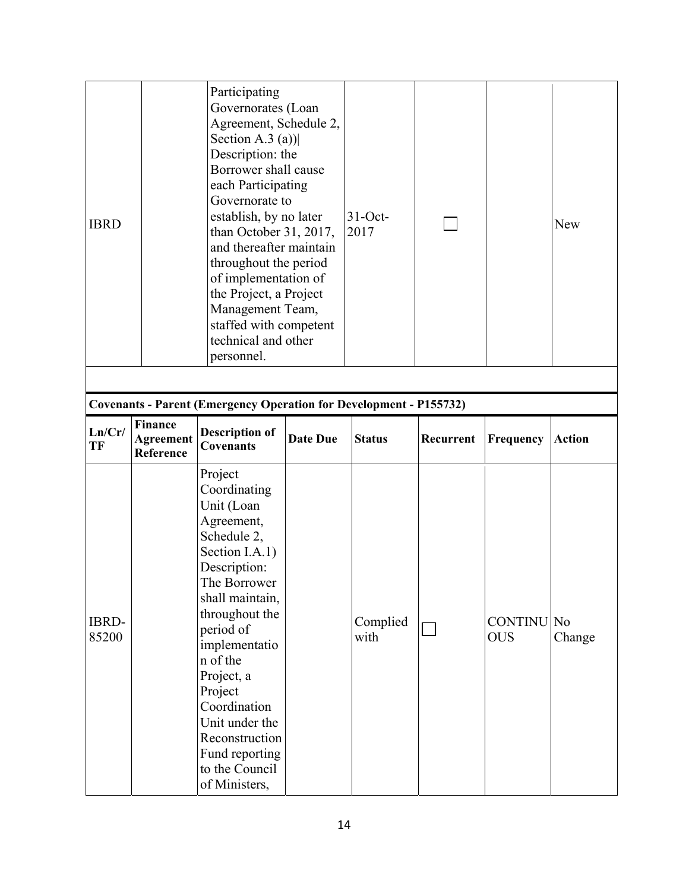| <b>IBRD</b>           | Participating<br>Governorates (Loan<br>Agreement, Schedule 2,<br>Section A.3 (a)) $\vert$<br>Description: the<br>Borrower shall cause<br>each Participating<br>Governorate to<br>establish, by no later<br>than October 31, 2017,<br>and thereafter maintain<br>throughout the period<br>of implementation of<br>the Project, a Project<br>Management Team,<br>staffed with competent<br>technical and other<br>personnel. |                                                                                                                                                                                                                                                                                                                                       | $31-Oct$ -<br>2017 |                  |           | <b>New</b>                      |               |
|-----------------------|----------------------------------------------------------------------------------------------------------------------------------------------------------------------------------------------------------------------------------------------------------------------------------------------------------------------------------------------------------------------------------------------------------------------------|---------------------------------------------------------------------------------------------------------------------------------------------------------------------------------------------------------------------------------------------------------------------------------------------------------------------------------------|--------------------|------------------|-----------|---------------------------------|---------------|
|                       |                                                                                                                                                                                                                                                                                                                                                                                                                            | <b>Covenants - Parent (Emergency Operation for Development - P155732)</b>                                                                                                                                                                                                                                                             |                    |                  |           |                                 |               |
| Ln/Cr/<br>TF          | <b>Finance</b><br><b>Agreement</b><br>Reference                                                                                                                                                                                                                                                                                                                                                                            | <b>Description of</b><br><b>Covenants</b>                                                                                                                                                                                                                                                                                             | <b>Date Due</b>    | <b>Status</b>    | Recurrent | Frequency                       | <b>Action</b> |
| <b>IBRD-</b><br>85200 |                                                                                                                                                                                                                                                                                                                                                                                                                            | Project<br>Coordinating<br>Unit (Loan<br>Agreement,<br>Schedule 2,<br>Section I.A.1)<br>Description:<br>The Borrower<br>shall maintain,<br>throughout the<br>period of<br>implementatio<br>n of the<br>Project, a<br>Project<br>Coordination<br>Unit under the<br>Reconstruction<br>Fund reporting<br>to the Council<br>of Ministers, |                    | Complied<br>with |           | <b>CONTINU</b> No<br><b>OUS</b> | Change        |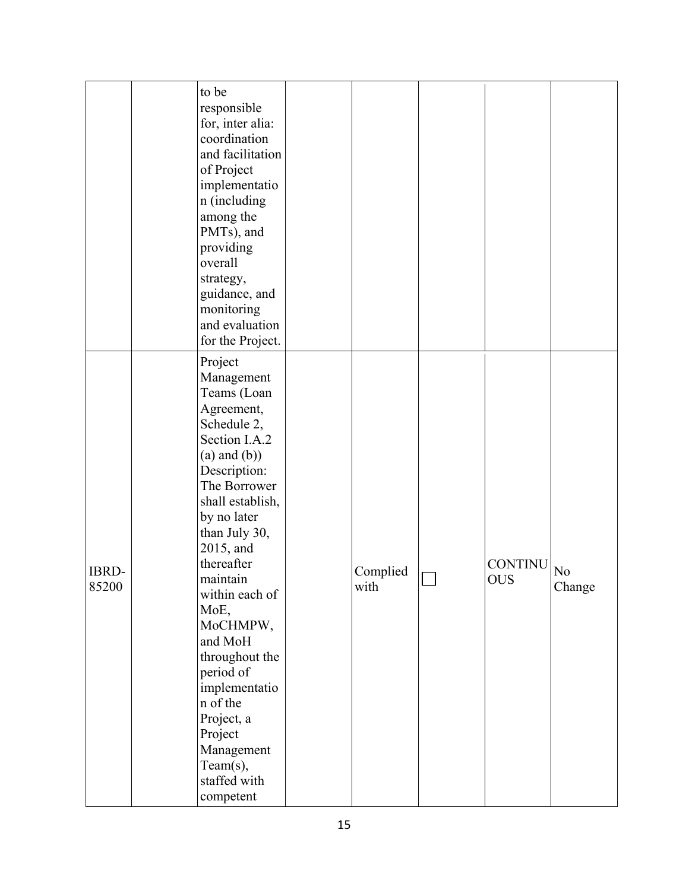|                       | to be<br>responsible<br>for, inter alia:<br>coordination<br>and facilitation<br>of Project<br>implementatio<br>n (including<br>among the<br>PMTs), and<br>providing<br>overall<br>strategy,<br>guidance, and<br>monitoring<br>and evaluation<br>for the Project.                                                                                                                                                                |                  |                              |              |
|-----------------------|---------------------------------------------------------------------------------------------------------------------------------------------------------------------------------------------------------------------------------------------------------------------------------------------------------------------------------------------------------------------------------------------------------------------------------|------------------|------------------------------|--------------|
| <b>IBRD-</b><br>85200 | Project<br>Management<br>Teams (Loan<br>Agreement,<br>Schedule 2,<br>Section I.A.2<br>$(a)$ and $(b)$ )<br>Description:<br>The Borrower<br>shall establish,<br>by no later<br>than July 30,<br>2015, and<br>thereafter<br>maintain<br>within each of<br>MoE,<br>MoCHMPW,<br>and MoH<br>throughout the<br>period of<br>implementatio<br>n of the<br>Project, a<br>Project<br>Management<br>Team(s),<br>staffed with<br>competent | Complied<br>with | <b>CONTINU</b><br><b>OUS</b> | No<br>Change |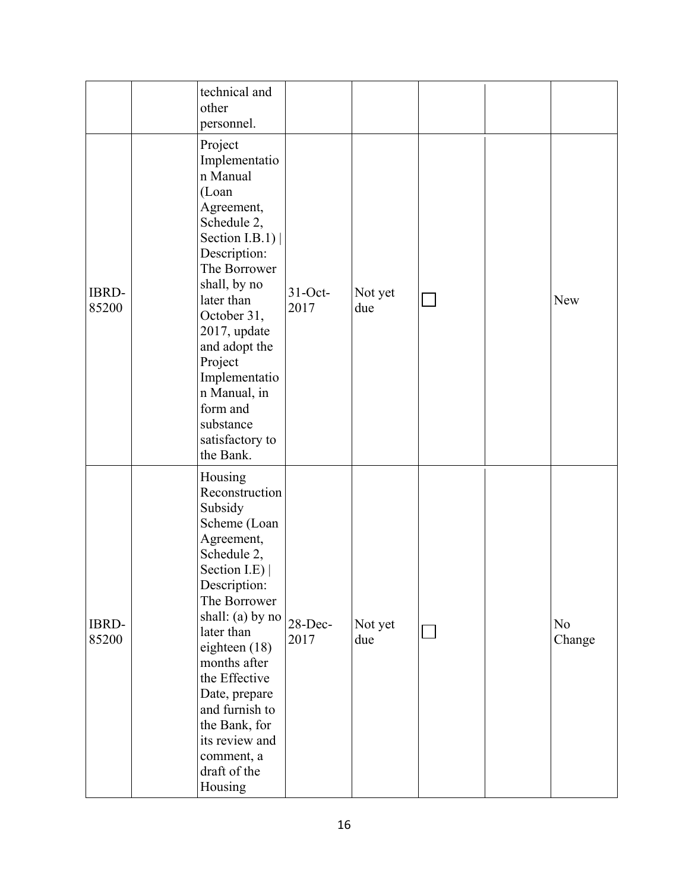|                | technical and<br>other<br>personnel.                                                                                                                                                                                                                                                                                                   |                    |                |  |              |
|----------------|----------------------------------------------------------------------------------------------------------------------------------------------------------------------------------------------------------------------------------------------------------------------------------------------------------------------------------------|--------------------|----------------|--|--------------|
| IBRD-<br>85200 | Project<br>Implementatio<br>n Manual<br>(Loan<br>Agreement,<br>Schedule 2,<br>Section I.B.1) $ $<br>Description:<br>The Borrower<br>shall, by no<br>later than<br>October 31,<br>2017, update<br>and adopt the<br>Project<br>Implementatio<br>n Manual, in<br>form and<br>substance<br>satisfactory to<br>the Bank.                    | $31-Oct$ -<br>2017 | Not yet<br>due |  | New          |
| IBRD-<br>85200 | Housing<br>Reconstruction<br>Subsidy<br>Scheme (Loan<br>Agreement,<br>Schedule 2,<br>Section I.E)  <br>Description:<br>The Borrower<br>shall: (a) by no<br>later than<br>eighteen (18)<br>months after<br>the Effective<br>Date, prepare<br>and furnish to<br>the Bank, for<br>its review and<br>comment, a<br>draft of the<br>Housing | $28$ -Dec-<br>2017 | Not yet<br>due |  | No<br>Change |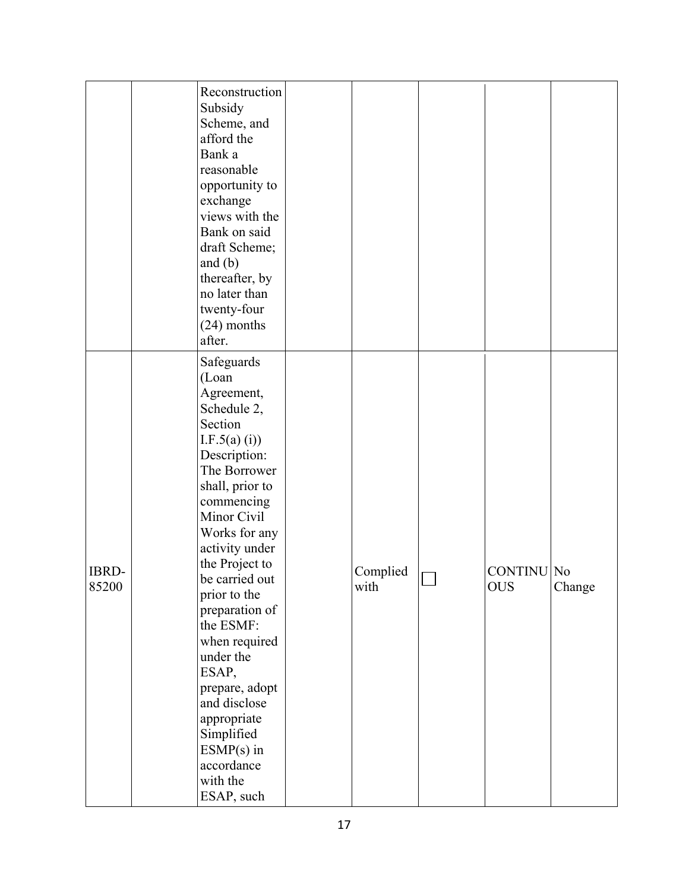|       | Reconstruction  |          |                   |        |
|-------|-----------------|----------|-------------------|--------|
|       | Subsidy         |          |                   |        |
|       | Scheme, and     |          |                   |        |
|       | afford the      |          |                   |        |
|       | Bank a          |          |                   |        |
|       | reasonable      |          |                   |        |
|       | opportunity to  |          |                   |        |
|       | exchange        |          |                   |        |
|       | views with the  |          |                   |        |
|       | Bank on said    |          |                   |        |
|       | draft Scheme;   |          |                   |        |
|       | and $(b)$       |          |                   |        |
|       | thereafter, by  |          |                   |        |
|       | no later than   |          |                   |        |
|       | twenty-four     |          |                   |        |
|       | $(24)$ months   |          |                   |        |
|       | after.          |          |                   |        |
|       | Safeguards      |          |                   |        |
|       | (Loan           |          |                   |        |
|       | Agreement,      |          |                   |        |
|       | Schedule 2,     |          |                   |        |
|       | Section         |          |                   |        |
|       | I.F.5(a) (i))   |          |                   |        |
|       | Description:    |          |                   |        |
|       | The Borrower    |          |                   |        |
|       | shall, prior to |          |                   |        |
|       | commencing      |          |                   |        |
|       | Minor Civil     |          |                   |        |
|       | Works for any   |          |                   |        |
|       | activity under  |          |                   |        |
|       | the Project to  |          | <b>CONTINU</b> No |        |
| IBRD- | be carried out  | Complied |                   |        |
| 85200 | prior to the    | with     | <b>OUS</b>        | Change |
|       | preparation of  |          |                   |        |
|       | the ESMF:       |          |                   |        |
|       | when required   |          |                   |        |
|       | under the       |          |                   |        |
|       | ESAP,           |          |                   |        |
|       | prepare, adopt  |          |                   |        |
|       | and disclose    |          |                   |        |
|       | appropriate     |          |                   |        |
|       | Simplified      |          |                   |        |
|       | $ESMP(s)$ in    |          |                   |        |
|       | accordance      |          |                   |        |
|       | with the        |          |                   |        |
|       | ESAP, such      |          |                   |        |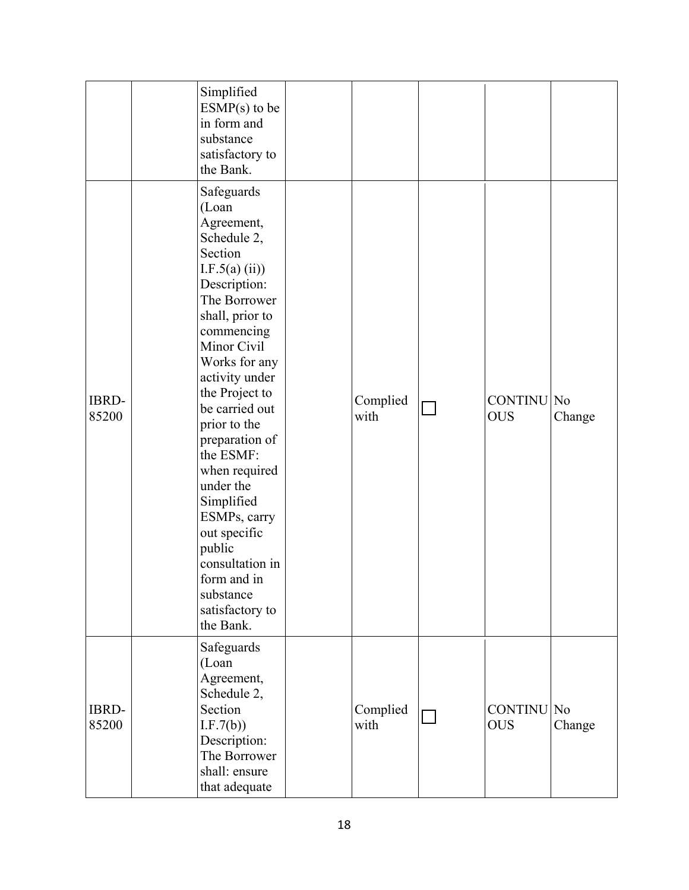|                       | Simplified<br>$ESMP(s)$ to be<br>in form and<br>substance<br>satisfactory to<br>the Bank.                                                                                                                                                                                                                                                                                                                                                                |                  |                                 |        |
|-----------------------|----------------------------------------------------------------------------------------------------------------------------------------------------------------------------------------------------------------------------------------------------------------------------------------------------------------------------------------------------------------------------------------------------------------------------------------------------------|------------------|---------------------------------|--------|
| IBRD-<br>85200        | Safeguards<br>(Loan<br>Agreement,<br>Schedule 2,<br>Section<br>I.F.5(a) (ii))<br>Description:<br>The Borrower<br>shall, prior to<br>commencing<br>Minor Civil<br>Works for any<br>activity under<br>the Project to<br>be carried out<br>prior to the<br>preparation of<br>the ESMF:<br>when required<br>under the<br>Simplified<br>ESMPs, carry<br>out specific<br>public<br>consultation in<br>form and in<br>substance<br>satisfactory to<br>the Bank. | Complied<br>with | CONTINU No<br><b>OUS</b>        | Change |
| <b>IBRD-</b><br>85200 | Safeguards<br>(Loan<br>Agreement,<br>Schedule 2,<br>Section<br>I.F.7(b)<br>Description:<br>The Borrower<br>shall: ensure<br>that adequate                                                                                                                                                                                                                                                                                                                | Complied<br>with | <b>CONTINU No</b><br><b>OUS</b> | Change |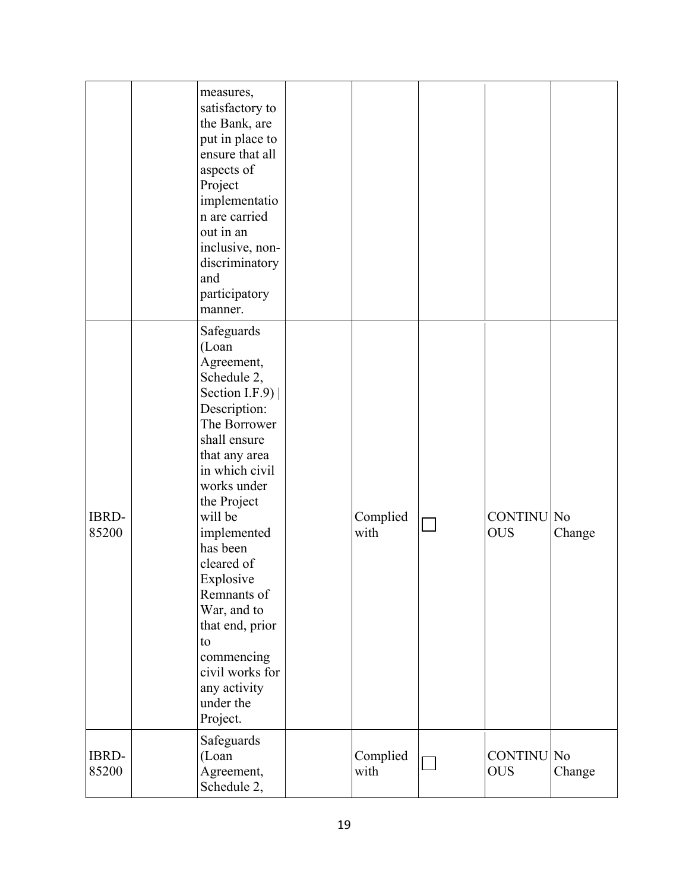|                       | measures,<br>satisfactory to<br>the Bank, are<br>put in place to<br>ensure that all<br>aspects of<br>Project<br>implementatio<br>n are carried<br>out in an<br>inclusive, non-<br>discriminatory                                                                                                                                                                                          |                  |                                 |        |
|-----------------------|-------------------------------------------------------------------------------------------------------------------------------------------------------------------------------------------------------------------------------------------------------------------------------------------------------------------------------------------------------------------------------------------|------------------|---------------------------------|--------|
|                       | and<br>participatory<br>manner.                                                                                                                                                                                                                                                                                                                                                           |                  |                                 |        |
| <b>IBRD-</b><br>85200 | Safeguards<br>(Loan<br>Agreement,<br>Schedule 2,<br>Section I.F.9) $ $<br>Description:<br>The Borrower<br>shall ensure<br>that any area<br>in which civil<br>works under<br>the Project<br>will be<br>implemented<br>has been<br>cleared of<br>Explosive<br>Remnants of<br>War, and to<br>that end, prior<br>to<br>commencing<br>civil works for<br>any activity<br>under the<br>Project. | Complied<br>with | <b>CONTINU</b> No<br><b>OUS</b> | Change |
| <b>IBRD-</b><br>85200 | Safeguards<br>(Loan<br>Agreement,<br>Schedule 2,                                                                                                                                                                                                                                                                                                                                          | Complied<br>with | CONTINU No<br><b>OUS</b>        | Change |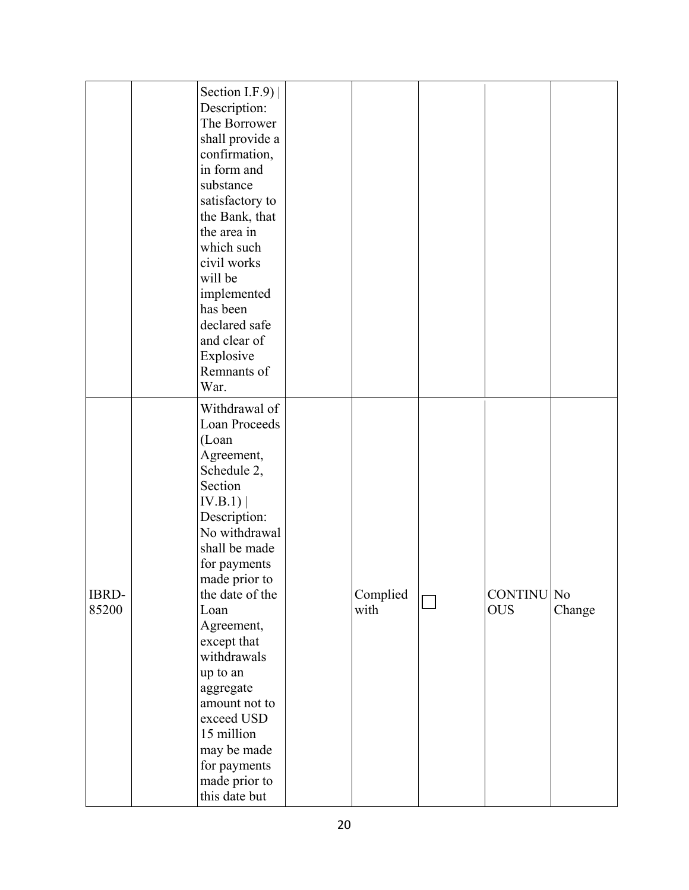|                       | Section I.F.9) $ $<br>Description:<br>The Borrower<br>shall provide a<br>confirmation,<br>in form and<br>substance<br>satisfactory to<br>the Bank, that<br>the area in<br>which such<br>civil works<br>will be<br>implemented<br>has been<br>declared safe<br>and clear of<br>Explosive<br>Remnants of<br>War.                                                                              |                  |                          |        |
|-----------------------|---------------------------------------------------------------------------------------------------------------------------------------------------------------------------------------------------------------------------------------------------------------------------------------------------------------------------------------------------------------------------------------------|------------------|--------------------------|--------|
| <b>IBRD-</b><br>85200 | Withdrawal of<br>Loan Proceeds<br>(Loan<br>Agreement,<br>Schedule 2,<br>Section<br>IV.B.1)<br>Description:<br>No withdrawal<br>shall be made<br>for payments<br>made prior to<br>the date of the<br>Loan<br>Agreement,<br>except that<br>withdrawals<br>up to an<br>aggregate<br>amount not to<br>exceed USD<br>15 million<br>may be made<br>for payments<br>made prior to<br>this date but | Complied<br>with | CONTINU No<br><b>OUS</b> | Change |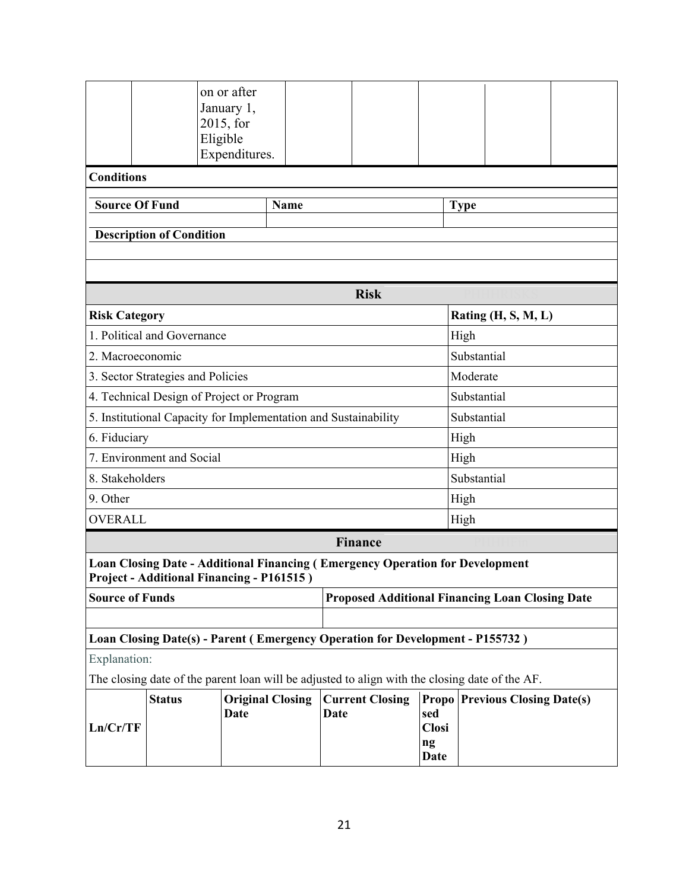|                                                                                                |                                                                                  | on or after<br>January 1,<br>2015, for<br>Eligible<br>Expenditures. |             |                                                                               |                   |              |             |                                       |  |  |  |
|------------------------------------------------------------------------------------------------|----------------------------------------------------------------------------------|---------------------------------------------------------------------|-------------|-------------------------------------------------------------------------------|-------------------|--------------|-------------|---------------------------------------|--|--|--|
| <b>Conditions</b>                                                                              |                                                                                  |                                                                     |             |                                                                               |                   |              |             |                                       |  |  |  |
| <b>Source Of Fund</b>                                                                          |                                                                                  |                                                                     | <b>Name</b> |                                                                               |                   | <b>Type</b>  |             |                                       |  |  |  |
|                                                                                                |                                                                                  |                                                                     |             |                                                                               |                   |              |             |                                       |  |  |  |
| <b>Description of Condition</b>                                                                |                                                                                  |                                                                     |             |                                                                               |                   |              |             |                                       |  |  |  |
| <b>Risk</b>                                                                                    |                                                                                  |                                                                     |             |                                                                               |                   |              |             |                                       |  |  |  |
| Rating $(H, S, M, L)$<br><b>Risk Category</b>                                                  |                                                                                  |                                                                     |             |                                                                               |                   |              |             |                                       |  |  |  |
|                                                                                                | 1. Political and Governance                                                      |                                                                     |             |                                                                               |                   | High         |             |                                       |  |  |  |
|                                                                                                | 2. Macroeconomic                                                                 |                                                                     |             |                                                                               |                   |              | Substantial |                                       |  |  |  |
|                                                                                                | 3. Sector Strategies and Policies                                                |                                                                     |             |                                                                               |                   |              | Moderate    |                                       |  |  |  |
| 4. Technical Design of Project or Program                                                      |                                                                                  |                                                                     |             |                                                                               |                   |              | Substantial |                                       |  |  |  |
|                                                                                                |                                                                                  |                                                                     |             | 5. Institutional Capacity for Implementation and Sustainability               |                   |              | Substantial |                                       |  |  |  |
| 6. Fiduciary                                                                                   |                                                                                  |                                                                     |             |                                                                               |                   | High         |             |                                       |  |  |  |
|                                                                                                | 7. Environment and Social                                                        |                                                                     |             |                                                                               |                   | High         |             |                                       |  |  |  |
| 8. Stakeholders                                                                                |                                                                                  |                                                                     |             |                                                                               |                   |              | Substantial |                                       |  |  |  |
| 9. Other                                                                                       |                                                                                  |                                                                     |             |                                                                               |                   | High         |             |                                       |  |  |  |
| <b>OVERALL</b>                                                                                 |                                                                                  |                                                                     |             |                                                                               |                   | High         |             |                                       |  |  |  |
|                                                                                                |                                                                                  |                                                                     |             | <b>Finance</b>                                                                |                   |              |             |                                       |  |  |  |
|                                                                                                |                                                                                  | Project - Additional Financing - P161515)                           |             | Loan Closing Date - Additional Financing (Emergency Operation for Development |                   |              |             |                                       |  |  |  |
|                                                                                                | <b>Proposed Additional Financing Loan Closing Date</b><br><b>Source of Funds</b> |                                                                     |             |                                                                               |                   |              |             |                                       |  |  |  |
|                                                                                                |                                                                                  |                                                                     |             |                                                                               |                   |              |             |                                       |  |  |  |
| Loan Closing Date(s) - Parent (Emergency Operation for Development - P155732)                  |                                                                                  |                                                                     |             |                                                                               |                   |              |             |                                       |  |  |  |
| Explanation:                                                                                   |                                                                                  |                                                                     |             |                                                                               |                   |              |             |                                       |  |  |  |
| The closing date of the parent loan will be adjusted to align with the closing date of the AF. |                                                                                  |                                                                     |             |                                                                               |                   |              |             |                                       |  |  |  |
| Ln/Cr/TF                                                                                       | <b>Status</b>                                                                    | <b>Original Closing</b><br><b>Date</b>                              |             | <b>Current Closing</b><br><b>Date</b>                                         | sed<br>ng<br>Date | <b>Closi</b> |             | <b>Propo</b> Previous Closing Date(s) |  |  |  |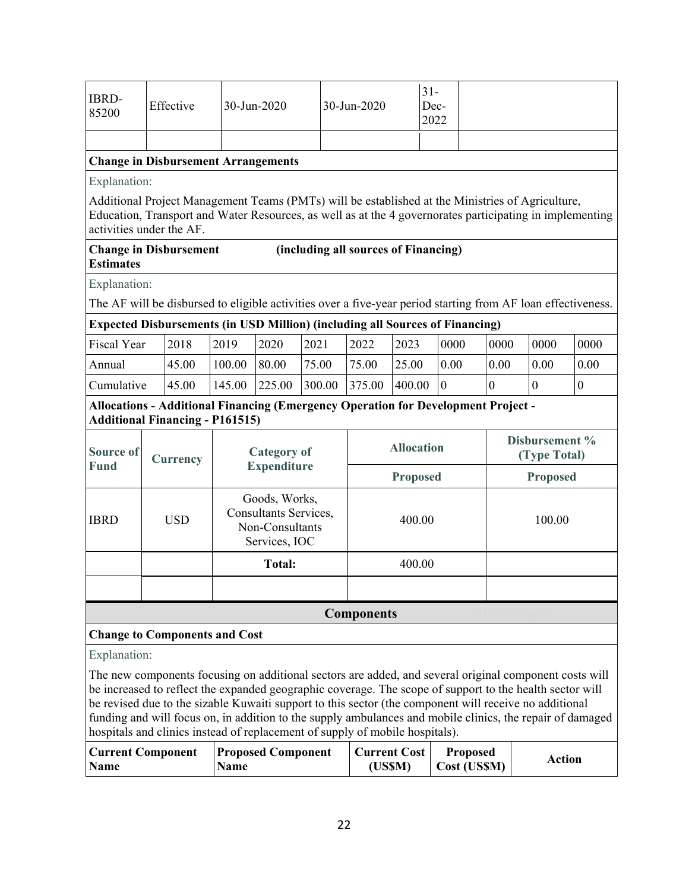| IBRD-<br>85200 | Effective | $30 - Jun-2020$                            | $30 - Jun-2020$ | $31-$<br>Dec-<br>2022 |  |
|----------------|-----------|--------------------------------------------|-----------------|-----------------------|--|
|                |           |                                            |                 |                       |  |
|                |           | <b>Change in Disbursement Arrangements</b> |                 |                       |  |

Explanation:

Additional Project Management Teams (PMTs) will be established at the Ministries of Agriculture, Education, Transport and Water Resources, as well as at the 4 governorates participating in implementing activities under the AF.

#### **Change in Disbursement Estimates (including all sources of Financing)**

Explanation:

The AF will be disbursed to eligible activities over a five-year period starting from AF loan effectiveness.

### **Expected Disbursements (in USD Million) (including all Sources of Financing)**

| <b>Fiscal Year</b> | 2018  | 2019   | 2020   | 2021   | 2022   | 2023   | 0000 | 0000 | 0000 | 0000 |
|--------------------|-------|--------|--------|--------|--------|--------|------|------|------|------|
| Annual             | 45.00 | 100.00 | 80.00  | 75.00  | 75.00  | 25.00  | 0.00 | 0.00 | 0.00 | 0.00 |
| Cumulative         | 45.00 | 145.00 | 225.00 | 300.00 | 375.00 | 400.00 | 10   |      |      |      |

## **Allocations - Additional Financing (Emergency Operation for Development Project - Additional Financing - P161515)**

| <b>Source of</b><br>Currency |                   | <b>Category of</b>                                                         | <b>Allocation</b> | Disbursement %<br>(Type Total) |  |  |  |  |  |  |
|------------------------------|-------------------|----------------------------------------------------------------------------|-------------------|--------------------------------|--|--|--|--|--|--|
| <b>Fund</b>                  |                   | <b>Expenditure</b>                                                         | <b>Proposed</b>   | <b>Proposed</b>                |  |  |  |  |  |  |
| <b>IBRD</b>                  | <b>USD</b>        | Goods, Works,<br>Consultants Services,<br>Non-Consultants<br>Services, IOC | 400.00            | 100.00                         |  |  |  |  |  |  |
|                              |                   | <b>Total:</b>                                                              | 400.00            |                                |  |  |  |  |  |  |
|                              |                   |                                                                            |                   |                                |  |  |  |  |  |  |
|                              | <b>Components</b> |                                                                            |                   |                                |  |  |  |  |  |  |

## **Change to Components and Cost**

Explanation:

The new components focusing on additional sectors are added, and several original component costs will be increased to reflect the expanded geographic coverage. The scope of support to the health sector will be revised due to the sizable Kuwaiti support to this sector (the component will receive no additional funding and will focus on, in addition to the supply ambulances and mobile clinics, the repair of damaged hospitals and clinics instead of replacement of supply of mobile hospitals).

| Current Component   Proposed Component |             | Current Cost   Proposed |                      | Action |
|----------------------------------------|-------------|-------------------------|----------------------|--------|
| <b>Name</b>                            | <b>Name</b> | (US\$M)                 | $\vert$ Cost (US\$M) |        |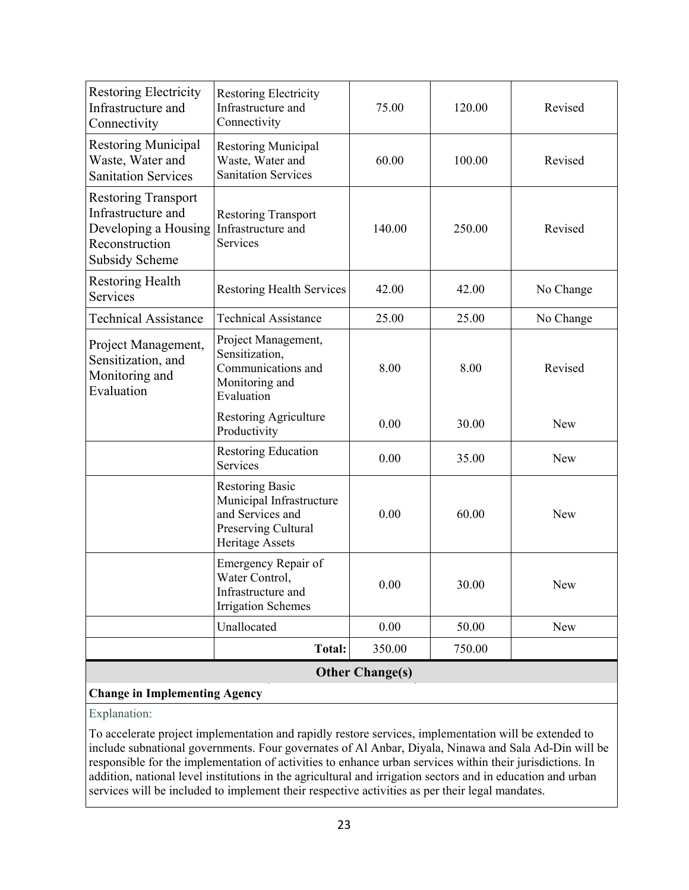| <b>Change in Implementing Agency</b>                                                                                |                                                                                                                  |        |        |            |  |  |  |
|---------------------------------------------------------------------------------------------------------------------|------------------------------------------------------------------------------------------------------------------|--------|--------|------------|--|--|--|
| <b>Other Change(s)</b>                                                                                              |                                                                                                                  |        |        |            |  |  |  |
|                                                                                                                     | Total:                                                                                                           | 350.00 | 750.00 |            |  |  |  |
|                                                                                                                     | Unallocated                                                                                                      | 0.00   | 50.00  | New        |  |  |  |
|                                                                                                                     | Emergency Repair of<br>Water Control,<br>Infrastructure and<br><b>Irrigation Schemes</b>                         | 0.00   | 30.00  | New        |  |  |  |
|                                                                                                                     | <b>Restoring Basic</b><br>Municipal Infrastructure<br>and Services and<br>Preserving Cultural<br>Heritage Assets | 0.00   | 60.00  | New        |  |  |  |
|                                                                                                                     | <b>Restoring Education</b><br>Services                                                                           | 0.00   | 35.00  | New        |  |  |  |
|                                                                                                                     | Restoring Agriculture<br>Productivity                                                                            | 0.00   | 30.00  | <b>New</b> |  |  |  |
| Project Management,<br>Sensitization, and<br>Monitoring and<br>Evaluation                                           | Project Management,<br>Sensitization,<br>Communications and<br>Monitoring and<br>Evaluation                      | 8.00   | 8.00   | Revised    |  |  |  |
| <b>Technical Assistance</b>                                                                                         | <b>Technical Assistance</b>                                                                                      | 25.00  | 25.00  | No Change  |  |  |  |
| <b>Restoring Health</b><br>Services                                                                                 | <b>Restoring Health Services</b>                                                                                 | 42.00  | 42.00  | No Change  |  |  |  |
| <b>Restoring Transport</b><br>Infrastructure and<br>Developing a Housing<br>Reconstruction<br><b>Subsidy Scheme</b> | <b>Restoring Transport</b><br>Infrastructure and<br>Services                                                     | 140.00 | 250.00 | Revised    |  |  |  |
| <b>Restoring Municipal</b><br>Waste, Water and<br><b>Sanitation Services</b>                                        | <b>Restoring Municipal</b><br>Waste, Water and<br><b>Sanitation Services</b>                                     | 60.00  | 100.00 | Revised    |  |  |  |
| <b>Restoring Electricity</b><br>Infrastructure and<br>Connectivity                                                  | <b>Restoring Electricity</b><br>Infrastructure and<br>Connectivity                                               | 75.00  | 120.00 | Revised    |  |  |  |

# Explanation:

To accelerate project implementation and rapidly restore services, implementation will be extended to include subnational governments. Four governates of Al Anbar, Diyala, Ninawa and Sala Ad-Din will be responsible for the implementation of activities to enhance urban services within their jurisdictions. In addition, national level institutions in the agricultural and irrigation sectors and in education and urban services will be included to implement their respective activities as per their legal mandates.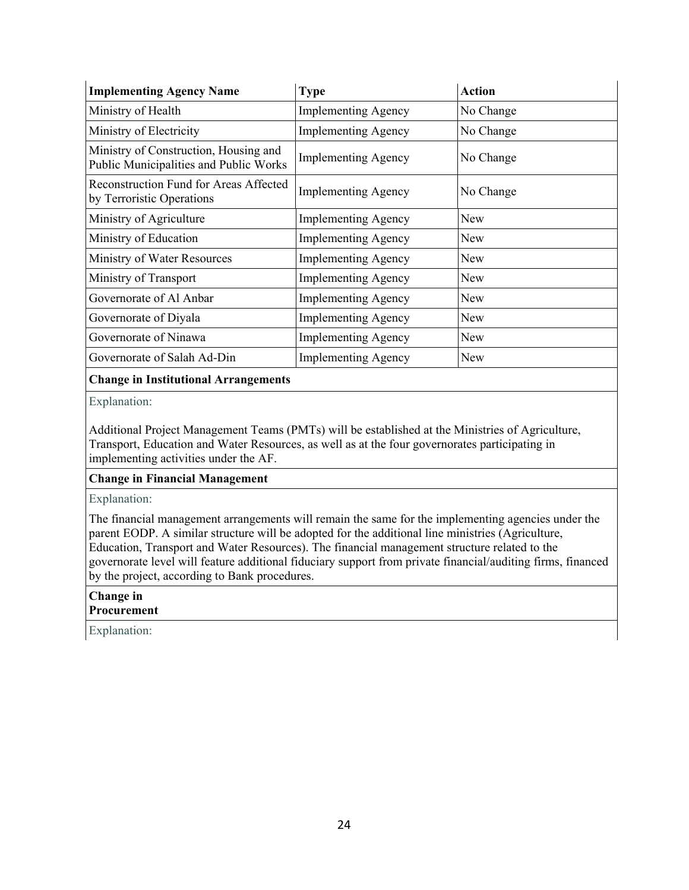| <b>Implementing Agency Name</b>                                                 | <b>Type</b>                | <b>Action</b> |  |
|---------------------------------------------------------------------------------|----------------------------|---------------|--|
| Ministry of Health                                                              | <b>Implementing Agency</b> | No Change     |  |
| Ministry of Electricity                                                         | <b>Implementing Agency</b> | No Change     |  |
| Ministry of Construction, Housing and<br>Public Municipalities and Public Works | <b>Implementing Agency</b> | No Change     |  |
| Reconstruction Fund for Areas Affected<br>by Terroristic Operations             | <b>Implementing Agency</b> | No Change     |  |
| Ministry of Agriculture                                                         | <b>Implementing Agency</b> | New           |  |
| Ministry of Education                                                           | <b>Implementing Agency</b> | New           |  |
| Ministry of Water Resources                                                     | <b>Implementing Agency</b> | New           |  |
| Ministry of Transport                                                           | <b>Implementing Agency</b> | New           |  |
| Governorate of Al Anbar                                                         | <b>Implementing Agency</b> | New           |  |
| Governorate of Diyala                                                           | <b>Implementing Agency</b> | New           |  |
| Governorate of Ninawa                                                           | <b>Implementing Agency</b> | New           |  |
| Governorate of Salah Ad-Din                                                     | <b>Implementing Agency</b> | New           |  |

#### **Change in Institutional Arrangements**

Explanation:

Additional Project Management Teams (PMTs) will be established at the Ministries of Agriculture, Transport, Education and Water Resources, as well as at the four governorates participating in implementing activities under the AF.

#### **Change in Financial Management**

Explanation:

The financial management arrangements will remain the same for the implementing agencies under the parent EODP. A similar structure will be adopted for the additional line ministries (Agriculture, Education, Transport and Water Resources). The financial management structure related to the governorate level will feature additional fiduciary support from private financial/auditing firms, financed by the project, according to Bank procedures.

# **Change in**

**Procurement** 

Explanation: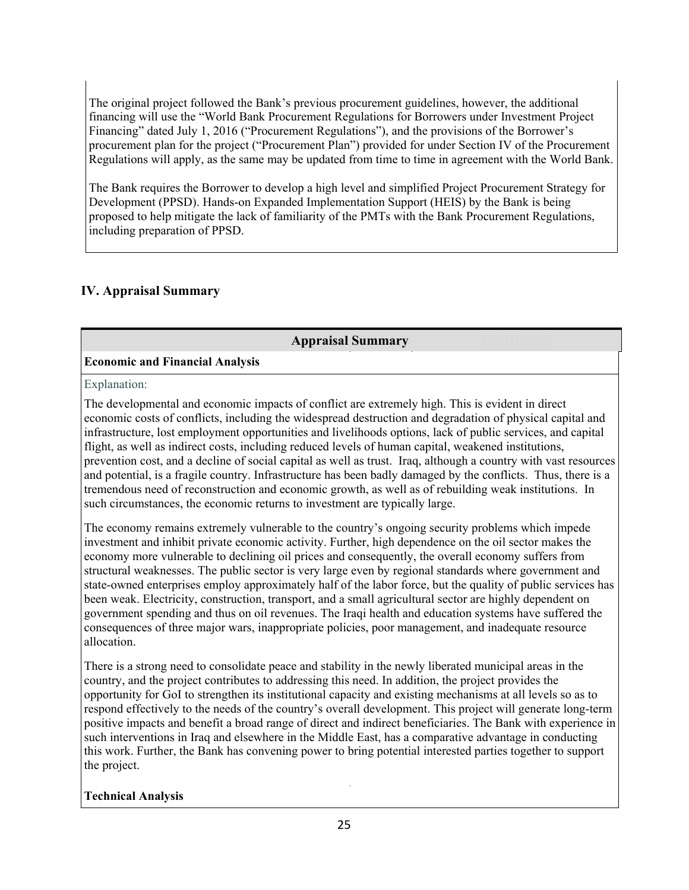The original project followed the Bank's previous procurement guidelines, however, the additional financing will use the "World Bank Procurement Regulations for Borrowers under Investment Project Financing" dated July 1, 2016 ("Procurement Regulations"), and the provisions of the Borrower's procurement plan for the project ("Procurement Plan") provided for under Section IV of the Procurement Regulations will apply, as the same may be updated from time to time in agreement with the World Bank.

The Bank requires the Borrower to develop a high level and simplified Project Procurement Strategy for Development (PPSD). Hands-on Expanded Implementation Support (HEIS) by the Bank is being proposed to help mitigate the lack of familiarity of the PMTs with the Bank Procurement Regulations, including preparation of PPSD.

# **IV. Appraisal Summary**

## **Appraisal Summary**

# **Economic and Financial Analysis**

Explanation:

The developmental and economic impacts of conflict are extremely high. This is evident in direct economic costs of conflicts, including the widespread destruction and degradation of physical capital and infrastructure, lost employment opportunities and livelihoods options, lack of public services, and capital flight, as well as indirect costs, including reduced levels of human capital, weakened institutions, prevention cost, and a decline of social capital as well as trust. Iraq, although a country with vast resources and potential, is a fragile country. Infrastructure has been badly damaged by the conflicts. Thus, there is a tremendous need of reconstruction and economic growth, as well as of rebuilding weak institutions. In such circumstances, the economic returns to investment are typically large.

The economy remains extremely vulnerable to the country's ongoing security problems which impede investment and inhibit private economic activity. Further, high dependence on the oil sector makes the economy more vulnerable to declining oil prices and consequently, the overall economy suffers from structural weaknesses. The public sector is very large even by regional standards where government and state-owned enterprises employ approximately half of the labor force, but the quality of public services has been weak. Electricity, construction, transport, and a small agricultural sector are highly dependent on government spending and thus on oil revenues. The Iraqi health and education systems have suffered the consequences of three major wars, inappropriate policies, poor management, and inadequate resource allocation.

There is a strong need to consolidate peace and stability in the newly liberated municipal areas in the country, and the project contributes to addressing this need. In addition, the project provides the opportunity for GoI to strengthen its institutional capacity and existing mechanisms at all levels so as to respond effectively to the needs of the country's overall development. This project will generate long-term positive impacts and benefit a broad range of direct and indirect beneficiaries. The Bank with experience in such interventions in Iraq and elsewhere in the Middle East, has a comparative advantage in conducting this work. Further, the Bank has convening power to bring potential interested parties together to support the project.

# **Technical Analysis**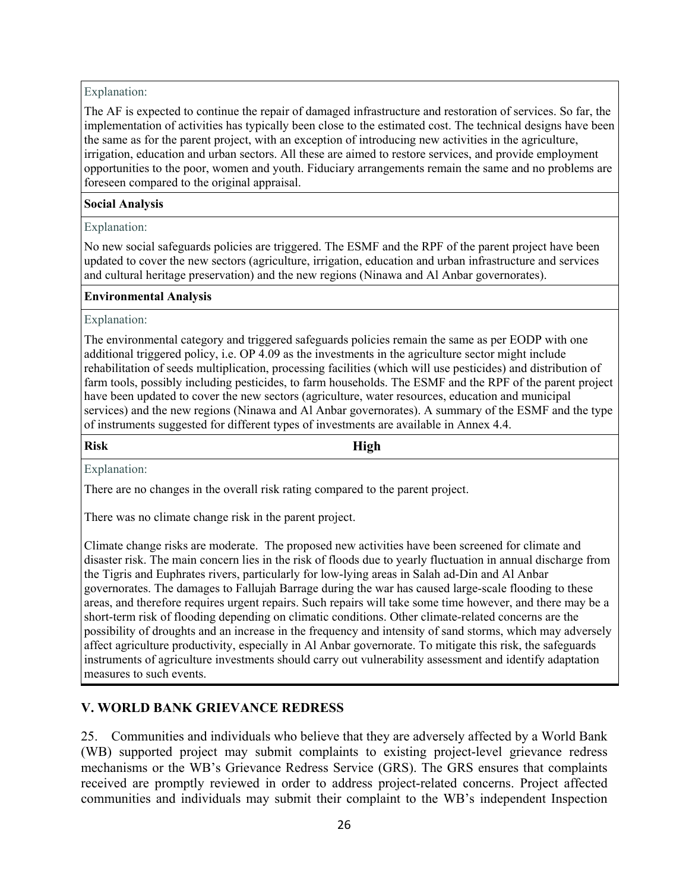## Explanation:

The AF is expected to continue the repair of damaged infrastructure and restoration of services. So far, the implementation of activities has typically been close to the estimated cost. The technical designs have been the same as for the parent project, with an exception of introducing new activities in the agriculture, irrigation, education and urban sectors. All these are aimed to restore services, and provide employment opportunities to the poor, women and youth. Fiduciary arrangements remain the same and no problems are foreseen compared to the original appraisal.

### **Social Analysis**

### Explanation:

No new social safeguards policies are triggered. The ESMF and the RPF of the parent project have been updated to cover the new sectors (agriculture, irrigation, education and urban infrastructure and services and cultural heritage preservation) and the new regions (Ninawa and Al Anbar governorates).

### **Environmental Analysis**

### Explanation:

The environmental category and triggered safeguards policies remain the same as per EODP with one additional triggered policy, i.e. OP 4.09 as the investments in the agriculture sector might include rehabilitation of seeds multiplication, processing facilities (which will use pesticides) and distribution of farm tools, possibly including pesticides, to farm households. The ESMF and the RPF of the parent project have been updated to cover the new sectors (agriculture, water resources, education and municipal services) and the new regions (Ninawa and Al Anbar governorates). A summary of the ESMF and the type of instruments suggested for different types of investments are available in Annex 4.4.

#### **Risk High**

Explanation:

There are no changes in the overall risk rating compared to the parent project.

There was no climate change risk in the parent project.

Climate change risks are moderate. The proposed new activities have been screened for climate and disaster risk. The main concern lies in the risk of floods due to yearly fluctuation in annual discharge from the Tigris and Euphrates rivers, particularly for low-lying areas in Salah ad-Din and Al Anbar governorates. The damages to Fallujah Barrage during the war has caused large-scale flooding to these areas, and therefore requires urgent repairs. Such repairs will take some time however, and there may be a short-term risk of flooding depending on climatic conditions. Other climate-related concerns are the possibility of droughts and an increase in the frequency and intensity of sand storms, which may adversely affect agriculture productivity, especially in Al Anbar governorate. To mitigate this risk, the safeguards instruments of agriculture investments should carry out vulnerability assessment and identify adaptation measures to such events.

# **V. WORLD BANK GRIEVANCE REDRESS**

25. Communities and individuals who believe that they are adversely affected by a World Bank (WB) supported project may submit complaints to existing project-level grievance redress mechanisms or the WB's Grievance Redress Service (GRS). The GRS ensures that complaints received are promptly reviewed in order to address project-related concerns. Project affected communities and individuals may submit their complaint to the WB's independent Inspection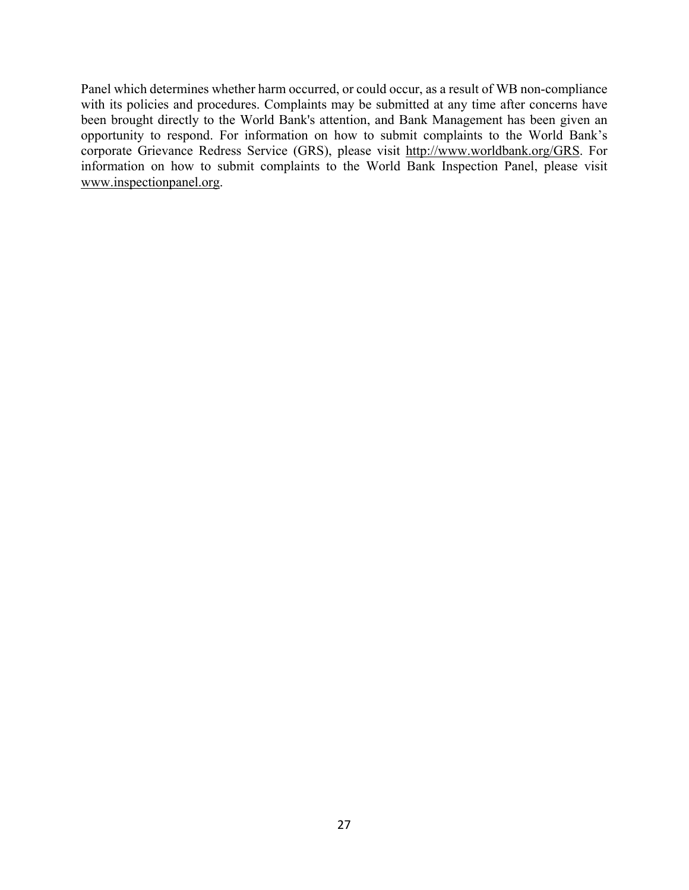Panel which determines whether harm occurred, or could occur, as a result of WB non-compliance with its policies and procedures. Complaints may be submitted at any time after concerns have been brought directly to the World Bank's attention, and Bank Management has been given an opportunity to respond. For information on how to submit complaints to the World Bank's corporate Grievance Redress Service (GRS), please visit http://www.worldbank.org/GRS. For information on how to submit complaints to the World Bank Inspection Panel, please visit www.inspectionpanel.org.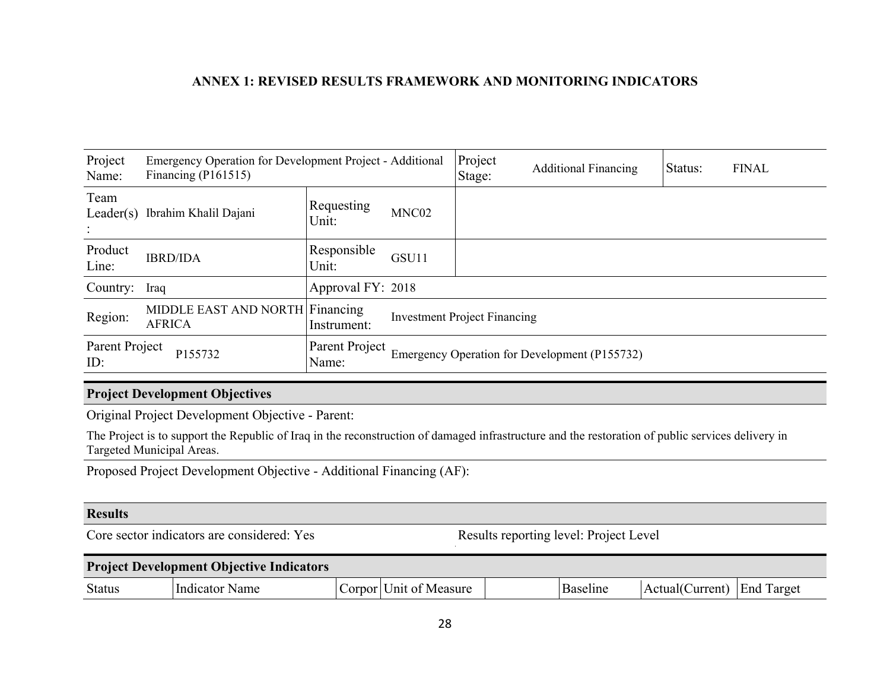## **ANNEX 1: REVISED RESULTS FRAMEWORK AND MONITORING INDICATORS**

| Project<br>Name:      | Emergency Operation for Development Project - Additional<br>Financing $(PI61515)$ |                         |                                               | Project<br>Stage: | <b>Additional Financing</b> | Status: | <b>FINAL</b> |
|-----------------------|-----------------------------------------------------------------------------------|-------------------------|-----------------------------------------------|-------------------|-----------------------------|---------|--------------|
| Team                  | Leader(s) Ibrahim Khalil Dajani                                                   | Requesting<br>Unit:     | MNC02                                         |                   |                             |         |              |
| Product<br>Line:      | <b>IBRD/IDA</b>                                                                   | Responsible<br>Unit:    | GSU11                                         |                   |                             |         |              |
| Country: Iraq         |                                                                                   | Approval FY: 2018       |                                               |                   |                             |         |              |
| Region:               | MIDDLE EAST AND NORTH Financing<br><b>AFRICA</b>                                  | Instrument:             | <b>Investment Project Financing</b>           |                   |                             |         |              |
| Parent Project<br>ID: | P155732                                                                           | Parent Project<br>Name: | Emergency Operation for Development (P155732) |                   |                             |         |              |

## **Project Development Objectives**

Original Project Development Objective - Parent:

The Project is to support the Republic of Iraq in the reconstruction of damaged infrastructure and the restoration of public services delivery in Targeted Municipal Areas.

Proposed Project Development Objective - Additional Financing (AF):

### **Results**

Core sector indicators are considered: Yes Results reporting level: Project Level

| <b>Project Development Objective Indicators</b> |                |  |                        |  |          |                 |                   |
|-------------------------------------------------|----------------|--|------------------------|--|----------|-----------------|-------------------|
| <b>Status</b>                                   | Indicator Name |  | Corpor Unit of Measure |  | Baseline | Actual(Current) | <b>End Target</b> |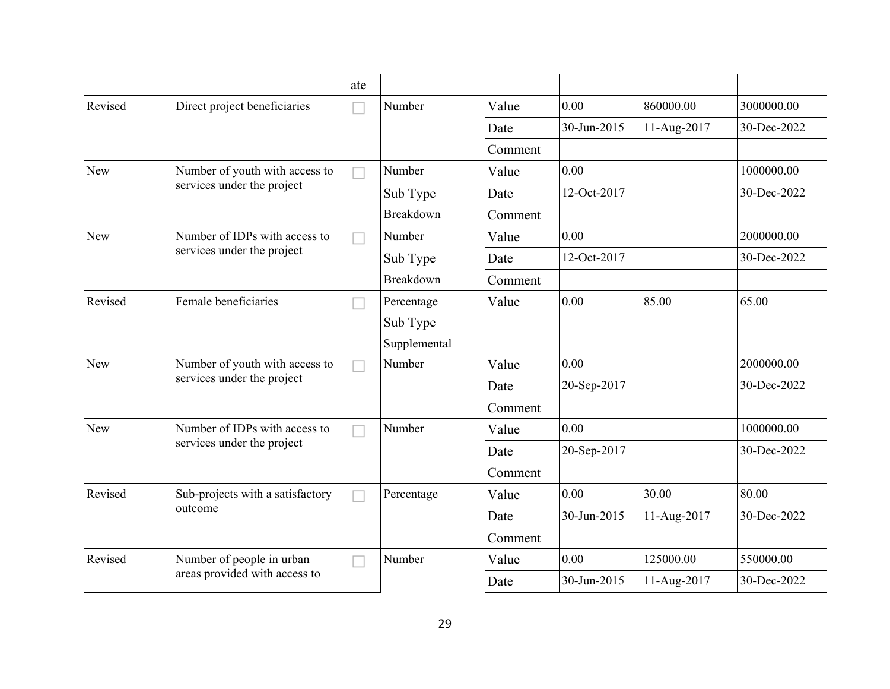|         |                                  | ate                      |              |         |             |             |             |
|---------|----------------------------------|--------------------------|--------------|---------|-------------|-------------|-------------|
| Revised | Direct project beneficiaries     |                          | Number       | Value   | 0.00        | 860000.00   | 3000000.00  |
|         |                                  |                          |              | Date    | 30-Jun-2015 | 11-Aug-2017 | 30-Dec-2022 |
|         |                                  |                          |              | Comment |             |             |             |
| New     | Number of youth with access to   | $\overline{\phantom{a}}$ | Number       | Value   | 0.00        |             | 1000000.00  |
|         | services under the project       |                          | Sub Type     | Date    | 12-Oct-2017 |             | 30-Dec-2022 |
|         |                                  |                          | Breakdown    | Comment |             |             |             |
| New     | Number of IDPs with access to    |                          | Number       | Value   | 0.00        |             | 2000000.00  |
|         | services under the project       |                          | Sub Type     | Date    | 12-Oct-2017 |             | 30-Dec-2022 |
|         |                                  |                          | Breakdown    | Comment |             |             |             |
| Revised | Female beneficiaries             |                          | Percentage   | Value   | 0.00        | 85.00       | 65.00       |
|         |                                  |                          | Sub Type     |         |             |             |             |
|         |                                  |                          | Supplemental |         |             |             |             |
| New     | Number of youth with access to   |                          | Number       | Value   | 0.00        |             | 2000000.00  |
|         | services under the project       |                          |              | Date    | 20-Sep-2017 |             | 30-Dec-2022 |
|         |                                  |                          |              | Comment |             |             |             |
| New     | Number of IDPs with access to    |                          | Number       | Value   | 0.00        |             | 1000000.00  |
|         | services under the project       |                          |              | Date    | 20-Sep-2017 |             | 30-Dec-2022 |
|         |                                  |                          |              | Comment |             |             |             |
| Revised | Sub-projects with a satisfactory |                          | Percentage   | Value   | 0.00        | 30.00       | 80.00       |
|         | outcome                          |                          |              | Date    | 30-Jun-2015 | 11-Aug-2017 | 30-Dec-2022 |
|         |                                  |                          |              | Comment |             |             |             |
| Revised | Number of people in urban        |                          | Number       | Value   | 0.00        | 125000.00   | 550000.00   |
|         | areas provided with access to    |                          |              | Date    | 30-Jun-2015 | 11-Aug-2017 | 30-Dec-2022 |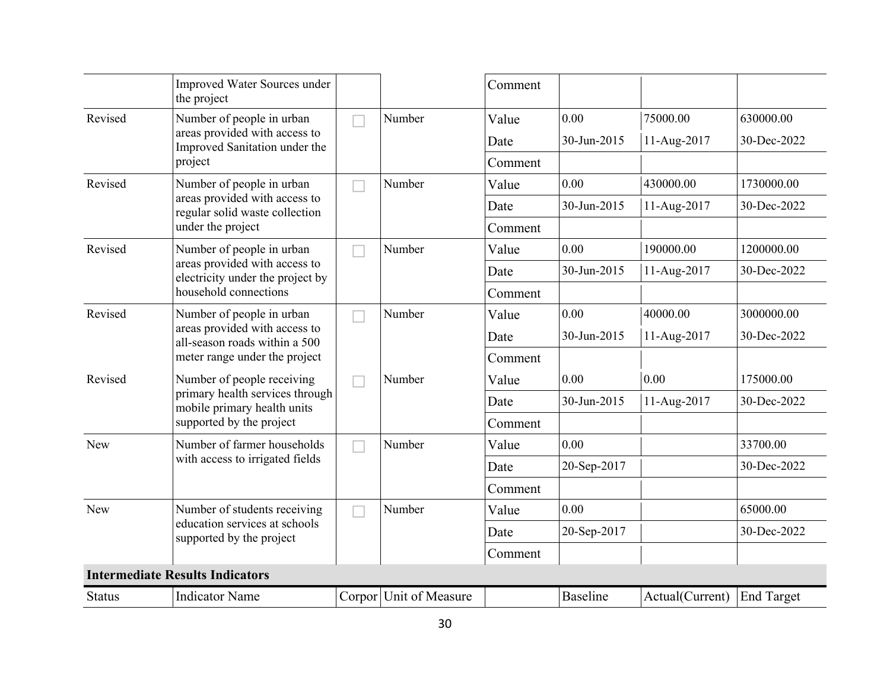|                               | Improved Water Sources under<br>the project                       |   |                        | Comment |                 |                 |                   |
|-------------------------------|-------------------------------------------------------------------|---|------------------------|---------|-----------------|-----------------|-------------------|
| Revised                       | Number of people in urban                                         |   | Number                 | Value   | 0.00            | 75000.00        | 630000.00         |
|                               | areas provided with access to<br>Improved Sanitation under the    |   |                        | Date    | 30-Jun-2015     | 11-Aug-2017     | 30-Dec-2022       |
|                               | project                                                           |   |                        | Comment |                 |                 |                   |
| Revised                       | Number of people in urban                                         |   | Number                 | Value   | 0.00            | 430000.00       | 1730000.00        |
|                               | areas provided with access to<br>regular solid waste collection   |   |                        | Date    | 30-Jun-2015     | 11-Aug-2017     | 30-Dec-2022       |
| under the project             |                                                                   |   | Comment                |         |                 |                 |                   |
| Revised                       | Number of people in urban                                         |   | Number                 | Value   | 0.00            | 190000.00       | 1200000.00        |
|                               | areas provided with access to<br>electricity under the project by |   |                        | Date    | 30-Jun-2015     | 11-Aug-2017     | 30-Dec-2022       |
| household connections         |                                                                   |   | Comment                |         |                 |                 |                   |
| Revised                       | Number of people in urban                                         |   | Number                 | Value   | 0.00            | 40000.00        | 3000000.00        |
| areas provided with access to | all-season roads within a 500                                     |   |                        | Date    | 30-Jun-2015     | 11-Aug-2017     | 30-Dec-2022       |
|                               | meter range under the project                                     |   |                        | Comment |                 |                 |                   |
| Revised                       | Number of people receiving                                        |   | Number                 | Value   | 0.00            | 0.00            | 175000.00         |
|                               | primary health services through<br>mobile primary health units    |   |                        | Date    | 30-Jun-2015     | 11-Aug-2017     | 30-Dec-2022       |
|                               | supported by the project                                          |   |                        | Comment |                 |                 |                   |
| New                           | Number of farmer households                                       | H | Number                 | Value   | 0.00            |                 | 33700.00          |
|                               | with access to irrigated fields                                   |   |                        | Date    | 20-Sep-2017     |                 | 30-Dec-2022       |
|                               |                                                                   |   |                        | Comment |                 |                 |                   |
| New                           | Number of students receiving                                      |   | Number                 | Value   | 0.00            |                 | 65000.00          |
|                               | education services at schools<br>supported by the project         |   |                        | Date    | 20-Sep-2017     |                 | 30-Dec-2022       |
|                               |                                                                   |   |                        | Comment |                 |                 |                   |
|                               | <b>Intermediate Results Indicators</b>                            |   |                        |         |                 |                 |                   |
| <b>Status</b>                 | <b>Indicator Name</b>                                             |   | Corpor Unit of Measure |         | <b>Baseline</b> | Actual(Current) | <b>End Target</b> |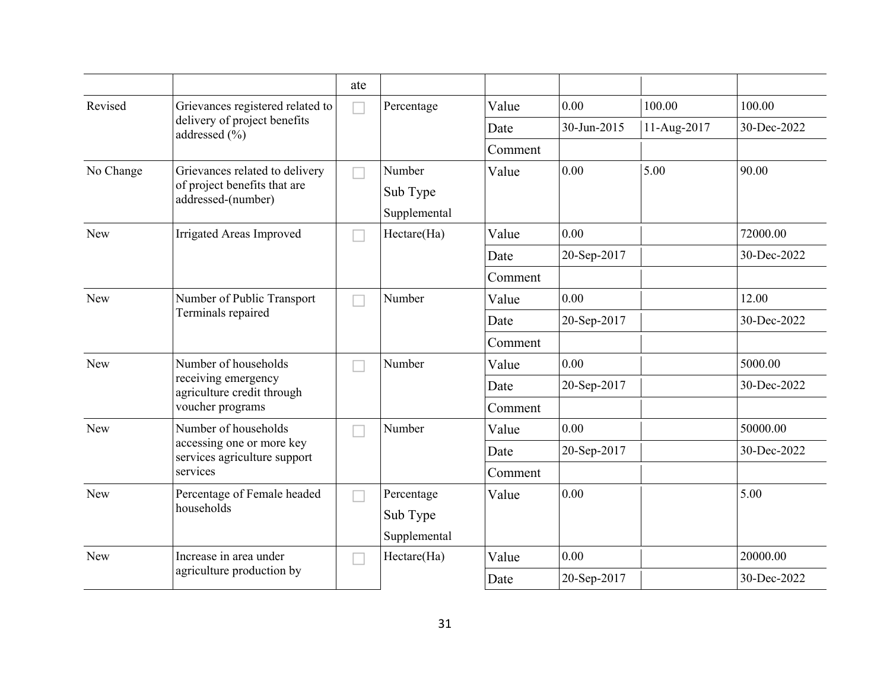|            |                                                                           | ate |              |         |             |             |             |
|------------|---------------------------------------------------------------------------|-----|--------------|---------|-------------|-------------|-------------|
| Revised    | Grievances registered related to                                          |     | Percentage   | Value   | 0.00        | 100.00      | 100.00      |
|            | delivery of project benefits<br>addressed $(\% )$                         |     |              | Date    | 30-Jun-2015 | 11-Aug-2017 | 30-Dec-2022 |
|            |                                                                           |     |              | Comment |             |             |             |
| No Change  | Grievances related to delivery                                            |     | Number       | Value   | 0.00        | 5.00        | 90.00       |
|            | of project benefits that are<br>addressed-(number)                        |     | Sub Type     |         |             |             |             |
|            |                                                                           |     | Supplemental |         |             |             |             |
| New        | <b>Irrigated Areas Improved</b>                                           |     | Hectare(Ha)  | Value   | 0.00        |             | 72000.00    |
|            |                                                                           |     |              | Date    | 20-Sep-2017 |             | 30-Dec-2022 |
|            |                                                                           |     |              | Comment |             |             |             |
| New        | Number of Public Transport<br>Terminals repaired                          |     | Number       | Value   | 0.00        |             | 12.00       |
|            |                                                                           |     |              | Date    | 20-Sep-2017 |             | 30-Dec-2022 |
|            |                                                                           |     |              | Comment |             |             |             |
| New        | Number of households<br>receiving emergency<br>agriculture credit through |     | Number       | Value   | 0.00        |             | 5000.00     |
|            |                                                                           |     |              | Date    | 20-Sep-2017 |             | 30-Dec-2022 |
|            | voucher programs                                                          |     |              | Comment |             |             |             |
| <b>New</b> | Number of households                                                      |     | Number       | Value   | 0.00        |             | 50000.00    |
|            | accessing one or more key<br>services agriculture support                 |     |              | Date    | 20-Sep-2017 |             | 30-Dec-2022 |
|            | services                                                                  |     |              | Comment |             |             |             |
| New        | Percentage of Female headed                                               |     | Percentage   | Value   | 0.00        |             | 5.00        |
|            | households                                                                |     | Sub Type     |         |             |             |             |
|            |                                                                           |     | Supplemental |         |             |             |             |
| New        | Increase in area under                                                    |     | Hectare(Ha)  | Value   | 0.00        |             | 20000.00    |
|            | agriculture production by                                                 |     |              | Date    | 20-Sep-2017 |             | 30-Dec-2022 |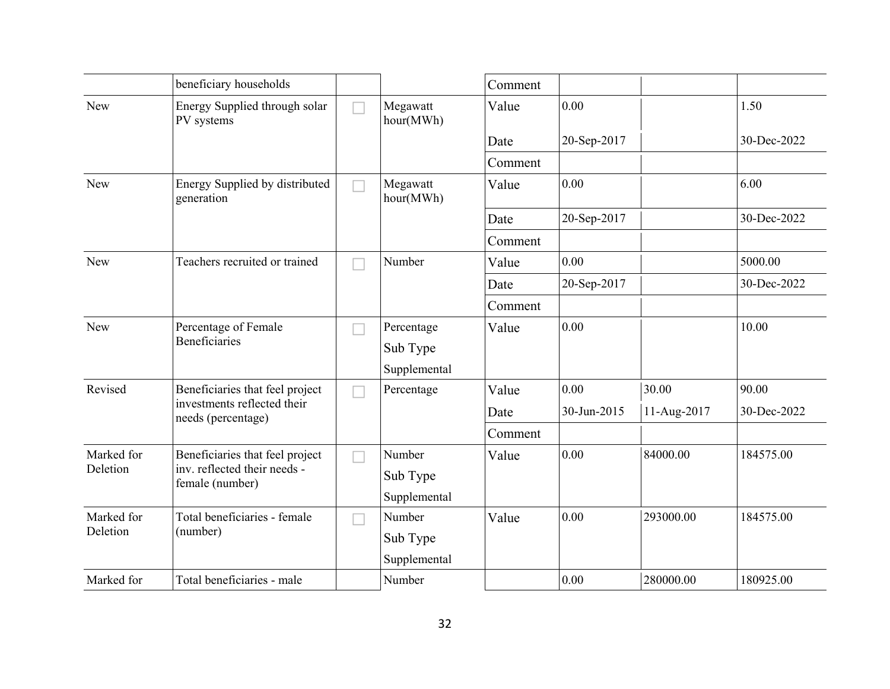|            | beneficiary households                            |                       | Comment |             |             |             |
|------------|---------------------------------------------------|-----------------------|---------|-------------|-------------|-------------|
| New        | Energy Supplied through solar<br>PV systems       | Megawatt<br>hour(MWh) | Value   | 0.00        |             | 1.50        |
|            |                                                   |                       | Date    | 20-Sep-2017 |             | 30-Dec-2022 |
|            |                                                   |                       | Comment |             |             |             |
| New        | Energy Supplied by distributed<br>generation      | Megawatt<br>hour(MWh) | Value   | 0.00        |             | 6.00        |
|            |                                                   |                       | Date    | 20-Sep-2017 |             | 30-Dec-2022 |
|            |                                                   |                       | Comment |             |             |             |
| New        | Teachers recruited or trained                     | Number                | Value   | 0.00        |             | 5000.00     |
|            |                                                   |                       | Date    | 20-Sep-2017 |             | 30-Dec-2022 |
|            |                                                   |                       | Comment |             |             |             |
| New        | Percentage of Female                              | Percentage            | Value   | 0.00        |             | 10.00       |
|            | <b>Beneficiaries</b>                              | Sub Type              |         |             |             |             |
|            |                                                   | Supplemental          |         |             |             |             |
| Revised    | Beneficiaries that feel project                   | Percentage            | Value   | 0.00        | 30.00       | 90.00       |
|            | investments reflected their<br>needs (percentage) |                       | Date    | 30-Jun-2015 | 11-Aug-2017 | 30-Dec-2022 |
|            |                                                   |                       | Comment |             |             |             |
| Marked for | Beneficiaries that feel project                   | Number                | Value   | 0.00        | 84000.00    | 184575.00   |
| Deletion   | inv. reflected their needs -<br>female (number)   | Sub Type              |         |             |             |             |
|            |                                                   | Supplemental          |         |             |             |             |
| Marked for | Total beneficiaries - female                      | Number                | Value   | 0.00        | 293000.00   | 184575.00   |
| Deletion   | (number)                                          | Sub Type              |         |             |             |             |
|            |                                                   | Supplemental          |         |             |             |             |
| Marked for | Total beneficiaries - male                        | Number                |         | 0.00        | 280000.00   | 180925.00   |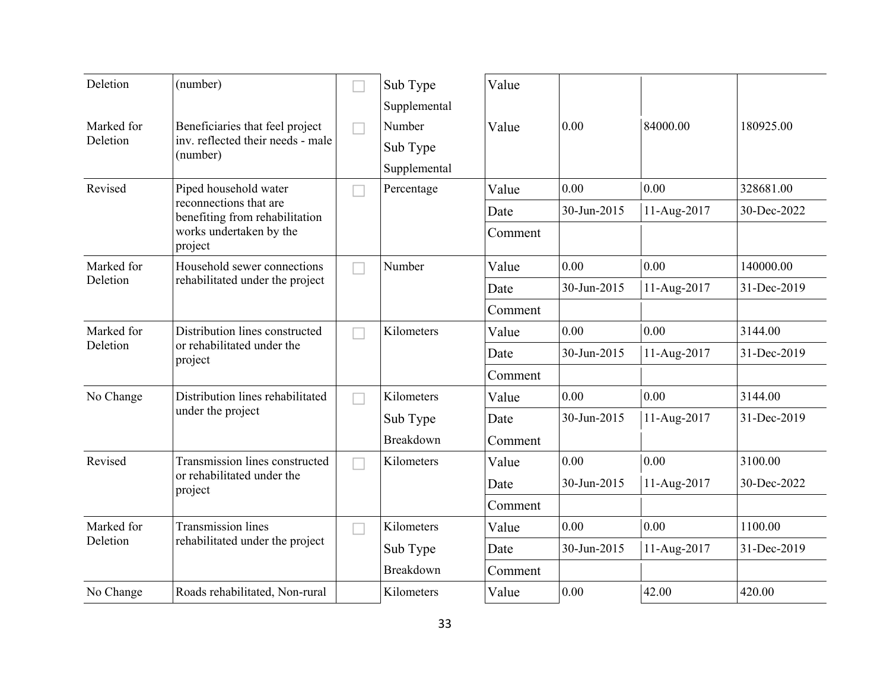| Deletion               | (number)                                                                         | Sub Type<br>Supplemental           | Value   |             |             |             |
|------------------------|----------------------------------------------------------------------------------|------------------------------------|---------|-------------|-------------|-------------|
| Marked for<br>Deletion | Beneficiaries that feel project<br>inv. reflected their needs - male<br>(number) | Number<br>Sub Type<br>Supplemental | Value   | 0.00        | 84000.00    | 180925.00   |
| Revised                | Piped household water                                                            | Percentage                         | Value   | 0.00        | 0.00        | 328681.00   |
|                        | reconnections that are<br>benefiting from rehabilitation                         |                                    | Date    | 30-Jun-2015 | 11-Aug-2017 | 30-Dec-2022 |
|                        | works undertaken by the<br>project                                               |                                    | Comment |             |             |             |
| Marked for             | Household sewer connections                                                      | Number                             | Value   | 0.00        | 0.00        | 140000.00   |
| Deletion               | rehabilitated under the project                                                  |                                    | Date    | 30-Jun-2015 | 11-Aug-2017 | 31-Dec-2019 |
|                        |                                                                                  |                                    | Comment |             |             |             |
| Marked for             | Distribution lines constructed                                                   | Kilometers                         | Value   | 0.00        | 0.00        | 3144.00     |
| Deletion               | or rehabilitated under the<br>project                                            |                                    | Date    | 30-Jun-2015 | 11-Aug-2017 | 31-Dec-2019 |
|                        |                                                                                  |                                    | Comment |             |             |             |
| No Change              | Distribution lines rehabilitated                                                 | Kilometers                         | Value   | 0.00        | 0.00        | 3144.00     |
|                        | under the project                                                                | Sub Type                           | Date    | 30-Jun-2015 | 11-Aug-2017 | 31-Dec-2019 |
|                        |                                                                                  | Breakdown                          | Comment |             |             |             |
| Revised                | Transmission lines constructed                                                   | Kilometers                         | Value   | 0.00        | 0.00        | 3100.00     |
|                        | or rehabilitated under the<br>project                                            |                                    | Date    | 30-Jun-2015 | 11-Aug-2017 | 30-Dec-2022 |
|                        |                                                                                  |                                    | Comment |             |             |             |
| Marked for             | <b>Transmission lines</b>                                                        | Kilometers                         | Value   | 0.00        | 0.00        | 1100.00     |
| Deletion               | rehabilitated under the project                                                  | Sub Type                           | Date    | 30-Jun-2015 | 11-Aug-2017 | 31-Dec-2019 |
|                        |                                                                                  | Breakdown                          | Comment |             |             |             |
| No Change              | Roads rehabilitated, Non-rural                                                   | Kilometers                         | Value   | 0.00        | 42.00       | 420.00      |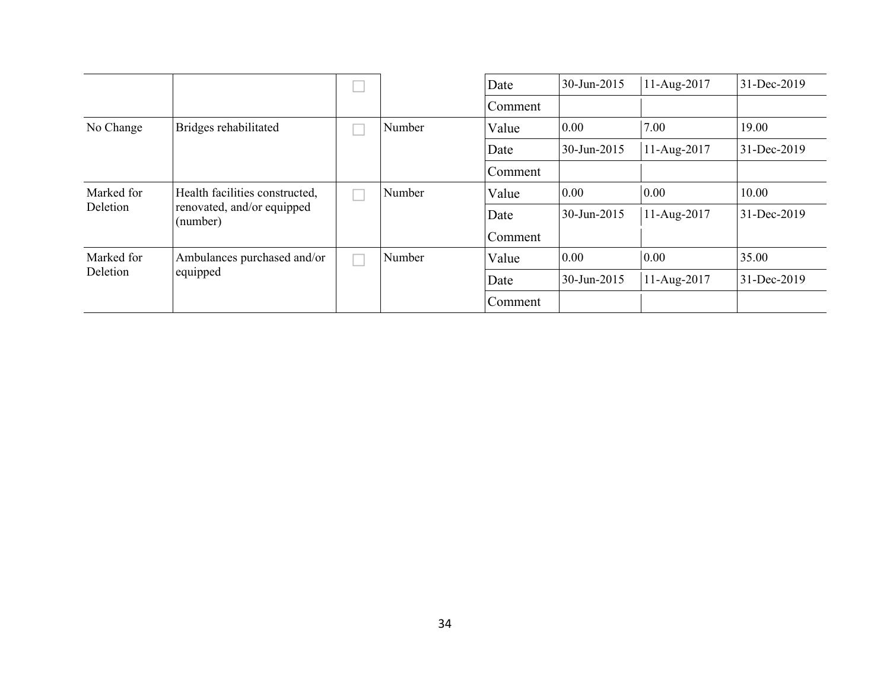|            |                                        |        | Date    | 30-Jun-2015 | 11-Aug-2017 | 31-Dec-2019 |
|------------|----------------------------------------|--------|---------|-------------|-------------|-------------|
|            |                                        |        | Comment |             |             |             |
| No Change  | Bridges rehabilitated                  | Number | Value   | 0.00        | 7.00        | 19.00       |
|            |                                        |        | Date    | 30-Jun-2015 | 11-Aug-2017 | 31-Dec-2019 |
|            |                                        |        | Comment |             |             |             |
| Marked for | Health facilities constructed,         | Number | Value   | 0.00        | 0.00        | 10.00       |
| Deletion   | renovated, and/or equipped<br>(number) |        | Date    | 30-Jun-2015 | 11-Aug-2017 | 31-Dec-2019 |
|            |                                        |        | Comment |             |             |             |
| Marked for | Ambulances purchased and/or            | Number | Value   | 0.00        | 0.00        | 35.00       |
| Deletion   | equipped                               |        | Date    | 30-Jun-2015 | 11-Aug-2017 | 31-Dec-2019 |
|            |                                        |        | Comment |             |             |             |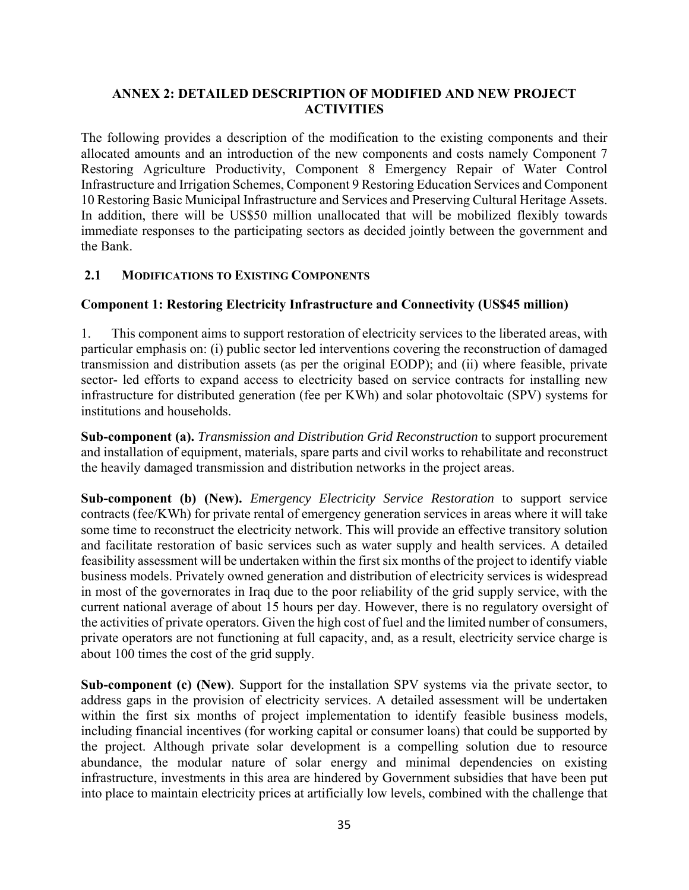# **ANNEX 2: DETAILED DESCRIPTION OF MODIFIED AND NEW PROJECT ACTIVITIES**

The following provides a description of the modification to the existing components and their allocated amounts and an introduction of the new components and costs namely Component 7 Restoring Agriculture Productivity, Component 8 Emergency Repair of Water Control Infrastructure and Irrigation Schemes, Component 9 Restoring Education Services and Component 10 Restoring Basic Municipal Infrastructure and Services and Preserving Cultural Heritage Assets. In addition, there will be US\$50 million unallocated that will be mobilized flexibly towards immediate responses to the participating sectors as decided jointly between the government and the Bank.

## **2.1 MODIFICATIONS TO EXISTING COMPONENTS**

## **Component 1: Restoring Electricity Infrastructure and Connectivity (US\$45 million)**

1. This component aims to support restoration of electricity services to the liberated areas, with particular emphasis on: (i) public sector led interventions covering the reconstruction of damaged transmission and distribution assets (as per the original EODP); and (ii) where feasible, private sector- led efforts to expand access to electricity based on service contracts for installing new infrastructure for distributed generation (fee per KWh) and solar photovoltaic (SPV) systems for institutions and households.

**Sub-component (a).** *Transmission and Distribution Grid Reconstruction* to support procurement and installation of equipment, materials, spare parts and civil works to rehabilitate and reconstruct the heavily damaged transmission and distribution networks in the project areas.

**Sub-component (b) (New).** *Emergency Electricity Service Restoration* to support service contracts (fee/KWh) for private rental of emergency generation services in areas where it will take some time to reconstruct the electricity network. This will provide an effective transitory solution and facilitate restoration of basic services such as water supply and health services. A detailed feasibility assessment will be undertaken within the first six months of the project to identify viable business models. Privately owned generation and distribution of electricity services is widespread in most of the governorates in Iraq due to the poor reliability of the grid supply service, with the current national average of about 15 hours per day. However, there is no regulatory oversight of the activities of private operators. Given the high cost of fuel and the limited number of consumers, private operators are not functioning at full capacity, and, as a result, electricity service charge is about 100 times the cost of the grid supply.

**Sub-component (c) (New)**. Support for the installation SPV systems via the private sector, to address gaps in the provision of electricity services. A detailed assessment will be undertaken within the first six months of project implementation to identify feasible business models, including financial incentives (for working capital or consumer loans) that could be supported by the project. Although private solar development is a compelling solution due to resource abundance, the modular nature of solar energy and minimal dependencies on existing infrastructure, investments in this area are hindered by Government subsidies that have been put into place to maintain electricity prices at artificially low levels, combined with the challenge that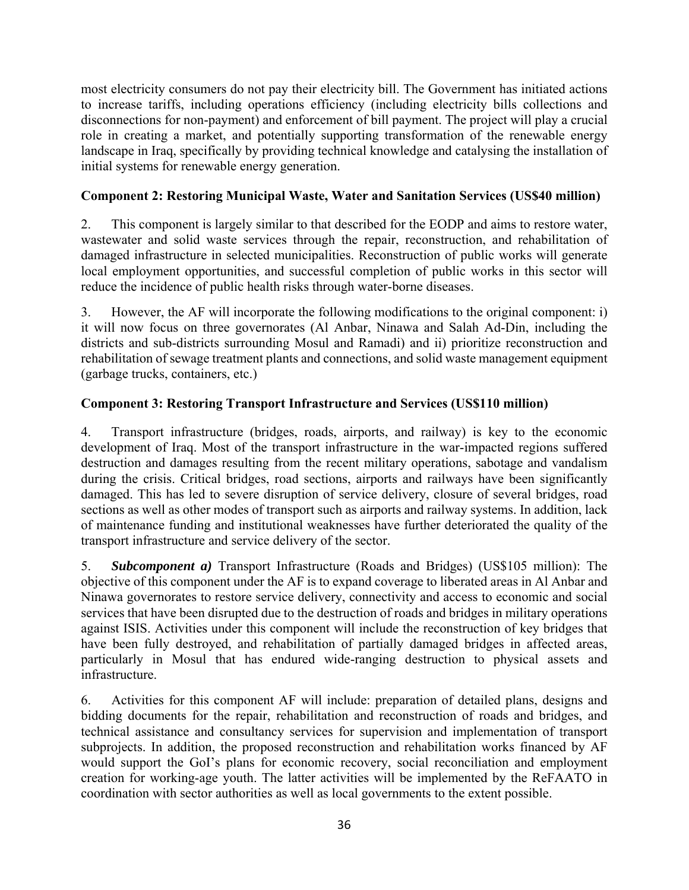most electricity consumers do not pay their electricity bill. The Government has initiated actions to increase tariffs, including operations efficiency (including electricity bills collections and disconnections for non-payment) and enforcement of bill payment. The project will play a crucial role in creating a market, and potentially supporting transformation of the renewable energy landscape in Iraq, specifically by providing technical knowledge and catalysing the installation of initial systems for renewable energy generation.

# **Component 2: Restoring Municipal Waste, Water and Sanitation Services (US\$40 million)**

2. This component is largely similar to that described for the EODP and aims to restore water, wastewater and solid waste services through the repair, reconstruction, and rehabilitation of damaged infrastructure in selected municipalities. Reconstruction of public works will generate local employment opportunities, and successful completion of public works in this sector will reduce the incidence of public health risks through water-borne diseases.

3. However, the AF will incorporate the following modifications to the original component: i) it will now focus on three governorates (Al Anbar, Ninawa and Salah Ad-Din, including the districts and sub-districts surrounding Mosul and Ramadi) and ii) prioritize reconstruction and rehabilitation of sewage treatment plants and connections, and solid waste management equipment (garbage trucks, containers, etc.)

# **Component 3: Restoring Transport Infrastructure and Services (US\$110 million)**

4. Transport infrastructure (bridges, roads, airports, and railway) is key to the economic development of Iraq. Most of the transport infrastructure in the war-impacted regions suffered destruction and damages resulting from the recent military operations, sabotage and vandalism during the crisis. Critical bridges, road sections, airports and railways have been significantly damaged. This has led to severe disruption of service delivery, closure of several bridges, road sections as well as other modes of transport such as airports and railway systems. In addition, lack of maintenance funding and institutional weaknesses have further deteriorated the quality of the transport infrastructure and service delivery of the sector.

5. *Subcomponent a)* Transport Infrastructure (Roads and Bridges) (US\$105 million): The objective of this component under the AF is to expand coverage to liberated areas in Al Anbar and Ninawa governorates to restore service delivery, connectivity and access to economic and social services that have been disrupted due to the destruction of roads and bridges in military operations against ISIS. Activities under this component will include the reconstruction of key bridges that have been fully destroyed, and rehabilitation of partially damaged bridges in affected areas, particularly in Mosul that has endured wide-ranging destruction to physical assets and infrastructure.

6. Activities for this component AF will include: preparation of detailed plans, designs and bidding documents for the repair, rehabilitation and reconstruction of roads and bridges, and technical assistance and consultancy services for supervision and implementation of transport subprojects. In addition, the proposed reconstruction and rehabilitation works financed by AF would support the GoI's plans for economic recovery, social reconciliation and employment creation for working-age youth. The latter activities will be implemented by the ReFAATO in coordination with sector authorities as well as local governments to the extent possible.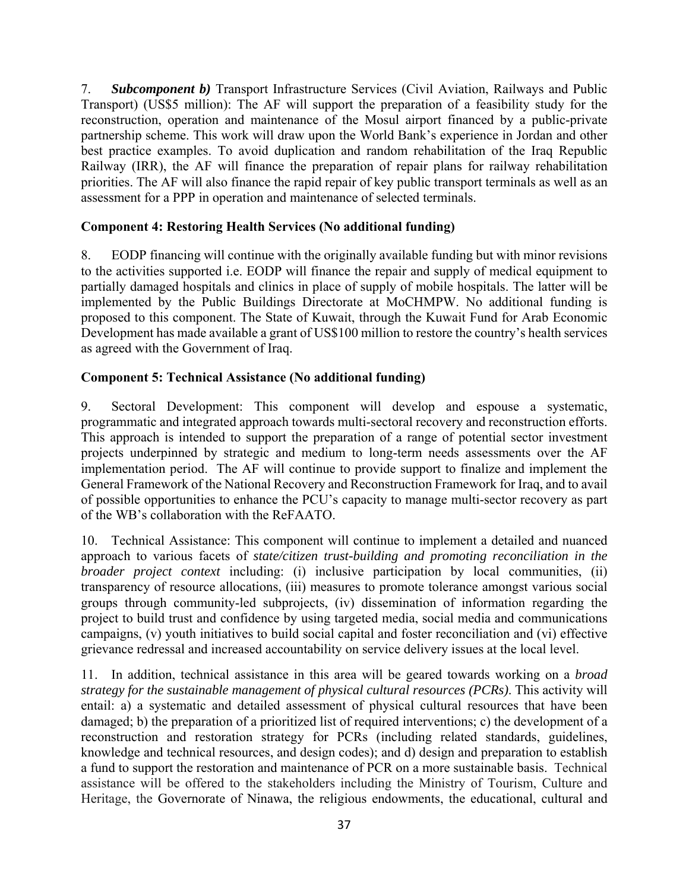7. *Subcomponent b)* Transport Infrastructure Services (Civil Aviation, Railways and Public Transport) (US\$5 million): The AF will support the preparation of a feasibility study for the reconstruction, operation and maintenance of the Mosul airport financed by a public-private partnership scheme. This work will draw upon the World Bank's experience in Jordan and other best practice examples. To avoid duplication and random rehabilitation of the Iraq Republic Railway (IRR), the AF will finance the preparation of repair plans for railway rehabilitation priorities. The AF will also finance the rapid repair of key public transport terminals as well as an assessment for a PPP in operation and maintenance of selected terminals.

# **Component 4: Restoring Health Services (No additional funding)**

8. EODP financing will continue with the originally available funding but with minor revisions to the activities supported i.e. EODP will finance the repair and supply of medical equipment to partially damaged hospitals and clinics in place of supply of mobile hospitals. The latter will be implemented by the Public Buildings Directorate at MoCHMPW. No additional funding is proposed to this component. The State of Kuwait, through the Kuwait Fund for Arab Economic Development has made available a grant of US\$100 million to restore the country's health services as agreed with the Government of Iraq.

# **Component 5: Technical Assistance (No additional funding)**

9. Sectoral Development: This component will develop and espouse a systematic, programmatic and integrated approach towards multi-sectoral recovery and reconstruction efforts. This approach is intended to support the preparation of a range of potential sector investment projects underpinned by strategic and medium to long-term needs assessments over the AF implementation period. The AF will continue to provide support to finalize and implement the General Framework of the National Recovery and Reconstruction Framework for Iraq, and to avail of possible opportunities to enhance the PCU's capacity to manage multi-sector recovery as part of the WB's collaboration with the ReFAATO.

10. Technical Assistance: This component will continue to implement a detailed and nuanced approach to various facets of *state/citizen trust-building and promoting reconciliation in the broader project context* including: (i) inclusive participation by local communities, (ii) transparency of resource allocations, (iii) measures to promote tolerance amongst various social groups through community-led subprojects, (iv) dissemination of information regarding the project to build trust and confidence by using targeted media, social media and communications campaigns, (v) youth initiatives to build social capital and foster reconciliation and (vi) effective grievance redressal and increased accountability on service delivery issues at the local level.

11. In addition, technical assistance in this area will be geared towards working on a *broad strategy for the sustainable management of physical cultural resources (PCRs)*. This activity will entail: a) a systematic and detailed assessment of physical cultural resources that have been damaged; b) the preparation of a prioritized list of required interventions; c) the development of a reconstruction and restoration strategy for PCRs (including related standards, guidelines, knowledge and technical resources, and design codes); and d) design and preparation to establish a fund to support the restoration and maintenance of PCR on a more sustainable basis. Technical assistance will be offered to the stakeholders including the Ministry of Tourism, Culture and Heritage, the Governorate of Ninawa, the religious endowments, the educational, cultural and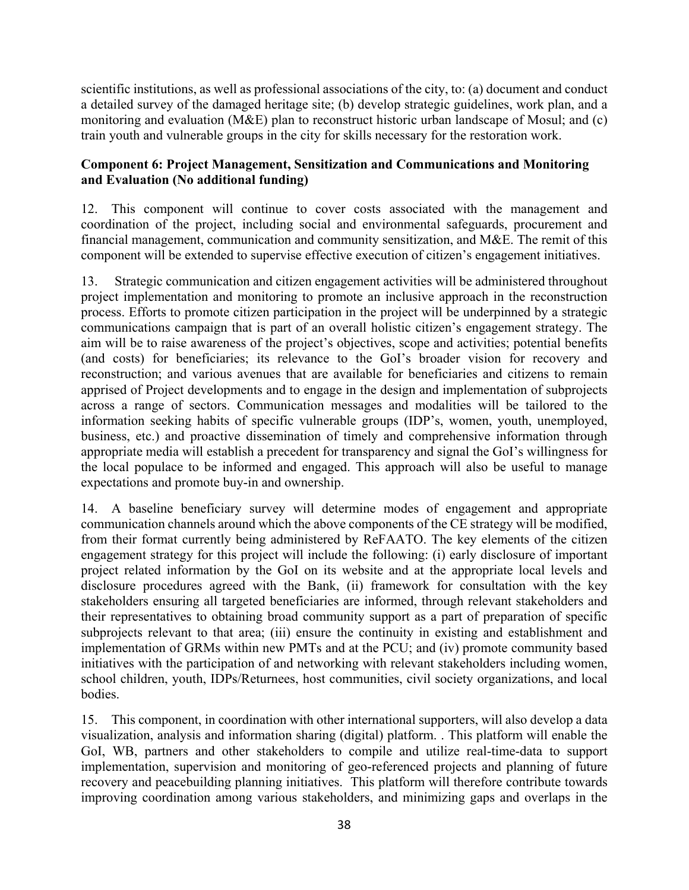scientific institutions, as well as professional associations of the city, to: (a) document and conduct a detailed survey of the damaged heritage site; (b) develop strategic guidelines, work plan, and a monitoring and evaluation (M&E) plan to reconstruct historic urban landscape of Mosul; and (c) train youth and vulnerable groups in the city for skills necessary for the restoration work.

# **Component 6: Project Management, Sensitization and Communications and Monitoring and Evaluation (No additional funding)**

12. This component will continue to cover costs associated with the management and coordination of the project, including social and environmental safeguards, procurement and financial management, communication and community sensitization, and M&E. The remit of this component will be extended to supervise effective execution of citizen's engagement initiatives.

13. Strategic communication and citizen engagement activities will be administered throughout project implementation and monitoring to promote an inclusive approach in the reconstruction process. Efforts to promote citizen participation in the project will be underpinned by a strategic communications campaign that is part of an overall holistic citizen's engagement strategy. The aim will be to raise awareness of the project's objectives, scope and activities; potential benefits (and costs) for beneficiaries; its relevance to the GoI's broader vision for recovery and reconstruction; and various avenues that are available for beneficiaries and citizens to remain apprised of Project developments and to engage in the design and implementation of subprojects across a range of sectors. Communication messages and modalities will be tailored to the information seeking habits of specific vulnerable groups (IDP's, women, youth, unemployed, business, etc.) and proactive dissemination of timely and comprehensive information through appropriate media will establish a precedent for transparency and signal the GoI's willingness for the local populace to be informed and engaged. This approach will also be useful to manage expectations and promote buy-in and ownership.

14. A baseline beneficiary survey will determine modes of engagement and appropriate communication channels around which the above components of the CE strategy will be modified, from their format currently being administered by ReFAATO. The key elements of the citizen engagement strategy for this project will include the following: (i) early disclosure of important project related information by the GoI on its website and at the appropriate local levels and disclosure procedures agreed with the Bank, (ii) framework for consultation with the key stakeholders ensuring all targeted beneficiaries are informed, through relevant stakeholders and their representatives to obtaining broad community support as a part of preparation of specific subprojects relevant to that area; (iii) ensure the continuity in existing and establishment and implementation of GRMs within new PMTs and at the PCU; and (iv) promote community based initiatives with the participation of and networking with relevant stakeholders including women, school children, youth, IDPs/Returnees, host communities, civil society organizations, and local bodies.

15. This component, in coordination with other international supporters, will also develop a data visualization, analysis and information sharing (digital) platform. . This platform will enable the GoI, WB, partners and other stakeholders to compile and utilize real-time-data to support implementation, supervision and monitoring of geo-referenced projects and planning of future recovery and peacebuilding planning initiatives. This platform will therefore contribute towards improving coordination among various stakeholders, and minimizing gaps and overlaps in the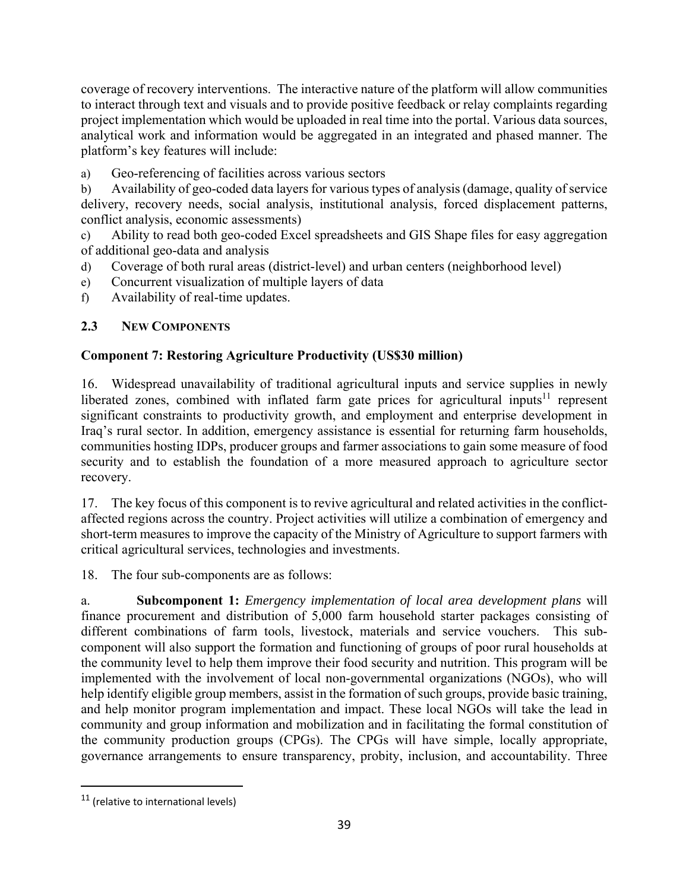coverage of recovery interventions. The interactive nature of the platform will allow communities to interact through text and visuals and to provide positive feedback or relay complaints regarding project implementation which would be uploaded in real time into the portal. Various data sources, analytical work and information would be aggregated in an integrated and phased manner. The platform's key features will include:

a) Geo-referencing of facilities across various sectors

b) Availability of geo-coded data layers for various types of analysis (damage, quality of service delivery, recovery needs, social analysis, institutional analysis, forced displacement patterns, conflict analysis, economic assessments)

c) Ability to read both geo-coded Excel spreadsheets and GIS Shape files for easy aggregation of additional geo-data and analysis

- d) Coverage of both rural areas (district-level) and urban centers (neighborhood level)
- e) Concurrent visualization of multiple layers of data
- f) Availability of real-time updates.

# **2.3 NEW COMPONENTS**

# **Component 7: Restoring Agriculture Productivity (US\$30 million)**

16. Widespread unavailability of traditional agricultural inputs and service supplies in newly liberated zones, combined with inflated farm gate prices for agricultural inputs<sup>11</sup> represent significant constraints to productivity growth, and employment and enterprise development in Iraq's rural sector. In addition, emergency assistance is essential for returning farm households, communities hosting IDPs, producer groups and farmer associations to gain some measure of food security and to establish the foundation of a more measured approach to agriculture sector recovery.

17. The key focus of this component is to revive agricultural and related activities in the conflictaffected regions across the country. Project activities will utilize a combination of emergency and short-term measures to improve the capacity of the Ministry of Agriculture to support farmers with critical agricultural services, technologies and investments.

18. The four sub-components are as follows:

a. **Subcomponent 1:** *Emergency implementation of local area development plans* will finance procurement and distribution of 5,000 farm household starter packages consisting of different combinations of farm tools, livestock, materials and service vouchers. This subcomponent will also support the formation and functioning of groups of poor rural households at the community level to help them improve their food security and nutrition. This program will be implemented with the involvement of local non-governmental organizations (NGOs), who will help identify eligible group members, assist in the formation of such groups, provide basic training, and help monitor program implementation and impact. These local NGOs will take the lead in community and group information and mobilization and in facilitating the formal constitution of the community production groups (CPGs). The CPGs will have simple, locally appropriate, governance arrangements to ensure transparency, probity, inclusion, and accountability. Three

  $11$  (relative to international levels)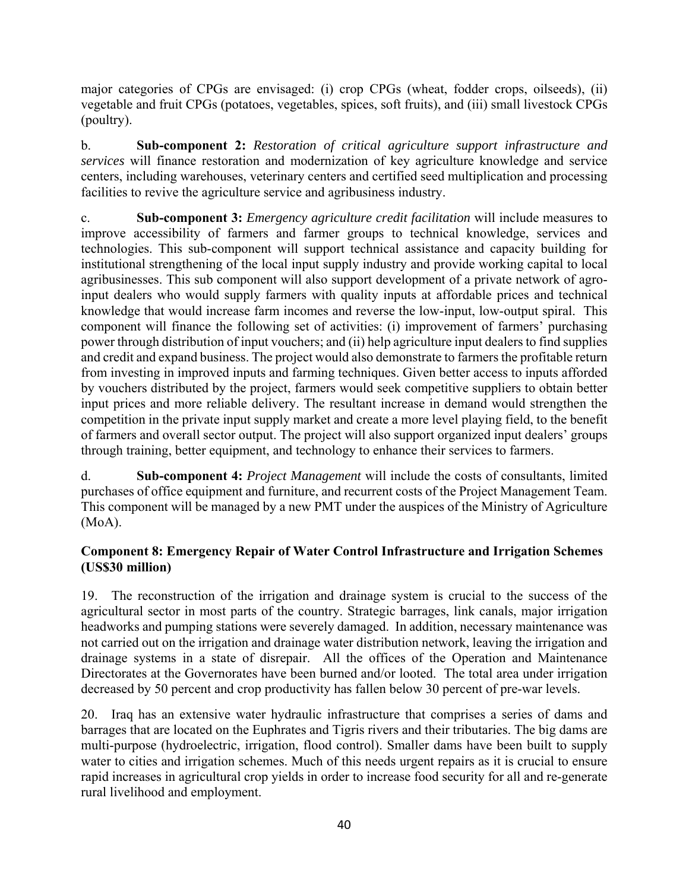major categories of CPGs are envisaged: (i) crop CPGs (wheat, fodder crops, oilseeds), (ii) vegetable and fruit CPGs (potatoes, vegetables, spices, soft fruits), and (iii) small livestock CPGs (poultry).

b. **Sub-component 2:** *Restoration of critical agriculture support infrastructure and services* will finance restoration and modernization of key agriculture knowledge and service centers, including warehouses, veterinary centers and certified seed multiplication and processing facilities to revive the agriculture service and agribusiness industry.

c. **Sub-component 3:** *Emergency agriculture credit facilitation* will include measures to improve accessibility of farmers and farmer groups to technical knowledge, services and technologies. This sub-component will support technical assistance and capacity building for institutional strengthening of the local input supply industry and provide working capital to local agribusinesses. This sub component will also support development of a private network of agroinput dealers who would supply farmers with quality inputs at affordable prices and technical knowledge that would increase farm incomes and reverse the low-input, low-output spiral. This component will finance the following set of activities: (i) improvement of farmers' purchasing power through distribution of input vouchers; and (ii) help agriculture input dealers to find supplies and credit and expand business. The project would also demonstrate to farmers the profitable return from investing in improved inputs and farming techniques. Given better access to inputs afforded by vouchers distributed by the project, farmers would seek competitive suppliers to obtain better input prices and more reliable delivery. The resultant increase in demand would strengthen the competition in the private input supply market and create a more level playing field, to the benefit of farmers and overall sector output. The project will also support organized input dealers' groups through training, better equipment, and technology to enhance their services to farmers.

d. **Sub-component 4:** *Project Management* will include the costs of consultants, limited purchases of office equipment and furniture, and recurrent costs of the Project Management Team. This component will be managed by a new PMT under the auspices of the Ministry of Agriculture (MoA).

# **Component 8: Emergency Repair of Water Control Infrastructure and Irrigation Schemes (US\$30 million)**

19. The reconstruction of the irrigation and drainage system is crucial to the success of the agricultural sector in most parts of the country. Strategic barrages, link canals, major irrigation headworks and pumping stations were severely damaged. In addition, necessary maintenance was not carried out on the irrigation and drainage water distribution network, leaving the irrigation and drainage systems in a state of disrepair. All the offices of the Operation and Maintenance Directorates at the Governorates have been burned and/or looted. The total area under irrigation decreased by 50 percent and crop productivity has fallen below 30 percent of pre-war levels.

20. Iraq has an extensive water hydraulic infrastructure that comprises a series of dams and barrages that are located on the Euphrates and Tigris rivers and their tributaries. The big dams are multi-purpose (hydroelectric, irrigation, flood control). Smaller dams have been built to supply water to cities and irrigation schemes. Much of this needs urgent repairs as it is crucial to ensure rapid increases in agricultural crop yields in order to increase food security for all and re-generate rural livelihood and employment.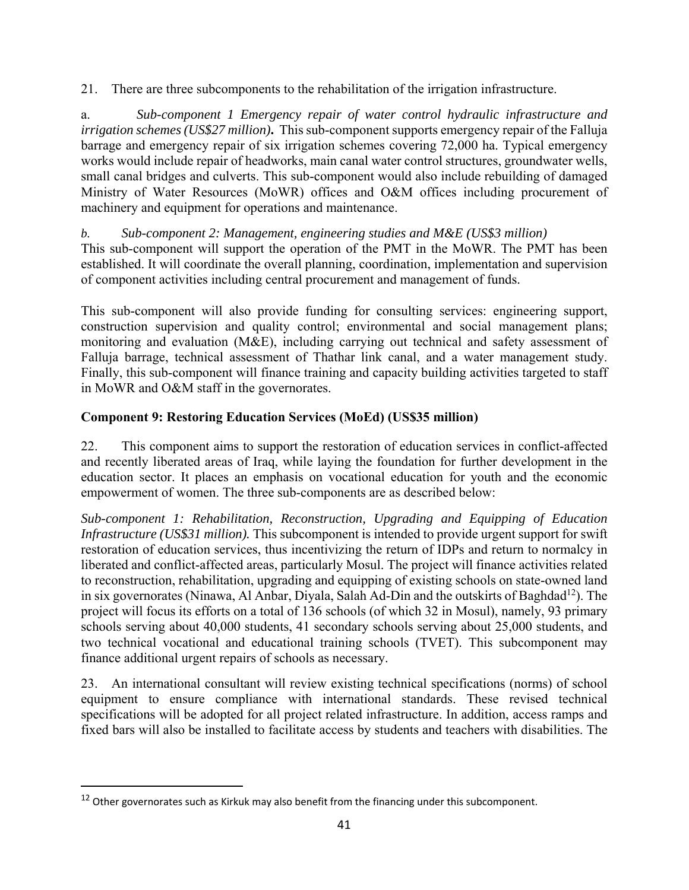21. There are three subcomponents to the rehabilitation of the irrigation infrastructure.

a. *Sub-component 1 Emergency repair of water control hydraulic infrastructure and irrigation schemes (US\$27 million)***.** This sub-component supports emergency repair of the Falluja barrage and emergency repair of six irrigation schemes covering 72,000 ha. Typical emergency works would include repair of headworks, main canal water control structures, groundwater wells, small canal bridges and culverts. This sub-component would also include rebuilding of damaged Ministry of Water Resources (MoWR) offices and O&M offices including procurement of machinery and equipment for operations and maintenance.

*b. Sub-component 2: Management, engineering studies and M&E (US\$3 million)* 

This sub-component will support the operation of the PMT in the MoWR. The PMT has been established. It will coordinate the overall planning, coordination, implementation and supervision of component activities including central procurement and management of funds.

This sub-component will also provide funding for consulting services: engineering support, construction supervision and quality control; environmental and social management plans; monitoring and evaluation (M&E), including carrying out technical and safety assessment of Falluja barrage, technical assessment of Thathar link canal, and a water management study. Finally, this sub-component will finance training and capacity building activities targeted to staff in MoWR and O&M staff in the governorates.

# **Component 9: Restoring Education Services (MoEd) (US\$35 million)**

22. This component aims to support the restoration of education services in conflict-affected and recently liberated areas of Iraq, while laying the foundation for further development in the education sector. It places an emphasis on vocational education for youth and the economic empowerment of women. The three sub-components are as described below:

*Sub-component 1: Rehabilitation, Reconstruction, Upgrading and Equipping of Education Infrastructure (US\$31 million).* This subcomponent is intended to provide urgent support for swift restoration of education services, thus incentivizing the return of IDPs and return to normalcy in liberated and conflict-affected areas, particularly Mosul. The project will finance activities related to reconstruction, rehabilitation, upgrading and equipping of existing schools on state-owned land in six governorates (Ninawa, Al Anbar, Diyala, Salah Ad-Din and the outskirts of Baghdad<sup>12</sup>). The project will focus its efforts on a total of 136 schools (of which 32 in Mosul), namely, 93 primary schools serving about 40,000 students, 41 secondary schools serving about 25,000 students, and two technical vocational and educational training schools (TVET). This subcomponent may finance additional urgent repairs of schools as necessary.

23. An international consultant will review existing technical specifications (norms) of school equipment to ensure compliance with international standards. These revised technical specifications will be adopted for all project related infrastructure. In addition, access ramps and fixed bars will also be installed to facilitate access by students and teachers with disabilities. The

<sup>&</sup>lt;sup>12</sup> Other governorates such as Kirkuk may also benefit from the financing under this subcomponent.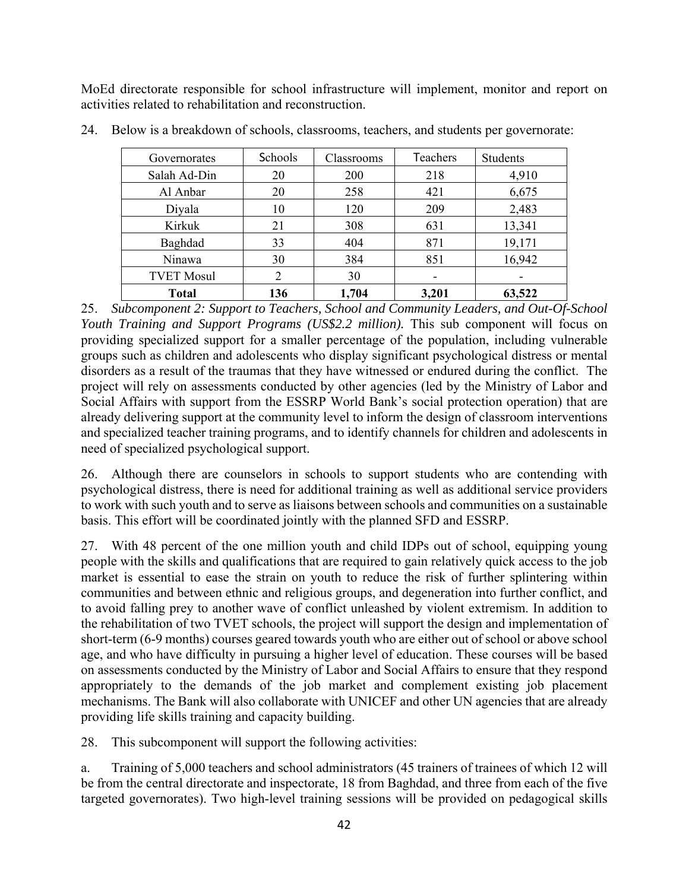MoEd directorate responsible for school infrastructure will implement, monitor and report on activities related to rehabilitation and reconstruction.

| Governorates      | Schools | Classrooms | <b>Teachers</b> | Students |
|-------------------|---------|------------|-----------------|----------|
| Salah Ad-Din      | 20      | <b>200</b> | 218             | 4,910    |
| Al Anbar          | 20      | 258        | 421             | 6,675    |
| Diyala            | 10      | 120        | 209             | 2,483    |
| Kirkuk            | 21      | 308        | 631             | 13,341   |
| Baghdad           | 33      | 404        | 871             | 19,171   |
| Ninawa            | 30      | 384        | 851             | 16,942   |
| <b>TVET Mosul</b> |         | 30         |                 |          |
| <b>Total</b>      | 136     | 1,704      | 3,201           | 63,522   |

24. Below is a breakdown of schools, classrooms, teachers, and students per governorate:

25. *Subcomponent 2: Support to Teachers, School and Community Leaders, and Out-Of-School Youth Training and Support Programs (US\$2.2 million).* This sub component will focus on providing specialized support for a smaller percentage of the population, including vulnerable groups such as children and adolescents who display significant psychological distress or mental disorders as a result of the traumas that they have witnessed or endured during the conflict. The project will rely on assessments conducted by other agencies (led by the Ministry of Labor and Social Affairs with support from the ESSRP World Bank's social protection operation) that are already delivering support at the community level to inform the design of classroom interventions and specialized teacher training programs, and to identify channels for children and adolescents in need of specialized psychological support.

26. Although there are counselors in schools to support students who are contending with psychological distress, there is need for additional training as well as additional service providers to work with such youth and to serve as liaisons between schools and communities on a sustainable basis. This effort will be coordinated jointly with the planned SFD and ESSRP.

27. With 48 percent of the one million youth and child IDPs out of school, equipping young people with the skills and qualifications that are required to gain relatively quick access to the job market is essential to ease the strain on youth to reduce the risk of further splintering within communities and between ethnic and religious groups, and degeneration into further conflict, and to avoid falling prey to another wave of conflict unleashed by violent extremism. In addition to the rehabilitation of two TVET schools, the project will support the design and implementation of short-term (6-9 months) courses geared towards youth who are either out of school or above school age, and who have difficulty in pursuing a higher level of education. These courses will be based on assessments conducted by the Ministry of Labor and Social Affairs to ensure that they respond appropriately to the demands of the job market and complement existing job placement mechanisms. The Bank will also collaborate with UNICEF and other UN agencies that are already providing life skills training and capacity building.

28. This subcomponent will support the following activities:

a. Training of 5,000 teachers and school administrators (45 trainers of trainees of which 12 will be from the central directorate and inspectorate, 18 from Baghdad, and three from each of the five targeted governorates). Two high-level training sessions will be provided on pedagogical skills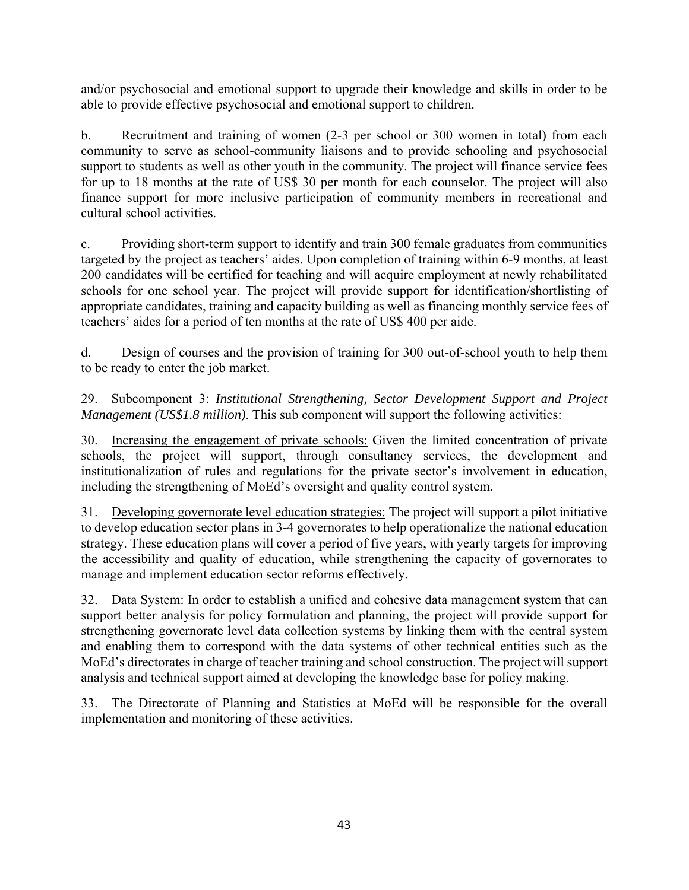and/or psychosocial and emotional support to upgrade their knowledge and skills in order to be able to provide effective psychosocial and emotional support to children.

b. Recruitment and training of women (2-3 per school or 300 women in total) from each community to serve as school-community liaisons and to provide schooling and psychosocial support to students as well as other youth in the community. The project will finance service fees for up to 18 months at the rate of US\$ 30 per month for each counselor. The project will also finance support for more inclusive participation of community members in recreational and cultural school activities.

c. Providing short-term support to identify and train 300 female graduates from communities targeted by the project as teachers' aides. Upon completion of training within 6-9 months, at least 200 candidates will be certified for teaching and will acquire employment at newly rehabilitated schools for one school year. The project will provide support for identification/shortlisting of appropriate candidates, training and capacity building as well as financing monthly service fees of teachers' aides for a period of ten months at the rate of US\$ 400 per aide.

d. Design of courses and the provision of training for 300 out-of-school youth to help them to be ready to enter the job market.

29. Subcomponent 3: *Institutional Strengthening, Sector Development Support and Project Management (US\$1.8 million)*. This sub component will support the following activities:

30. Increasing the engagement of private schools: Given the limited concentration of private schools, the project will support, through consultancy services, the development and institutionalization of rules and regulations for the private sector's involvement in education, including the strengthening of MoEd's oversight and quality control system.

31. Developing governorate level education strategies: The project will support a pilot initiative to develop education sector plans in 3-4 governorates to help operationalize the national education strategy. These education plans will cover a period of five years, with yearly targets for improving the accessibility and quality of education, while strengthening the capacity of governorates to manage and implement education sector reforms effectively.

32. Data System: In order to establish a unified and cohesive data management system that can support better analysis for policy formulation and planning, the project will provide support for strengthening governorate level data collection systems by linking them with the central system and enabling them to correspond with the data systems of other technical entities such as the MoEd's directorates in charge of teacher training and school construction. The project will support analysis and technical support aimed at developing the knowledge base for policy making.

33. The Directorate of Planning and Statistics at MoEd will be responsible for the overall implementation and monitoring of these activities.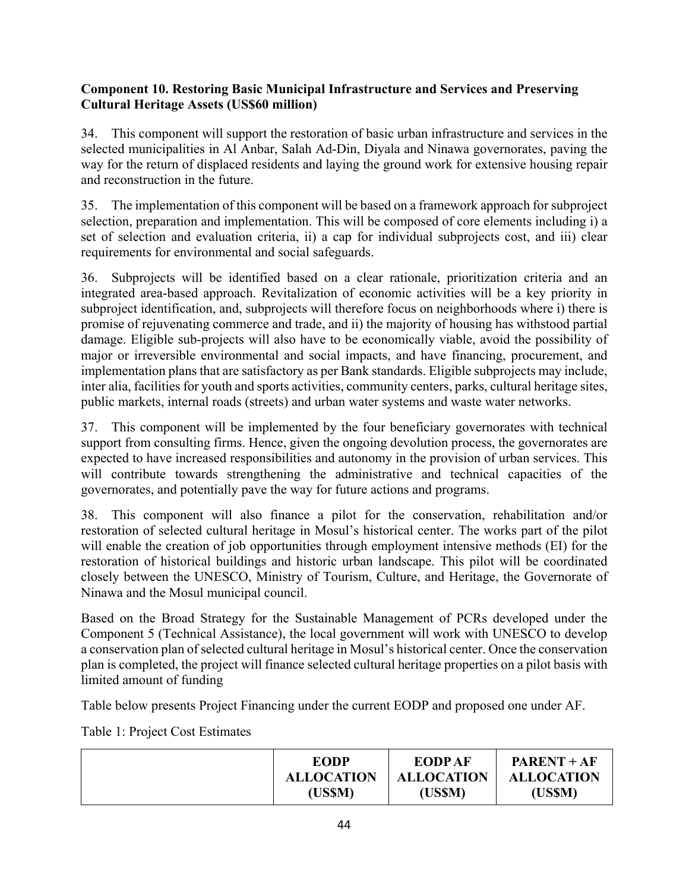# **Component 10. Restoring Basic Municipal Infrastructure and Services and Preserving Cultural Heritage Assets (US\$60 million)**

34. This component will support the restoration of basic urban infrastructure and services in the selected municipalities in Al Anbar, Salah Ad-Din, Diyala and Ninawa governorates, paving the way for the return of displaced residents and laying the ground work for extensive housing repair and reconstruction in the future.

35. The implementation of this component will be based on a framework approach for subproject selection, preparation and implementation. This will be composed of core elements including i) a set of selection and evaluation criteria, ii) a cap for individual subprojects cost, and iii) clear requirements for environmental and social safeguards.

36. Subprojects will be identified based on a clear rationale, prioritization criteria and an integrated area-based approach. Revitalization of economic activities will be a key priority in subproject identification, and, subprojects will therefore focus on neighborhoods where i) there is promise of rejuvenating commerce and trade, and ii) the majority of housing has withstood partial damage. Eligible sub-projects will also have to be economically viable, avoid the possibility of major or irreversible environmental and social impacts, and have financing, procurement, and implementation plans that are satisfactory as per Bank standards. Eligible subprojects may include, inter alia, facilities for youth and sports activities, community centers, parks, cultural heritage sites, public markets, internal roads (streets) and urban water systems and waste water networks.

37. This component will be implemented by the four beneficiary governorates with technical support from consulting firms. Hence, given the ongoing devolution process, the governorates are expected to have increased responsibilities and autonomy in the provision of urban services. This will contribute towards strengthening the administrative and technical capacities of the governorates, and potentially pave the way for future actions and programs.

38. This component will also finance a pilot for the conservation, rehabilitation and/or restoration of selected cultural heritage in Mosul's historical center. The works part of the pilot will enable the creation of job opportunities through employment intensive methods (EI) for the restoration of historical buildings and historic urban landscape. This pilot will be coordinated closely between the UNESCO, Ministry of Tourism, Culture, and Heritage, the Governorate of Ninawa and the Mosul municipal council.

Based on the Broad Strategy for the Sustainable Management of PCRs developed under the Component 5 (Technical Assistance), the local government will work with UNESCO to develop a conservation plan of selected cultural heritage in Mosul's historical center. Once the conservation plan is completed, the project will finance selected cultural heritage properties on a pilot basis with limited amount of funding

Table below presents Project Financing under the current EODP and proposed one under AF.

Table 1: Project Cost Estimates

| <b>EODP</b>       | <b>EODPAF</b>     | $PART + AF$       |
|-------------------|-------------------|-------------------|
| <b>ALLOCATION</b> | <b>ALLOCATION</b> | <b>ALLOCATION</b> |
| (US\$M)           | (US\$M)           | (US\$M)           |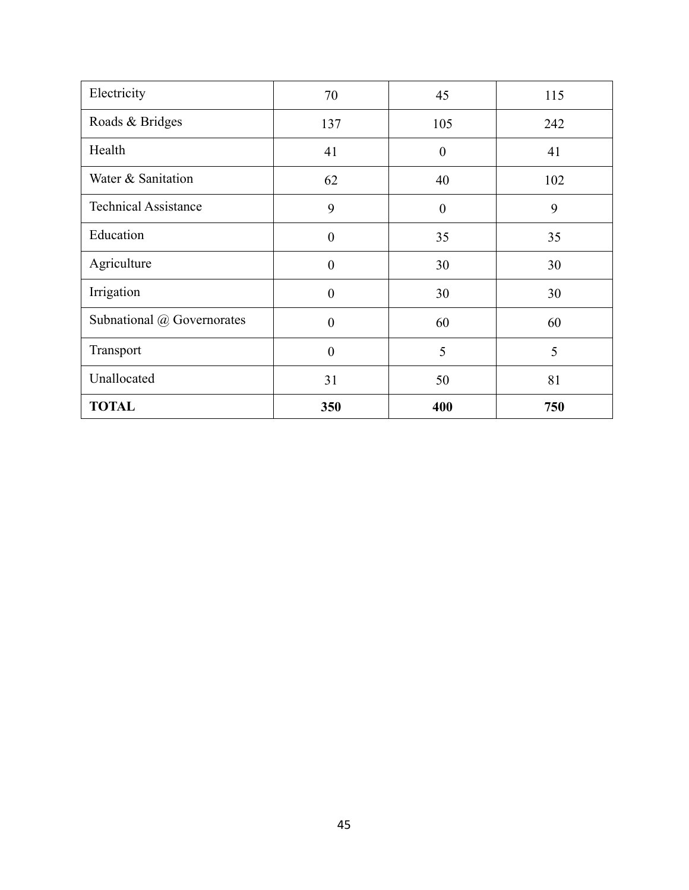| Electricity                 | 70             | 45               | 115 |
|-----------------------------|----------------|------------------|-----|
| Roads & Bridges             | 137            | 105              | 242 |
| Health                      | 41             | $\boldsymbol{0}$ | 41  |
| Water & Sanitation          | 62             | 40               | 102 |
| <b>Technical Assistance</b> | 9              | $\boldsymbol{0}$ | 9   |
| Education                   | $\overline{0}$ | 35               | 35  |
| Agriculture                 | $\theta$       | 30               | 30  |
| Irrigation                  | $\overline{0}$ | 30               | 30  |
| Subnational @ Governorates  | $\overline{0}$ | 60               | 60  |
| Transport                   | $\overline{0}$ | 5                | 5   |
| Unallocated                 | 31             | 50               | 81  |
| <b>TOTAL</b>                | 350            | 400              | 750 |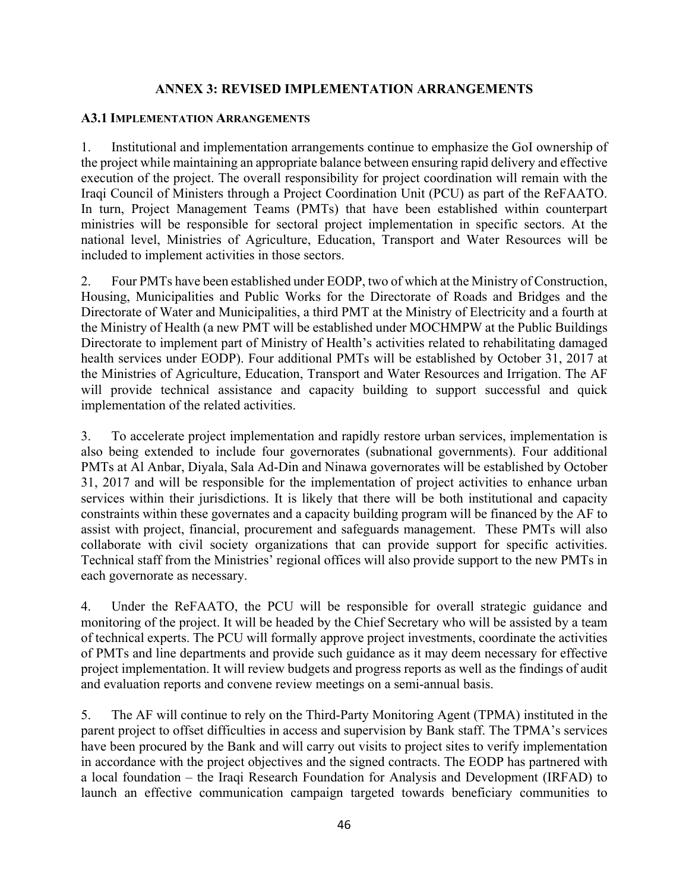### **ANNEX 3: REVISED IMPLEMENTATION ARRANGEMENTS**

#### **A3.1 IMPLEMENTATION ARRANGEMENTS**

1. Institutional and implementation arrangements continue to emphasize the GoI ownership of the project while maintaining an appropriate balance between ensuring rapid delivery and effective execution of the project. The overall responsibility for project coordination will remain with the Iraqi Council of Ministers through a Project Coordination Unit (PCU) as part of the ReFAATO. In turn, Project Management Teams (PMTs) that have been established within counterpart ministries will be responsible for sectoral project implementation in specific sectors. At the national level, Ministries of Agriculture, Education, Transport and Water Resources will be included to implement activities in those sectors.

2. Four PMTs have been established under EODP, two of which at the Ministry of Construction, Housing, Municipalities and Public Works for the Directorate of Roads and Bridges and the Directorate of Water and Municipalities, a third PMT at the Ministry of Electricity and a fourth at the Ministry of Health (a new PMT will be established under MOCHMPW at the Public Buildings Directorate to implement part of Ministry of Health's activities related to rehabilitating damaged health services under EODP). Four additional PMTs will be established by October 31, 2017 at the Ministries of Agriculture, Education, Transport and Water Resources and Irrigation. The AF will provide technical assistance and capacity building to support successful and quick implementation of the related activities.

3. To accelerate project implementation and rapidly restore urban services, implementation is also being extended to include four governorates (subnational governments). Four additional PMTs at Al Anbar, Diyala, Sala Ad-Din and Ninawa governorates will be established by October 31, 2017 and will be responsible for the implementation of project activities to enhance urban services within their jurisdictions. It is likely that there will be both institutional and capacity constraints within these governates and a capacity building program will be financed by the AF to assist with project, financial, procurement and safeguards management. These PMTs will also collaborate with civil society organizations that can provide support for specific activities. Technical staff from the Ministries' regional offices will also provide support to the new PMTs in each governorate as necessary.

4. Under the ReFAATO, the PCU will be responsible for overall strategic guidance and monitoring of the project. It will be headed by the Chief Secretary who will be assisted by a team of technical experts. The PCU will formally approve project investments, coordinate the activities of PMTs and line departments and provide such guidance as it may deem necessary for effective project implementation. It will review budgets and progress reports as well as the findings of audit and evaluation reports and convene review meetings on a semi-annual basis.

5. The AF will continue to rely on the Third-Party Monitoring Agent (TPMA) instituted in the parent project to offset difficulties in access and supervision by Bank staff. The TPMA's services have been procured by the Bank and will carry out visits to project sites to verify implementation in accordance with the project objectives and the signed contracts. The EODP has partnered with a local foundation – the Iraqi Research Foundation for Analysis and Development (IRFAD) to launch an effective communication campaign targeted towards beneficiary communities to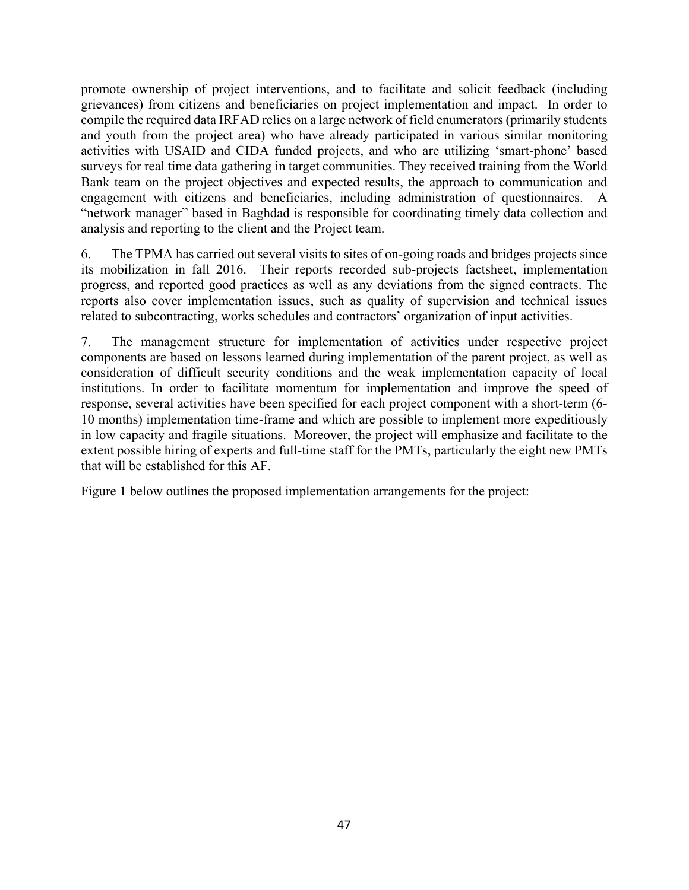promote ownership of project interventions, and to facilitate and solicit feedback (including grievances) from citizens and beneficiaries on project implementation and impact. In order to compile the required data IRFAD relies on a large network of field enumerators (primarily students and youth from the project area) who have already participated in various similar monitoring activities with USAID and CIDA funded projects, and who are utilizing 'smart-phone' based surveys for real time data gathering in target communities. They received training from the World Bank team on the project objectives and expected results, the approach to communication and engagement with citizens and beneficiaries, including administration of questionnaires. A "network manager" based in Baghdad is responsible for coordinating timely data collection and analysis and reporting to the client and the Project team.

6. The TPMA has carried out several visits to sites of on-going roads and bridges projects since its mobilization in fall 2016. Their reports recorded sub-projects factsheet, implementation progress, and reported good practices as well as any deviations from the signed contracts. The reports also cover implementation issues, such as quality of supervision and technical issues related to subcontracting, works schedules and contractors' organization of input activities.

7. The management structure for implementation of activities under respective project components are based on lessons learned during implementation of the parent project, as well as consideration of difficult security conditions and the weak implementation capacity of local institutions. In order to facilitate momentum for implementation and improve the speed of response, several activities have been specified for each project component with a short-term (6- 10 months) implementation time-frame and which are possible to implement more expeditiously in low capacity and fragile situations. Moreover, the project will emphasize and facilitate to the extent possible hiring of experts and full-time staff for the PMTs, particularly the eight new PMTs that will be established for this AF.

Figure 1 below outlines the proposed implementation arrangements for the project: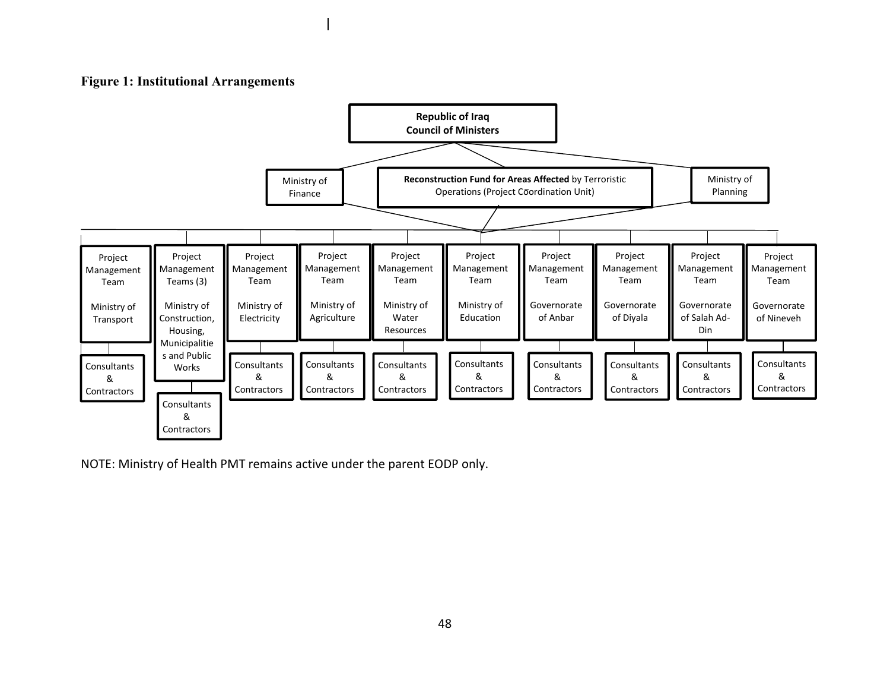### **Figure 1: Institutional Arrangements**



NOTE: Ministry of Health PMT remains active under the parent EODP only.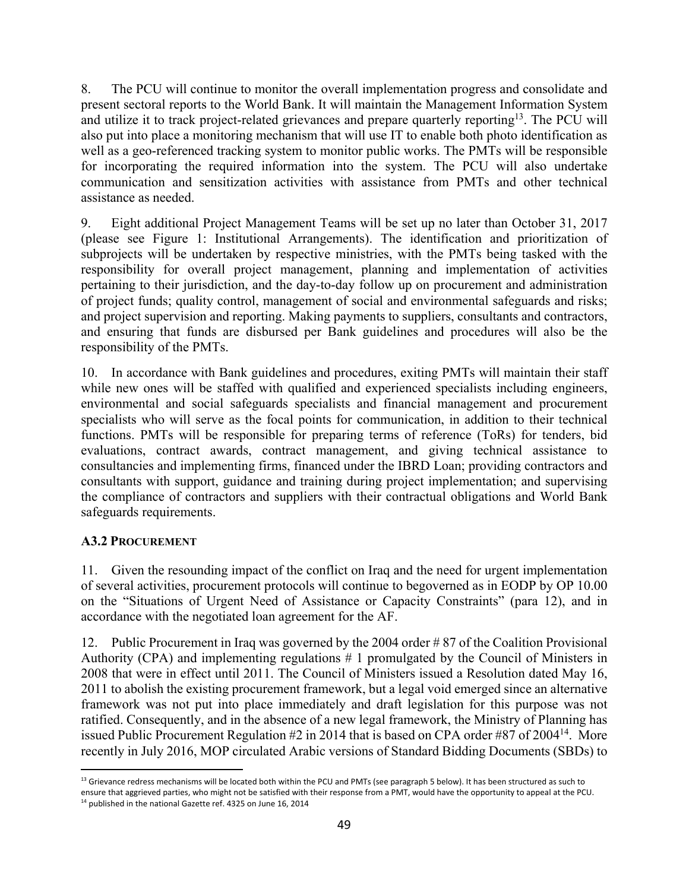8. The PCU will continue to monitor the overall implementation progress and consolidate and present sectoral reports to the World Bank. It will maintain the Management Information System and utilize it to track project-related grievances and prepare quarterly reporting<sup>13</sup>. The PCU will also put into place a monitoring mechanism that will use IT to enable both photo identification as well as a geo-referenced tracking system to monitor public works. The PMTs will be responsible for incorporating the required information into the system. The PCU will also undertake communication and sensitization activities with assistance from PMTs and other technical assistance as needed.

9. Eight additional Project Management Teams will be set up no later than October 31, 2017 (please see Figure 1: Institutional Arrangements). The identification and prioritization of subprojects will be undertaken by respective ministries, with the PMTs being tasked with the responsibility for overall project management, planning and implementation of activities pertaining to their jurisdiction, and the day-to-day follow up on procurement and administration of project funds; quality control, management of social and environmental safeguards and risks; and project supervision and reporting. Making payments to suppliers, consultants and contractors, and ensuring that funds are disbursed per Bank guidelines and procedures will also be the responsibility of the PMTs.

10. In accordance with Bank guidelines and procedures, exiting PMTs will maintain their staff while new ones will be staffed with qualified and experienced specialists including engineers, environmental and social safeguards specialists and financial management and procurement specialists who will serve as the focal points for communication, in addition to their technical functions. PMTs will be responsible for preparing terms of reference (ToRs) for tenders, bid evaluations, contract awards, contract management, and giving technical assistance to consultancies and implementing firms, financed under the IBRD Loan; providing contractors and consultants with support, guidance and training during project implementation; and supervising the compliance of contractors and suppliers with their contractual obligations and World Bank safeguards requirements.

# **A3.2 PROCUREMENT**

11. Given the resounding impact of the conflict on Iraq and the need for urgent implementation of several activities, procurement protocols will continue to begoverned as in EODP by OP 10.00 on the "Situations of Urgent Need of Assistance or Capacity Constraints" (para 12), and in accordance with the negotiated loan agreement for the AF.

12. Public Procurement in Iraq was governed by the 2004 order # 87 of the Coalition Provisional Authority (CPA) and implementing regulations # 1 promulgated by the Council of Ministers in 2008 that were in effect until 2011. The Council of Ministers issued a Resolution dated May 16, 2011 to abolish the existing procurement framework, but a legal void emerged since an alternative framework was not put into place immediately and draft legislation for this purpose was not ratified. Consequently, and in the absence of a new legal framework, the Ministry of Planning has issued Public Procurement Regulation #2 in 2014 that is based on CPA order #87 of 2004<sup>14</sup>. More recently in July 2016, MOP circulated Arabic versions of Standard Bidding Documents (SBDs) to

 $13$  Grievance redress mechanisms will be located both within the PCU and PMTs (see paragraph 5 below). It has been structured as such to ensure that aggrieved parties, who might not be satisfied with their response from a PMT, would have the opportunity to appeal at the PCU.

<sup>&</sup>lt;sup>14</sup> published in the national Gazette ref. 4325 on June 16, 2014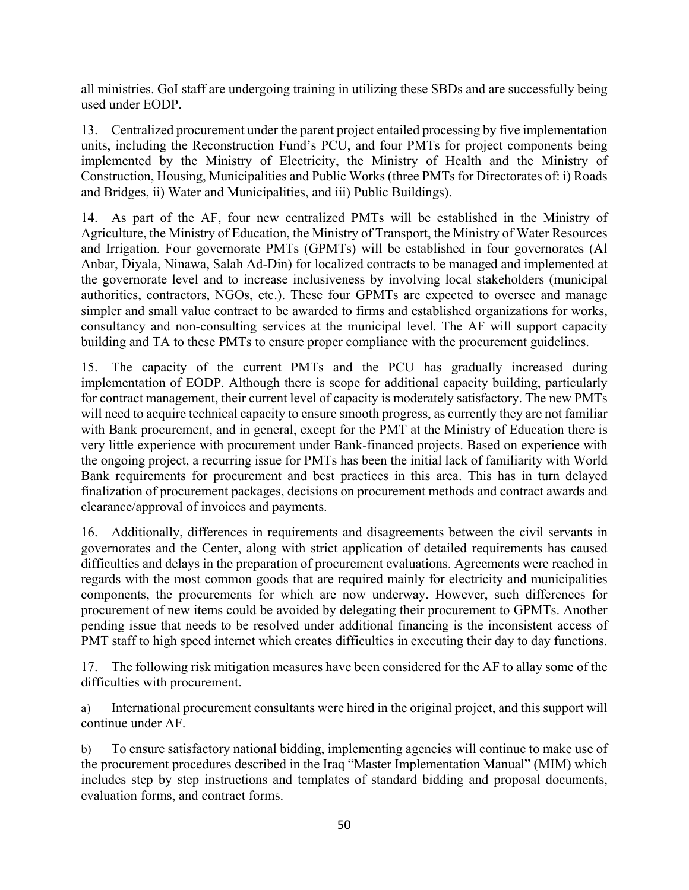all ministries. GoI staff are undergoing training in utilizing these SBDs and are successfully being used under EODP.

13. Centralized procurement under the parent project entailed processing by five implementation units, including the Reconstruction Fund's PCU, and four PMTs for project components being implemented by the Ministry of Electricity, the Ministry of Health and the Ministry of Construction, Housing, Municipalities and Public Works (three PMTs for Directorates of: i) Roads and Bridges, ii) Water and Municipalities, and iii) Public Buildings).

14. As part of the AF, four new centralized PMTs will be established in the Ministry of Agriculture, the Ministry of Education, the Ministry of Transport, the Ministry of Water Resources and Irrigation. Four governorate PMTs (GPMTs) will be established in four governorates (Al Anbar, Diyala, Ninawa, Salah Ad-Din) for localized contracts to be managed and implemented at the governorate level and to increase inclusiveness by involving local stakeholders (municipal authorities, contractors, NGOs, etc.). These four GPMTs are expected to oversee and manage simpler and small value contract to be awarded to firms and established organizations for works, consultancy and non-consulting services at the municipal level. The AF will support capacity building and TA to these PMTs to ensure proper compliance with the procurement guidelines.

15. The capacity of the current PMTs and the PCU has gradually increased during implementation of EODP. Although there is scope for additional capacity building, particularly for contract management, their current level of capacity is moderately satisfactory. The new PMTs will need to acquire technical capacity to ensure smooth progress, as currently they are not familiar with Bank procurement, and in general, except for the PMT at the Ministry of Education there is very little experience with procurement under Bank-financed projects. Based on experience with the ongoing project, a recurring issue for PMTs has been the initial lack of familiarity with World Bank requirements for procurement and best practices in this area. This has in turn delayed finalization of procurement packages, decisions on procurement methods and contract awards and clearance/approval of invoices and payments.

16. Additionally, differences in requirements and disagreements between the civil servants in governorates and the Center, along with strict application of detailed requirements has caused difficulties and delays in the preparation of procurement evaluations. Agreements were reached in regards with the most common goods that are required mainly for electricity and municipalities components, the procurements for which are now underway. However, such differences for procurement of new items could be avoided by delegating their procurement to GPMTs. Another pending issue that needs to be resolved under additional financing is the inconsistent access of PMT staff to high speed internet which creates difficulties in executing their day to day functions.

17. The following risk mitigation measures have been considered for the AF to allay some of the difficulties with procurement.

a) International procurement consultants were hired in the original project, and this support will continue under AF.

b) To ensure satisfactory national bidding, implementing agencies will continue to make use of the procurement procedures described in the Iraq "Master Implementation Manual" (MIM) which includes step by step instructions and templates of standard bidding and proposal documents, evaluation forms, and contract forms.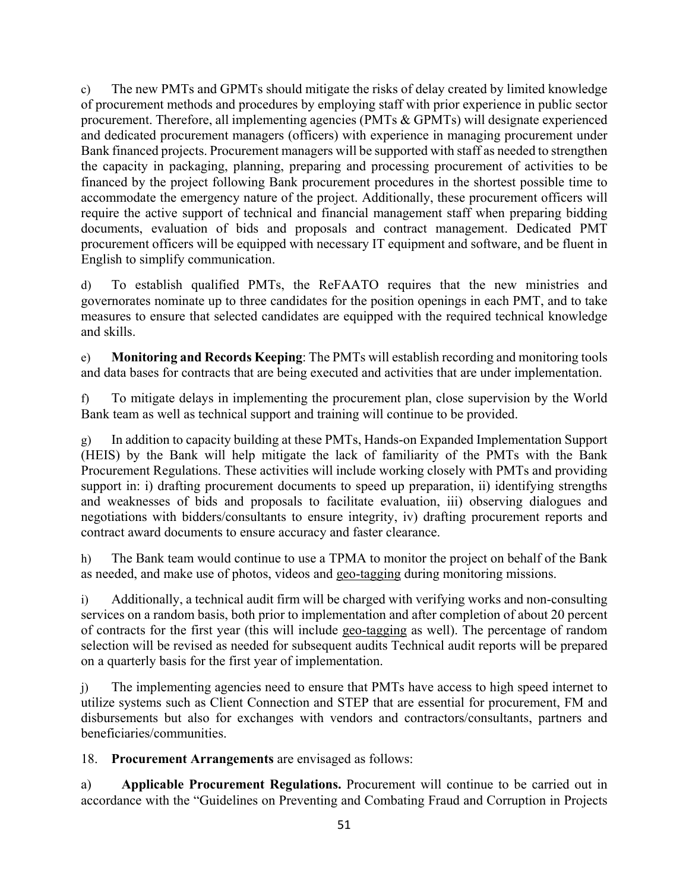c) The new PMTs and GPMTs should mitigate the risks of delay created by limited knowledge of procurement methods and procedures by employing staff with prior experience in public sector procurement. Therefore, all implementing agencies (PMTs & GPMTs) will designate experienced and dedicated procurement managers (officers) with experience in managing procurement under Bank financed projects. Procurement managers will be supported with staff as needed to strengthen the capacity in packaging, planning, preparing and processing procurement of activities to be financed by the project following Bank procurement procedures in the shortest possible time to accommodate the emergency nature of the project. Additionally, these procurement officers will require the active support of technical and financial management staff when preparing bidding documents, evaluation of bids and proposals and contract management. Dedicated PMT procurement officers will be equipped with necessary IT equipment and software, and be fluent in English to simplify communication.

d) To establish qualified PMTs, the ReFAATO requires that the new ministries and governorates nominate up to three candidates for the position openings in each PMT, and to take measures to ensure that selected candidates are equipped with the required technical knowledge and skills.

e) **Monitoring and Records Keeping**: The PMTs will establish recording and monitoring tools and data bases for contracts that are being executed and activities that are under implementation.

f) To mitigate delays in implementing the procurement plan, close supervision by the World Bank team as well as technical support and training will continue to be provided.

g) In addition to capacity building at these PMTs, Hands-on Expanded Implementation Support (HEIS) by the Bank will help mitigate the lack of familiarity of the PMTs with the Bank Procurement Regulations. These activities will include working closely with PMTs and providing support in: i) drafting procurement documents to speed up preparation, ii) identifying strengths and weaknesses of bids and proposals to facilitate evaluation, iii) observing dialogues and negotiations with bidders/consultants to ensure integrity, iv) drafting procurement reports and contract award documents to ensure accuracy and faster clearance.

h) The Bank team would continue to use a TPMA to monitor the project on behalf of the Bank as needed, and make use of photos, videos and geo-tagging during monitoring missions.

i) Additionally, a technical audit firm will be charged with verifying works and non-consulting services on a random basis, both prior to implementation and after completion of about 20 percent of contracts for the first year (this will include geo-tagging as well). The percentage of random selection will be revised as needed for subsequent audits Technical audit reports will be prepared on a quarterly basis for the first year of implementation.

j) The implementing agencies need to ensure that PMTs have access to high speed internet to utilize systems such as Client Connection and STEP that are essential for procurement, FM and disbursements but also for exchanges with vendors and contractors/consultants, partners and beneficiaries/communities.

18. **Procurement Arrangements** are envisaged as follows:

a) **Applicable Procurement Regulations.** Procurement will continue to be carried out in accordance with the "Guidelines on Preventing and Combating Fraud and Corruption in Projects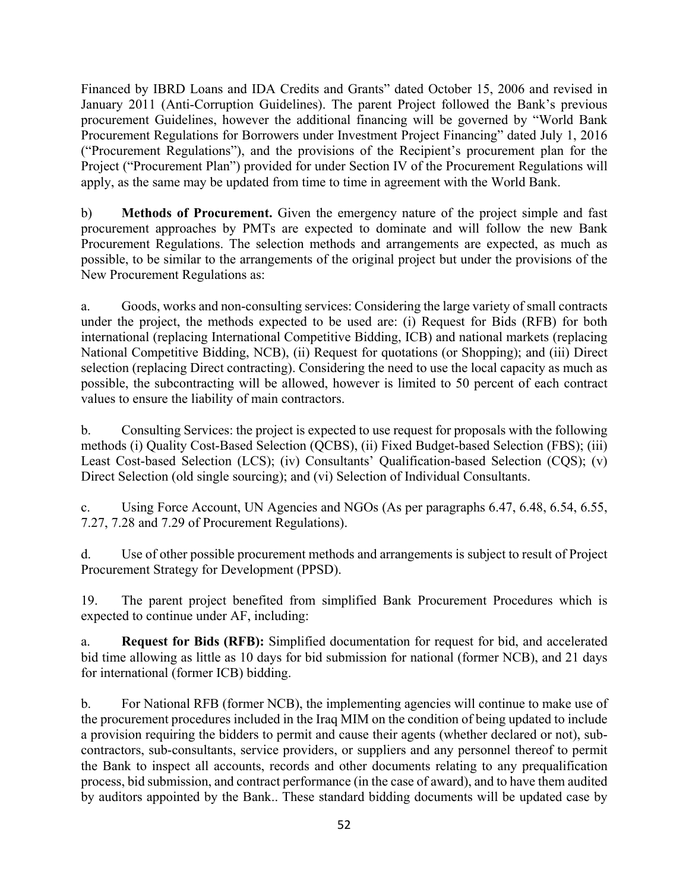Financed by IBRD Loans and IDA Credits and Grants" dated October 15, 2006 and revised in January 2011 (Anti-Corruption Guidelines). The parent Project followed the Bank's previous procurement Guidelines, however the additional financing will be governed by "World Bank Procurement Regulations for Borrowers under Investment Project Financing" dated July 1, 2016 ("Procurement Regulations"), and the provisions of the Recipient's procurement plan for the Project ("Procurement Plan") provided for under Section IV of the Procurement Regulations will apply, as the same may be updated from time to time in agreement with the World Bank.

b) **Methods of Procurement.** Given the emergency nature of the project simple and fast procurement approaches by PMTs are expected to dominate and will follow the new Bank Procurement Regulations. The selection methods and arrangements are expected, as much as possible, to be similar to the arrangements of the original project but under the provisions of the New Procurement Regulations as:

a. Goods, works and non-consulting services: Considering the large variety of small contracts under the project, the methods expected to be used are: (i) Request for Bids (RFB) for both international (replacing International Competitive Bidding, ICB) and national markets (replacing National Competitive Bidding, NCB), (ii) Request for quotations (or Shopping); and (iii) Direct selection (replacing Direct contracting). Considering the need to use the local capacity as much as possible, the subcontracting will be allowed, however is limited to 50 percent of each contract values to ensure the liability of main contractors.

b. Consulting Services: the project is expected to use request for proposals with the following methods (i) Quality Cost-Based Selection (QCBS), (ii) Fixed Budget-based Selection (FBS); (iii) Least Cost-based Selection (LCS); (iv) Consultants' Qualification-based Selection (CQS); (v) Direct Selection (old single sourcing); and (vi) Selection of Individual Consultants.

c. Using Force Account, UN Agencies and NGOs (As per paragraphs 6.47, 6.48, 6.54, 6.55, 7.27, 7.28 and 7.29 of Procurement Regulations).

d. Use of other possible procurement methods and arrangements is subject to result of Project Procurement Strategy for Development (PPSD).

19. The parent project benefited from simplified Bank Procurement Procedures which is expected to continue under AF, including:

a. **Request for Bids (RFB):** Simplified documentation for request for bid, and accelerated bid time allowing as little as 10 days for bid submission for national (former NCB), and 21 days for international (former ICB) bidding.

b. For National RFB (former NCB), the implementing agencies will continue to make use of the procurement procedures included in the Iraq MIM on the condition of being updated to include a provision requiring the bidders to permit and cause their agents (whether declared or not), subcontractors, sub-consultants, service providers, or suppliers and any personnel thereof to permit the Bank to inspect all accounts, records and other documents relating to any prequalification process, bid submission, and contract performance (in the case of award), and to have them audited by auditors appointed by the Bank.. These standard bidding documents will be updated case by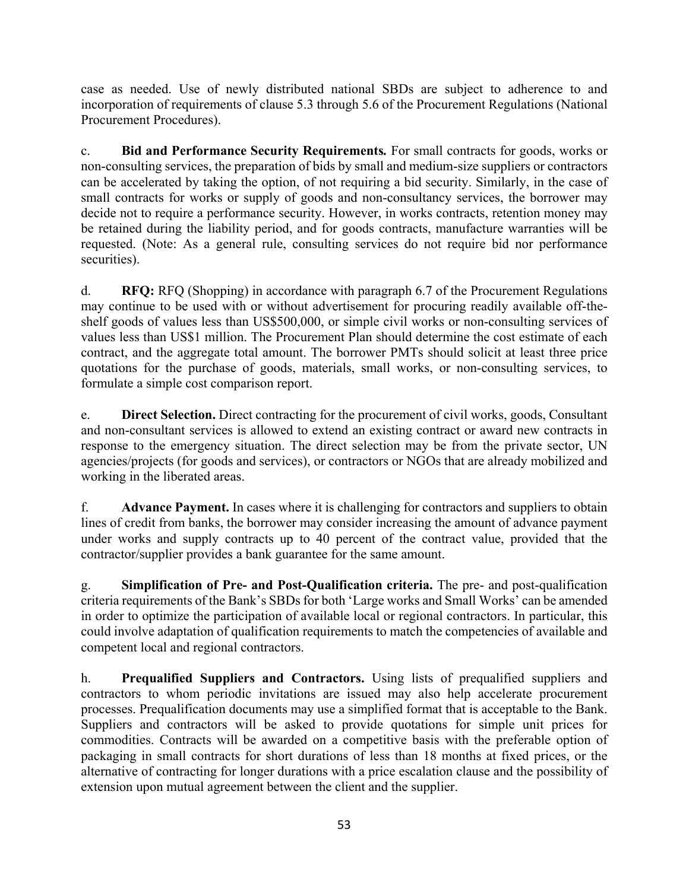case as needed. Use of newly distributed national SBDs are subject to adherence to and incorporation of requirements of clause 5.3 through 5.6 of the Procurement Regulations (National Procurement Procedures).

c. **Bid and Performance Security Requirements***.* For small contracts for goods, works or non-consulting services, the preparation of bids by small and medium-size suppliers or contractors can be accelerated by taking the option, of not requiring a bid security. Similarly, in the case of small contracts for works or supply of goods and non-consultancy services, the borrower may decide not to require a performance security. However, in works contracts, retention money may be retained during the liability period, and for goods contracts, manufacture warranties will be requested. (Note: As a general rule, consulting services do not require bid nor performance securities).

d. **RFQ:** RFQ (Shopping) in accordance with paragraph 6.7 of the Procurement Regulations may continue to be used with or without advertisement for procuring readily available off-theshelf goods of values less than US\$500,000, or simple civil works or non-consulting services of values less than US\$1 million. The Procurement Plan should determine the cost estimate of each contract, and the aggregate total amount. The borrower PMTs should solicit at least three price quotations for the purchase of goods, materials, small works, or non-consulting services, to formulate a simple cost comparison report.

e. **Direct Selection.** Direct contracting for the procurement of civil works, goods, Consultant and non-consultant services is allowed to extend an existing contract or award new contracts in response to the emergency situation. The direct selection may be from the private sector, UN agencies/projects (for goods and services), or contractors or NGOs that are already mobilized and working in the liberated areas.

f. **Advance Payment.** In cases where it is challenging for contractors and suppliers to obtain lines of credit from banks, the borrower may consider increasing the amount of advance payment under works and supply contracts up to 40 percent of the contract value, provided that the contractor/supplier provides a bank guarantee for the same amount.

g. **Simplification of Pre- and Post-Qualification criteria.** The pre- and post-qualification criteria requirements of the Bank's SBDs for both 'Large works and Small Works' can be amended in order to optimize the participation of available local or regional contractors. In particular, this could involve adaptation of qualification requirements to match the competencies of available and competent local and regional contractors.

h. **Prequalified Suppliers and Contractors.** Using lists of prequalified suppliers and contractors to whom periodic invitations are issued may also help accelerate procurement processes. Prequalification documents may use a simplified format that is acceptable to the Bank. Suppliers and contractors will be asked to provide quotations for simple unit prices for commodities. Contracts will be awarded on a competitive basis with the preferable option of packaging in small contracts for short durations of less than 18 months at fixed prices, or the alternative of contracting for longer durations with a price escalation clause and the possibility of extension upon mutual agreement between the client and the supplier.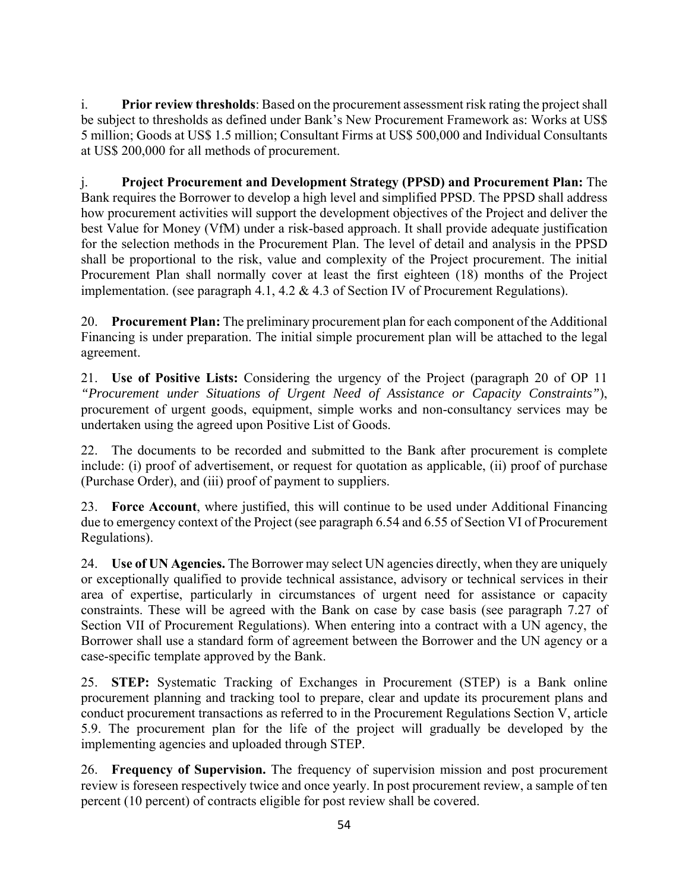i. **Prior review thresholds**: Based on the procurement assessment risk rating the project shall be subject to thresholds as defined under Bank's New Procurement Framework as: Works at US\$ 5 million; Goods at US\$ 1.5 million; Consultant Firms at US\$ 500,000 and Individual Consultants at US\$ 200,000 for all methods of procurement.

j. **Project Procurement and Development Strategy (PPSD) and Procurement Plan:** The Bank requires the Borrower to develop a high level and simplified PPSD. The PPSD shall address how procurement activities will support the development objectives of the Project and deliver the best Value for Money (VfM) under a risk-based approach. It shall provide adequate justification for the selection methods in the Procurement Plan. The level of detail and analysis in the PPSD shall be proportional to the risk, value and complexity of the Project procurement. The initial Procurement Plan shall normally cover at least the first eighteen (18) months of the Project implementation. (see paragraph 4.1, 4.2 & 4.3 of Section IV of Procurement Regulations).

20. **Procurement Plan:** The preliminary procurement plan for each component of the Additional Financing is under preparation. The initial simple procurement plan will be attached to the legal agreement.

21. **Use of Positive Lists:** Considering the urgency of the Project (paragraph 20 of OP 11 *"Procurement under Situations of Urgent Need of Assistance or Capacity Constraints"*), procurement of urgent goods, equipment, simple works and non-consultancy services may be undertaken using the agreed upon Positive List of Goods.

22. The documents to be recorded and submitted to the Bank after procurement is complete include: (i) proof of advertisement, or request for quotation as applicable, (ii) proof of purchase (Purchase Order), and (iii) proof of payment to suppliers.

23. **Force Account**, where justified, this will continue to be used under Additional Financing due to emergency context of the Project (see paragraph 6.54 and 6.55 of Section VI of Procurement Regulations).

24. **Use of UN Agencies.** The Borrower may select UN agencies directly, when they are uniquely or exceptionally qualified to provide technical assistance, advisory or technical services in their area of expertise, particularly in circumstances of urgent need for assistance or capacity constraints. These will be agreed with the Bank on case by case basis (see paragraph 7.27 of Section VII of Procurement Regulations). When entering into a contract with a UN agency, the Borrower shall use a standard form of agreement between the Borrower and the UN agency or a case-specific template approved by the Bank.

25. **STEP:** Systematic Tracking of Exchanges in Procurement (STEP) is a Bank online procurement planning and tracking tool to prepare, clear and update its procurement plans and conduct procurement transactions as referred to in the Procurement Regulations Section V, article 5.9. The procurement plan for the life of the project will gradually be developed by the implementing agencies and uploaded through STEP.

26. **Frequency of Supervision.** The frequency of supervision mission and post procurement review is foreseen respectively twice and once yearly. In post procurement review, a sample of ten percent (10 percent) of contracts eligible for post review shall be covered.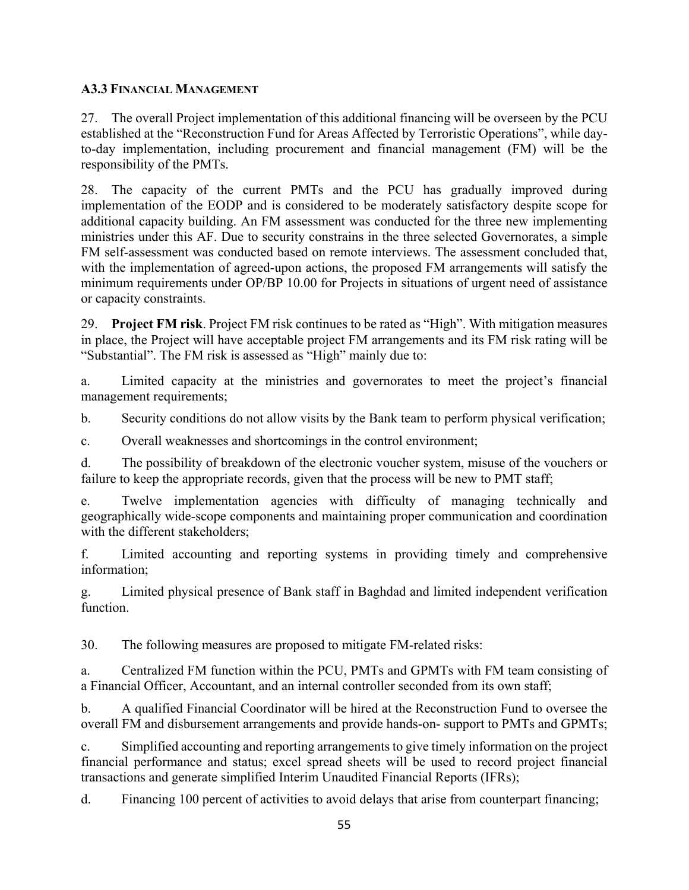## **A3.3 FINANCIAL MANAGEMENT**

27. The overall Project implementation of this additional financing will be overseen by the PCU established at the "Reconstruction Fund for Areas Affected by Terroristic Operations", while dayto-day implementation, including procurement and financial management (FM) will be the responsibility of the PMTs.

28. The capacity of the current PMTs and the PCU has gradually improved during implementation of the EODP and is considered to be moderately satisfactory despite scope for additional capacity building. An FM assessment was conducted for the three new implementing ministries under this AF. Due to security constrains in the three selected Governorates, a simple FM self-assessment was conducted based on remote interviews. The assessment concluded that, with the implementation of agreed-upon actions, the proposed FM arrangements will satisfy the minimum requirements under OP/BP 10.00 for Projects in situations of urgent need of assistance or capacity constraints.

29. **Project FM risk**. Project FM risk continues to be rated as "High". With mitigation measures in place, the Project will have acceptable project FM arrangements and its FM risk rating will be "Substantial". The FM risk is assessed as "High" mainly due to:

a. Limited capacity at the ministries and governorates to meet the project's financial management requirements;

b. Security conditions do not allow visits by the Bank team to perform physical verification;

c. Overall weaknesses and shortcomings in the control environment;

d. The possibility of breakdown of the electronic voucher system, misuse of the vouchers or failure to keep the appropriate records, given that the process will be new to PMT staff;

e. Twelve implementation agencies with difficulty of managing technically and geographically wide-scope components and maintaining proper communication and coordination with the different stakeholders;

f. Limited accounting and reporting systems in providing timely and comprehensive information;

g. Limited physical presence of Bank staff in Baghdad and limited independent verification function.

30. The following measures are proposed to mitigate FM-related risks:

a. Centralized FM function within the PCU, PMTs and GPMTs with FM team consisting of a Financial Officer, Accountant, and an internal controller seconded from its own staff;

b. A qualified Financial Coordinator will be hired at the Reconstruction Fund to oversee the overall FM and disbursement arrangements and provide hands-on- support to PMTs and GPMTs;

c. Simplified accounting and reporting arrangements to give timely information on the project financial performance and status; excel spread sheets will be used to record project financial transactions and generate simplified Interim Unaudited Financial Reports (IFRs);

d. Financing 100 percent of activities to avoid delays that arise from counterpart financing;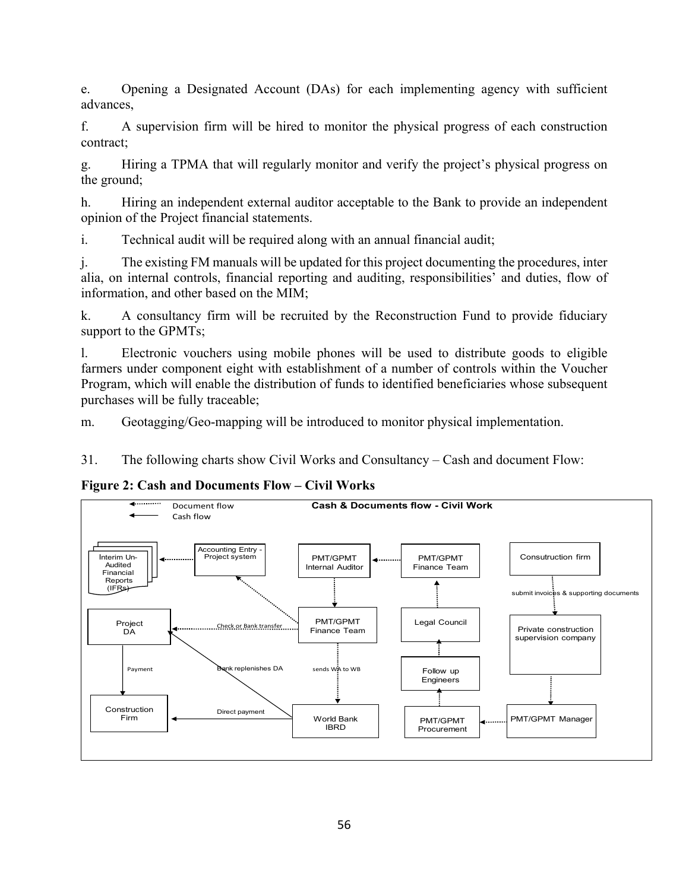e. Opening a Designated Account (DAs) for each implementing agency with sufficient advances,

f. A supervision firm will be hired to monitor the physical progress of each construction contract;

g. Hiring a TPMA that will regularly monitor and verify the project's physical progress on the ground;

h. Hiring an independent external auditor acceptable to the Bank to provide an independent opinion of the Project financial statements.

i. Technical audit will be required along with an annual financial audit;

j. The existing FM manuals will be updated for this project documenting the procedures, inter alia, on internal controls, financial reporting and auditing, responsibilities' and duties, flow of information, and other based on the MIM;

k. A consultancy firm will be recruited by the Reconstruction Fund to provide fiduciary support to the GPMTs;

l. Electronic vouchers using mobile phones will be used to distribute goods to eligible farmers under component eight with establishment of a number of controls within the Voucher Program, which will enable the distribution of funds to identified beneficiaries whose subsequent purchases will be fully traceable;

m. Geotagging/Geo-mapping will be introduced to monitor physical implementation.

31. The following charts show Civil Works and Consultancy – Cash and document Flow:

**Figure 2: Cash and Documents Flow – Civil Works** 

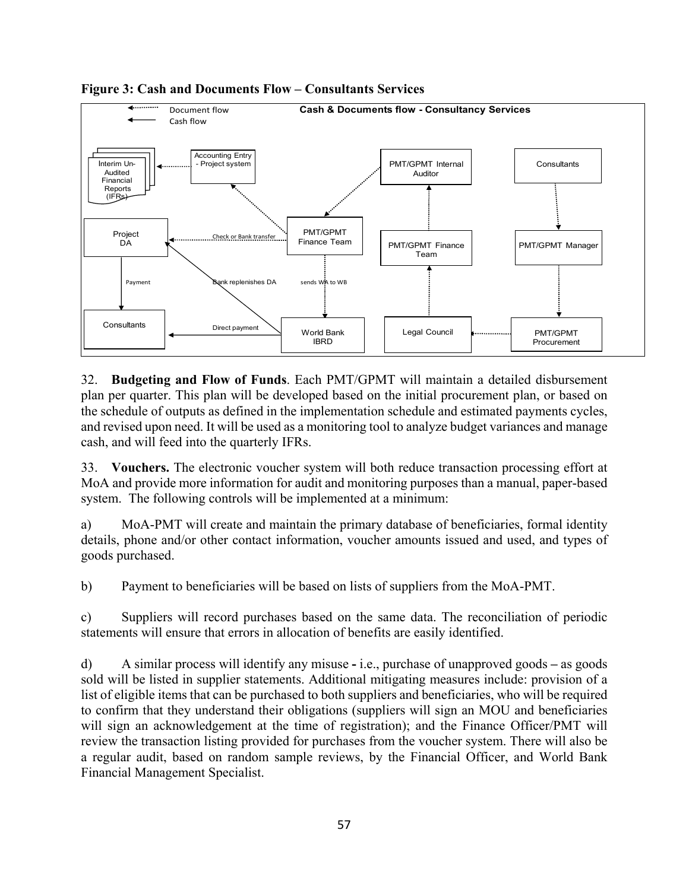

### **Figure 3: Cash and Documents Flow – Consultants Services**

32. **Budgeting and Flow of Funds**. Each PMT/GPMT will maintain a detailed disbursement plan per quarter. This plan will be developed based on the initial procurement plan, or based on the schedule of outputs as defined in the implementation schedule and estimated payments cycles, and revised upon need. It will be used as a monitoring tool to analyze budget variances and manage cash, and will feed into the quarterly IFRs.

33. **Vouchers.** The electronic voucher system will both reduce transaction processing effort at MoA and provide more information for audit and monitoring purposes than a manual, paper-based system. The following controls will be implemented at a minimum:

a) MoA-PMT will create and maintain the primary database of beneficiaries, formal identity details, phone and/or other contact information, voucher amounts issued and used, and types of goods purchased.

b) Payment to beneficiaries will be based on lists of suppliers from the MoA-PMT.

c) Suppliers will record purchases based on the same data. The reconciliation of periodic statements will ensure that errors in allocation of benefits are easily identified.

d) A similar process will identify any misuse **-** i.e., purchase of unapproved goods **–** as goods sold will be listed in supplier statements. Additional mitigating measures include: provision of a list of eligible items that can be purchased to both suppliers and beneficiaries, who will be required to confirm that they understand their obligations (suppliers will sign an MOU and beneficiaries will sign an acknowledgement at the time of registration); and the Finance Officer/PMT will review the transaction listing provided for purchases from the voucher system. There will also be a regular audit, based on random sample reviews, by the Financial Officer, and World Bank Financial Management Specialist.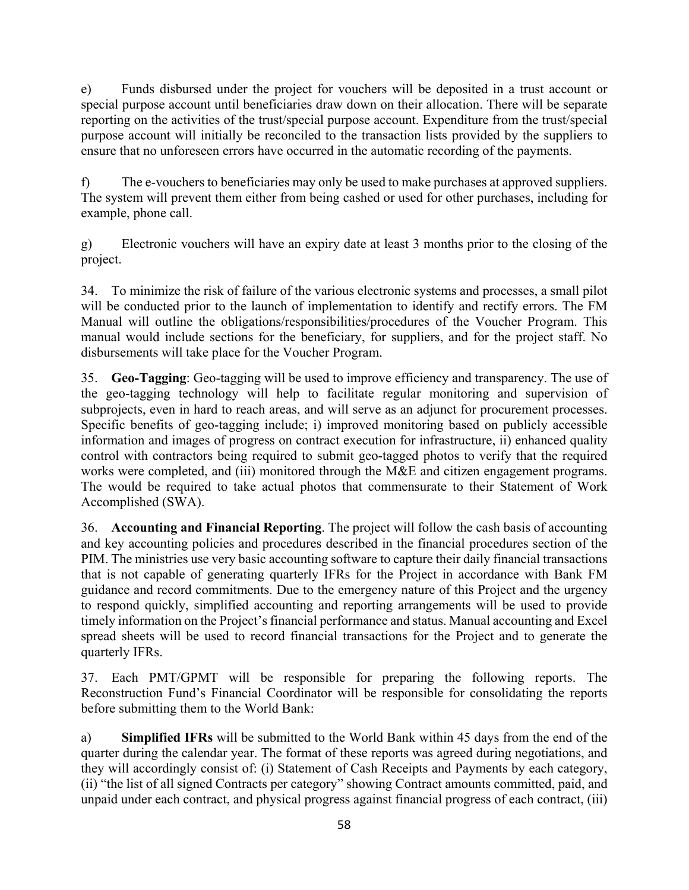e) Funds disbursed under the project for vouchers will be deposited in a trust account or special purpose account until beneficiaries draw down on their allocation. There will be separate reporting on the activities of the trust/special purpose account. Expenditure from the trust/special purpose account will initially be reconciled to the transaction lists provided by the suppliers to ensure that no unforeseen errors have occurred in the automatic recording of the payments.

f) The e-vouchers to beneficiaries may only be used to make purchases at approved suppliers. The system will prevent them either from being cashed or used for other purchases, including for example, phone call.

g) Electronic vouchers will have an expiry date at least 3 months prior to the closing of the project.

34. To minimize the risk of failure of the various electronic systems and processes, a small pilot will be conducted prior to the launch of implementation to identify and rectify errors. The FM Manual will outline the obligations/responsibilities/procedures of the Voucher Program. This manual would include sections for the beneficiary, for suppliers, and for the project staff. No disbursements will take place for the Voucher Program.

35. **Geo-Tagging**: Geo-tagging will be used to improve efficiency and transparency. The use of the geo-tagging technology will help to facilitate regular monitoring and supervision of subprojects, even in hard to reach areas, and will serve as an adjunct for procurement processes. Specific benefits of geo-tagging include; i) improved monitoring based on publicly accessible information and images of progress on contract execution for infrastructure, ii) enhanced quality control with contractors being required to submit geo-tagged photos to verify that the required works were completed, and (iii) monitored through the M&E and citizen engagement programs. The would be required to take actual photos that commensurate to their Statement of Work Accomplished (SWA).

36. **Accounting and Financial Reporting**. The project will follow the cash basis of accounting and key accounting policies and procedures described in the financial procedures section of the PIM. The ministries use very basic accounting software to capture their daily financial transactions that is not capable of generating quarterly IFRs for the Project in accordance with Bank FM guidance and record commitments. Due to the emergency nature of this Project and the urgency to respond quickly, simplified accounting and reporting arrangements will be used to provide timely information on the Project's financial performance and status. Manual accounting and Excel spread sheets will be used to record financial transactions for the Project and to generate the quarterly IFRs.

37. Each PMT/GPMT will be responsible for preparing the following reports. The Reconstruction Fund's Financial Coordinator will be responsible for consolidating the reports before submitting them to the World Bank:

a) **Simplified IFRs** will be submitted to the World Bank within 45 days from the end of the quarter during the calendar year. The format of these reports was agreed during negotiations, and they will accordingly consist of: (i) Statement of Cash Receipts and Payments by each category, (ii) "the list of all signed Contracts per category" showing Contract amounts committed, paid, and unpaid under each contract, and physical progress against financial progress of each contract, (iii)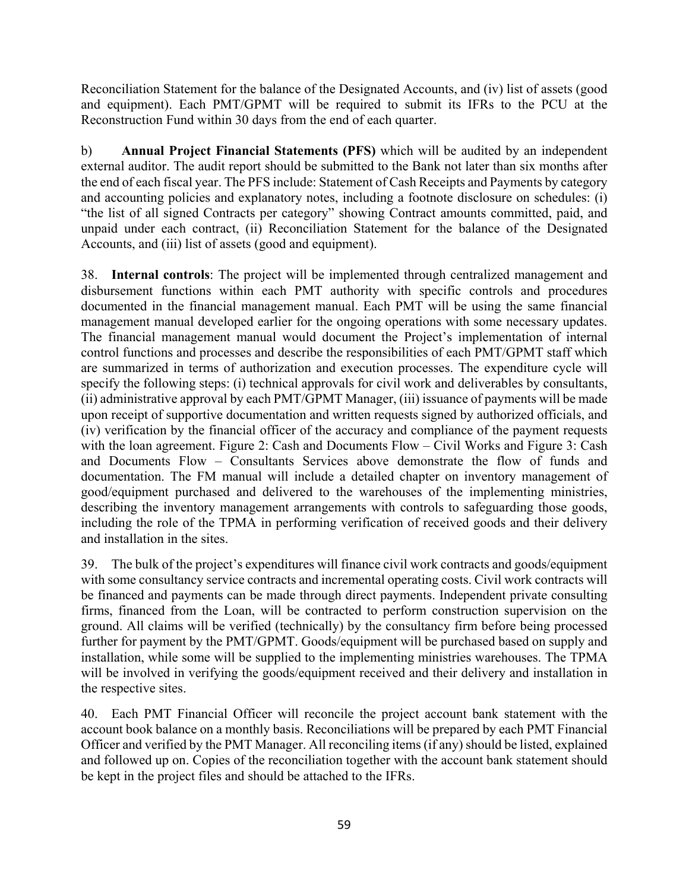Reconciliation Statement for the balance of the Designated Accounts, and (iv) list of assets (good and equipment). Each PMT/GPMT will be required to submit its IFRs to the PCU at the Reconstruction Fund within 30 days from the end of each quarter.

b) **Annual Project Financial Statements (PFS)** which will be audited by an independent external auditor. The audit report should be submitted to the Bank not later than six months after the end of each fiscal year. The PFS include: Statement of Cash Receipts and Payments by category and accounting policies and explanatory notes, including a footnote disclosure on schedules: (i) "the list of all signed Contracts per category" showing Contract amounts committed, paid, and unpaid under each contract, (ii) Reconciliation Statement for the balance of the Designated Accounts, and (iii) list of assets (good and equipment).

38. **Internal controls**: The project will be implemented through centralized management and disbursement functions within each PMT authority with specific controls and procedures documented in the financial management manual. Each PMT will be using the same financial management manual developed earlier for the ongoing operations with some necessary updates. The financial management manual would document the Project's implementation of internal control functions and processes and describe the responsibilities of each PMT/GPMT staff which are summarized in terms of authorization and execution processes. The expenditure cycle will specify the following steps: (i) technical approvals for civil work and deliverables by consultants, (ii) administrative approval by each PMT/GPMT Manager, (iii) issuance of payments will be made upon receipt of supportive documentation and written requests signed by authorized officials, and (iv) verification by the financial officer of the accuracy and compliance of the payment requests with the loan agreement. Figure 2: Cash and Documents Flow – Civil Works and Figure 3: Cash and Documents Flow – Consultants Services above demonstrate the flow of funds and documentation. The FM manual will include a detailed chapter on inventory management of good/equipment purchased and delivered to the warehouses of the implementing ministries, describing the inventory management arrangements with controls to safeguarding those goods, including the role of the TPMA in performing verification of received goods and their delivery and installation in the sites.

39. The bulk of the project's expenditures will finance civil work contracts and goods/equipment with some consultancy service contracts and incremental operating costs. Civil work contracts will be financed and payments can be made through direct payments. Independent private consulting firms, financed from the Loan, will be contracted to perform construction supervision on the ground. All claims will be verified (technically) by the consultancy firm before being processed further for payment by the PMT/GPMT. Goods/equipment will be purchased based on supply and installation, while some will be supplied to the implementing ministries warehouses. The TPMA will be involved in verifying the goods/equipment received and their delivery and installation in the respective sites.

40. Each PMT Financial Officer will reconcile the project account bank statement with the account book balance on a monthly basis. Reconciliations will be prepared by each PMT Financial Officer and verified by the PMT Manager. All reconciling items (if any) should be listed, explained and followed up on. Copies of the reconciliation together with the account bank statement should be kept in the project files and should be attached to the IFRs.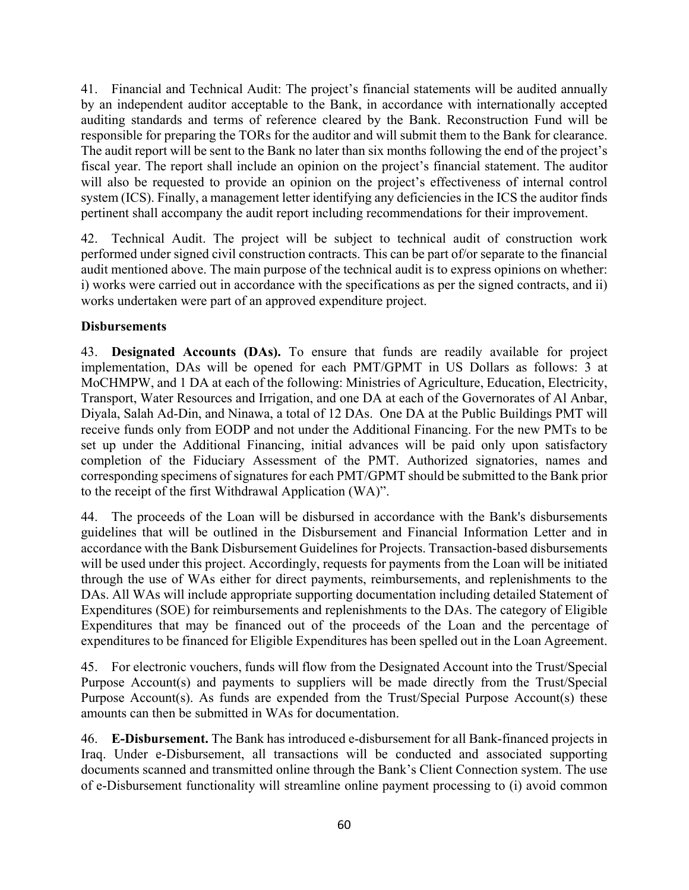41. Financial and Technical Audit: The project's financial statements will be audited annually by an independent auditor acceptable to the Bank, in accordance with internationally accepted auditing standards and terms of reference cleared by the Bank. Reconstruction Fund will be responsible for preparing the TORs for the auditor and will submit them to the Bank for clearance. The audit report will be sent to the Bank no later than six months following the end of the project's fiscal year. The report shall include an opinion on the project's financial statement. The auditor will also be requested to provide an opinion on the project's effectiveness of internal control system (ICS). Finally, a management letter identifying any deficiencies in the ICS the auditor finds pertinent shall accompany the audit report including recommendations for their improvement.

42. Technical Audit. The project will be subject to technical audit of construction work performed under signed civil construction contracts. This can be part of/or separate to the financial audit mentioned above. The main purpose of the technical audit is to express opinions on whether: i) works were carried out in accordance with the specifications as per the signed contracts, and ii) works undertaken were part of an approved expenditure project.

# **Disbursements**

43. **Designated Accounts (DAs).** To ensure that funds are readily available for project implementation, DAs will be opened for each PMT/GPMT in US Dollars as follows: 3 at MoCHMPW, and 1 DA at each of the following: Ministries of Agriculture, Education, Electricity, Transport, Water Resources and Irrigation, and one DA at each of the Governorates of Al Anbar, Diyala, Salah Ad-Din, and Ninawa, a total of 12 DAs. One DA at the Public Buildings PMT will receive funds only from EODP and not under the Additional Financing. For the new PMTs to be set up under the Additional Financing, initial advances will be paid only upon satisfactory completion of the Fiduciary Assessment of the PMT. Authorized signatories, names and corresponding specimens of signatures for each PMT/GPMT should be submitted to the Bank prior to the receipt of the first Withdrawal Application (WA)".

44. The proceeds of the Loan will be disbursed in accordance with the Bank's disbursements guidelines that will be outlined in the Disbursement and Financial Information Letter and in accordance with the Bank Disbursement Guidelines for Projects. Transaction-based disbursements will be used under this project. Accordingly, requests for payments from the Loan will be initiated through the use of WAs either for direct payments, reimbursements, and replenishments to the DAs. All WAs will include appropriate supporting documentation including detailed Statement of Expenditures (SOE) for reimbursements and replenishments to the DAs. The category of Eligible Expenditures that may be financed out of the proceeds of the Loan and the percentage of expenditures to be financed for Eligible Expenditures has been spelled out in the Loan Agreement.

45. For electronic vouchers, funds will flow from the Designated Account into the Trust/Special Purpose Account(s) and payments to suppliers will be made directly from the Trust/Special Purpose Account(s). As funds are expended from the Trust/Special Purpose Account(s) these amounts can then be submitted in WAs for documentation.

46. **E-Disbursement.** The Bank has introduced e-disbursement for all Bank-financed projects in Iraq. Under e-Disbursement, all transactions will be conducted and associated supporting documents scanned and transmitted online through the Bank's Client Connection system. The use of e-Disbursement functionality will streamline online payment processing to (i) avoid common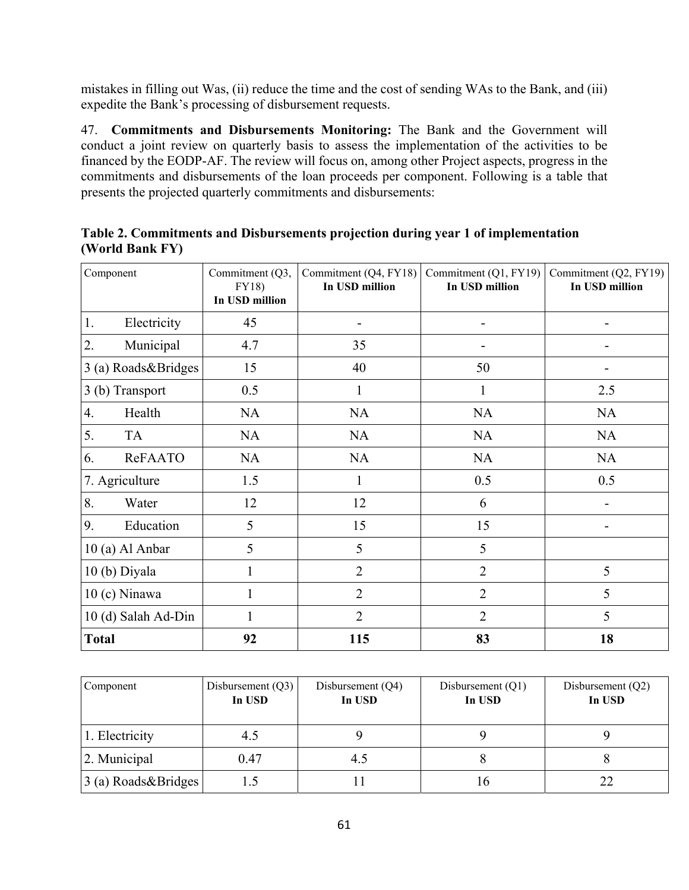mistakes in filling out Was, (ii) reduce the time and the cost of sending WAs to the Bank, and (iii) expedite the Bank's processing of disbursement requests.

47. **Commitments and Disbursements Monitoring:** The Bank and the Government will conduct a joint review on quarterly basis to assess the implementation of the activities to be financed by the EODP-AF. The review will focus on, among other Project aspects, progress in the commitments and disbursements of the loan proceeds per component. Following is a table that presents the projected quarterly commitments and disbursements:

| Component                  | Commitment (Q3,<br><b>FY18</b> )<br>In USD million | Commitment (Q4, FY18)<br>In USD million | Commitment (Q1, FY19)<br>In USD million | Commitment (Q2, FY19)<br>In USD million |
|----------------------------|----------------------------------------------------|-----------------------------------------|-----------------------------------------|-----------------------------------------|
| 1.<br>Electricity          | 45                                                 |                                         |                                         |                                         |
| 2.<br>Municipal            | 4.7                                                | 35                                      |                                         |                                         |
| 3 (a) Roads&Bridges        | 15                                                 | 40                                      | 50                                      |                                         |
| 3 (b) Transport            | 0.5                                                | 1                                       | 1                                       | 2.5                                     |
| $\overline{4}$ .<br>Health | NA                                                 | <b>NA</b>                               | <b>NA</b>                               | <b>NA</b>                               |
| 5.<br><b>TA</b>            | <b>NA</b>                                          | <b>NA</b>                               | <b>NA</b>                               | <b>NA</b>                               |
| ReFAATO<br>6.              | NA                                                 | <b>NA</b>                               | <b>NA</b>                               | <b>NA</b>                               |
| 7. Agriculture             | 1.5                                                | $\mathbf{1}$                            | 0.5                                     | 0.5                                     |
| 8.<br>Water                | 12                                                 | 12                                      | 6                                       |                                         |
| 9.<br>Education            | 5                                                  | 15                                      | 15                                      |                                         |
| 10 (a) Al Anbar            | 5                                                  | 5                                       | 5                                       |                                         |
| 10(b) Diyala               | 1                                                  | $\overline{2}$                          | $\overline{2}$                          | 5                                       |
| $10(c)$ Ninawa             | 1                                                  | $\overline{2}$                          | $\overline{2}$                          | 5                                       |
| 10 (d) Salah Ad-Din        | 1                                                  | $\overline{2}$                          | $\overline{2}$                          | 5                                       |
| <b>Total</b>               | 92                                                 | 115                                     | 83                                      | 18                                      |

**Table 2. Commitments and Disbursements projection during year 1 of implementation (World Bank FY)** 

| Component                                        | Disbursement $(Q3)$<br>In USD | Disbursement (Q4)<br>In USD | Disbursement $(Q1)$<br>In USD | Disbursement (Q2)<br>In USD |
|--------------------------------------------------|-------------------------------|-----------------------------|-------------------------------|-----------------------------|
| 1. Electricity                                   | 4.5                           |                             |                               |                             |
| 2. Municipal                                     | 0.47                          | 4.5                         |                               |                             |
| $\left  \frac{3}{2} \right $ (a) Roads & Bridges |                               |                             |                               |                             |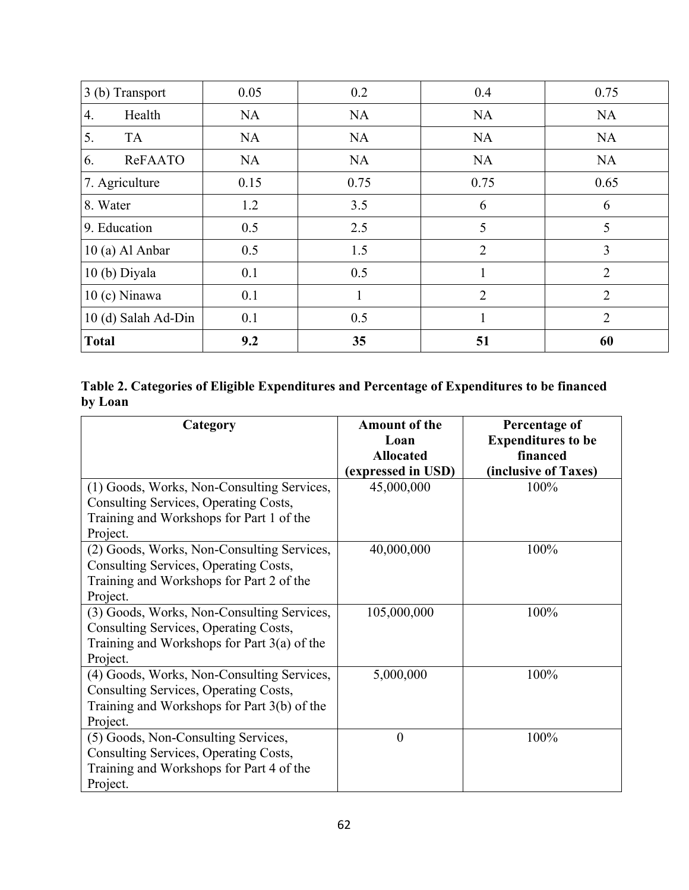| 3 (b) Transport     | 0.05      | 0.2       | 0.4            | 0.75           |
|---------------------|-----------|-----------|----------------|----------------|
| Health<br>4.        | <b>NA</b> | <b>NA</b> | <b>NA</b>      | <b>NA</b>      |
| 5.<br><b>TA</b>     | NA        | <b>NA</b> | <b>NA</b>      | <b>NA</b>      |
| 6.<br>ReFAATO       | <b>NA</b> | <b>NA</b> | <b>NA</b>      | <b>NA</b>      |
| 7. Agriculture      | 0.15      | 0.75      | 0.75           | 0.65           |
| 8. Water            | 1.2       | 3.5       | 6              | 6              |
| 9. Education        | 0.5       | 2.5       | 5              | 5              |
| 10 (a) Al Anbar     | 0.5       | 1.5       | $\overline{2}$ | 3              |
| 10 (b) Diyala       | 0.1       | 0.5       |                | $\overline{2}$ |
| $10(c)$ Ninawa      | 0.1       |           | $\overline{2}$ | $\overline{2}$ |
| 10 (d) Salah Ad-Din | 0.1       | 0.5       | 1              | $\overline{2}$ |
| <b>Total</b>        | 9.2       | 35        | 51             | 60             |

|         | Table 2. Categories of Eligible Expenditures and Percentage of Expenditures to be financed |  |
|---------|--------------------------------------------------------------------------------------------|--|
| by Loan |                                                                                            |  |

| Category                                      | <b>Amount of the</b> | Percentage of             |
|-----------------------------------------------|----------------------|---------------------------|
|                                               | Loan                 | <b>Expenditures to be</b> |
|                                               | <b>Allocated</b>     | financed                  |
|                                               | (expressed in USD)   | (inclusive of Taxes)      |
| (1) Goods, Works, Non-Consulting Services,    | 45,000,000           | 100%                      |
| Consulting Services, Operating Costs,         |                      |                           |
| Training and Workshops for Part 1 of the      |                      |                           |
| Project.                                      |                      |                           |
| (2) Goods, Works, Non-Consulting Services,    | 40,000,000           | 100%                      |
| Consulting Services, Operating Costs,         |                      |                           |
| Training and Workshops for Part 2 of the      |                      |                           |
| Project.                                      |                      |                           |
| (3) Goods, Works, Non-Consulting Services,    | 105,000,000          | 100%                      |
| Consulting Services, Operating Costs,         |                      |                           |
| Training and Workshops for Part $3(a)$ of the |                      |                           |
| Project.                                      |                      |                           |
| (4) Goods, Works, Non-Consulting Services,    | 5,000,000            | 100%                      |
| Consulting Services, Operating Costs,         |                      |                           |
| Training and Workshops for Part 3(b) of the   |                      |                           |
| Project.                                      |                      |                           |
| (5) Goods, Non-Consulting Services,           | $\boldsymbol{0}$     | 100%                      |
| Consulting Services, Operating Costs,         |                      |                           |
| Training and Workshops for Part 4 of the      |                      |                           |
| Project.                                      |                      |                           |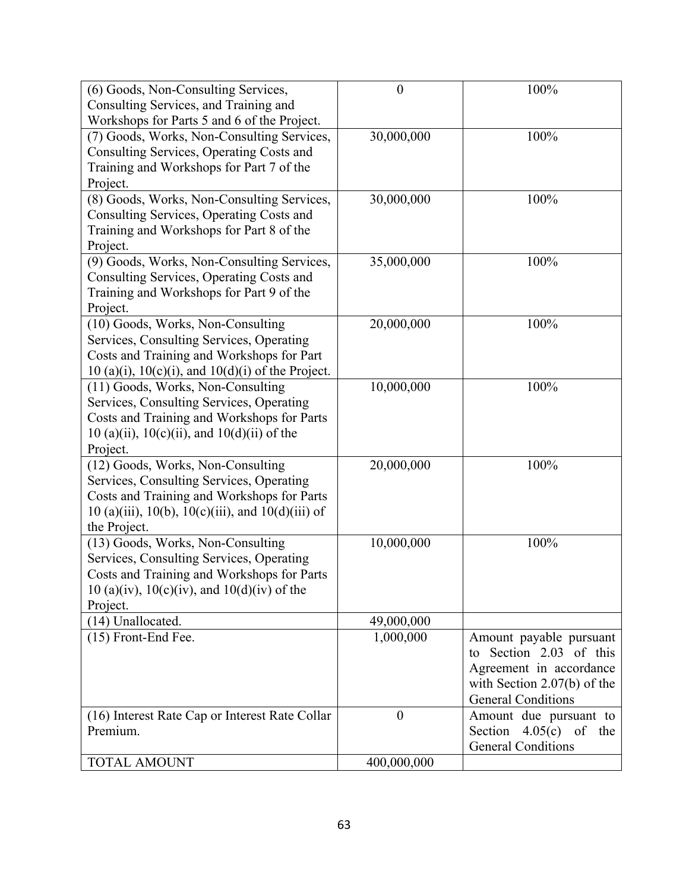| (6) Goods, Non-Consulting Services,                      | $\boldsymbol{0}$ | 100%                          |
|----------------------------------------------------------|------------------|-------------------------------|
| Consulting Services, and Training and                    |                  |                               |
| Workshops for Parts 5 and 6 of the Project.              |                  |                               |
| (7) Goods, Works, Non-Consulting Services,               | 30,000,000       | 100%                          |
| Consulting Services, Operating Costs and                 |                  |                               |
| Training and Workshops for Part 7 of the                 |                  |                               |
| Project.                                                 |                  |                               |
| (8) Goods, Works, Non-Consulting Services,               | 30,000,000       | 100%                          |
| Consulting Services, Operating Costs and                 |                  |                               |
| Training and Workshops for Part 8 of the                 |                  |                               |
| Project.                                                 |                  |                               |
| (9) Goods, Works, Non-Consulting Services,               | 35,000,000       | 100%                          |
| Consulting Services, Operating Costs and                 |                  |                               |
| Training and Workshops for Part 9 of the                 |                  |                               |
| Project.                                                 |                  |                               |
| (10) Goods, Works, Non-Consulting                        | 20,000,000       | 100%                          |
| Services, Consulting Services, Operating                 |                  |                               |
| Costs and Training and Workshops for Part                |                  |                               |
| $10(a)(i)$ , $10(c)(i)$ , and $10(d)(i)$ of the Project. |                  |                               |
| (11) Goods, Works, Non-Consulting                        | 10,000,000       | 100%                          |
| Services, Consulting Services, Operating                 |                  |                               |
| Costs and Training and Workshops for Parts               |                  |                               |
| $10(a)(ii)$ , $10(c)(ii)$ , and $10(d)(ii)$ of the       |                  |                               |
| Project.                                                 |                  |                               |
| (12) Goods, Works, Non-Consulting                        | 20,000,000       | 100%                          |
| Services, Consulting Services, Operating                 |                  |                               |
| Costs and Training and Workshops for Parts               |                  |                               |
| 10 (a)(iii), 10(b), 10(c)(iii), and 10(d)(iii) of        |                  |                               |
| the Project.                                             |                  |                               |
| (13) Goods, Works, Non-Consulting                        | 10,000,000       | 100%                          |
| Services, Consulting Services, Operating                 |                  |                               |
| Costs and Training and Workshops for Parts               |                  |                               |
| $10$ (a)(iv), $10(c)$ (iv), and $10(d)$ (iv) of the      |                  |                               |
| Project.                                                 |                  |                               |
| (14) Unallocated.                                        | 49,000,000       |                               |
| (15) Front-End Fee.                                      | 1,000,000        | Amount payable pursuant       |
|                                                          |                  | to Section 2.03 of this       |
|                                                          |                  | Agreement in accordance       |
|                                                          |                  | with Section $2.07(b)$ of the |
|                                                          |                  | <b>General Conditions</b>     |
| (16) Interest Rate Cap or Interest Rate Collar           | $\boldsymbol{0}$ | Amount due pursuant to        |
| Premium.                                                 |                  | Section $4.05(c)$ of the      |
|                                                          |                  | <b>General Conditions</b>     |
| <b>TOTAL AMOUNT</b>                                      | 400,000,000      |                               |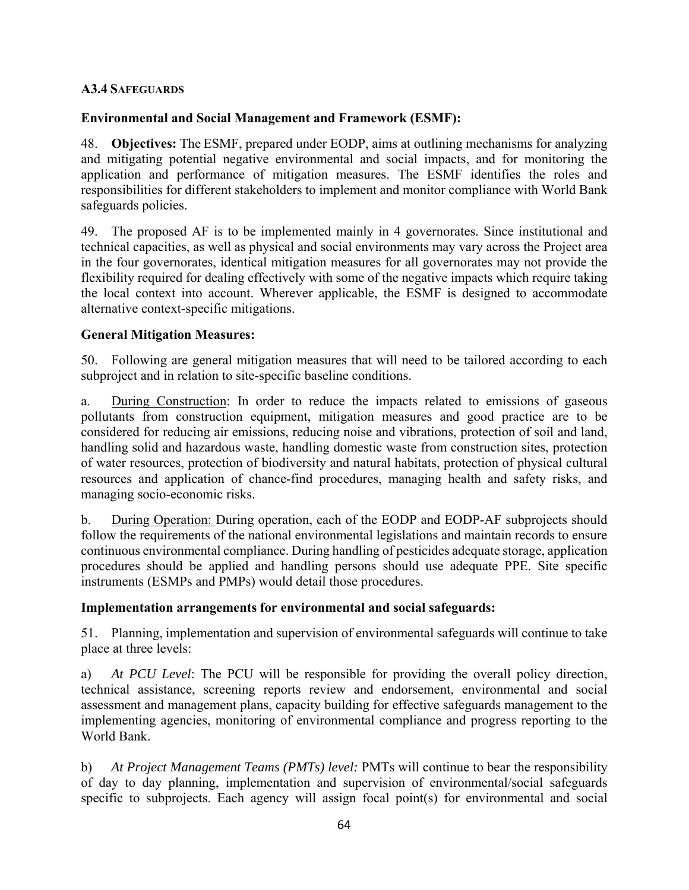### **A3.4 SAFEGUARDS**

## **Environmental and Social Management and Framework (ESMF):**

48. **Objectives:** The ESMF, prepared under EODP, aims at outlining mechanisms for analyzing and mitigating potential negative environmental and social impacts, and for monitoring the application and performance of mitigation measures. The ESMF identifies the roles and responsibilities for different stakeholders to implement and monitor compliance with World Bank safeguards policies.

49. The proposed AF is to be implemented mainly in 4 governorates. Since institutional and technical capacities, as well as physical and social environments may vary across the Project area in the four governorates, identical mitigation measures for all governorates may not provide the flexibility required for dealing effectively with some of the negative impacts which require taking the local context into account. Wherever applicable, the ESMF is designed to accommodate alternative context-specific mitigations.

## **General Mitigation Measures:**

50. Following are general mitigation measures that will need to be tailored according to each subproject and in relation to site-specific baseline conditions.

a. During Construction: In order to reduce the impacts related to emissions of gaseous pollutants from construction equipment, mitigation measures and good practice are to be considered for reducing air emissions, reducing noise and vibrations, protection of soil and land, handling solid and hazardous waste, handling domestic waste from construction sites, protection of water resources, protection of biodiversity and natural habitats, protection of physical cultural resources and application of chance-find procedures, managing health and safety risks, and managing socio-economic risks.

b. During Operation: During operation, each of the EODP and EODP-AF subprojects should follow the requirements of the national environmental legislations and maintain records to ensure continuous environmental compliance. During handling of pesticides adequate storage, application procedures should be applied and handling persons should use adequate PPE. Site specific instruments (ESMPs and PMPs) would detail those procedures.

#### **Implementation arrangements for environmental and social safeguards:**

51. Planning, implementation and supervision of environmental safeguards will continue to take place at three levels:

a) *At PCU Level*: The PCU will be responsible for providing the overall policy direction, technical assistance, screening reports review and endorsement, environmental and social assessment and management plans, capacity building for effective safeguards management to the implementing agencies, monitoring of environmental compliance and progress reporting to the World Bank.

b) *At Project Management Teams (PMTs) level:* PMTs will continue to bear the responsibility of day to day planning, implementation and supervision of environmental/social safeguards specific to subprojects. Each agency will assign focal point(s) for environmental and social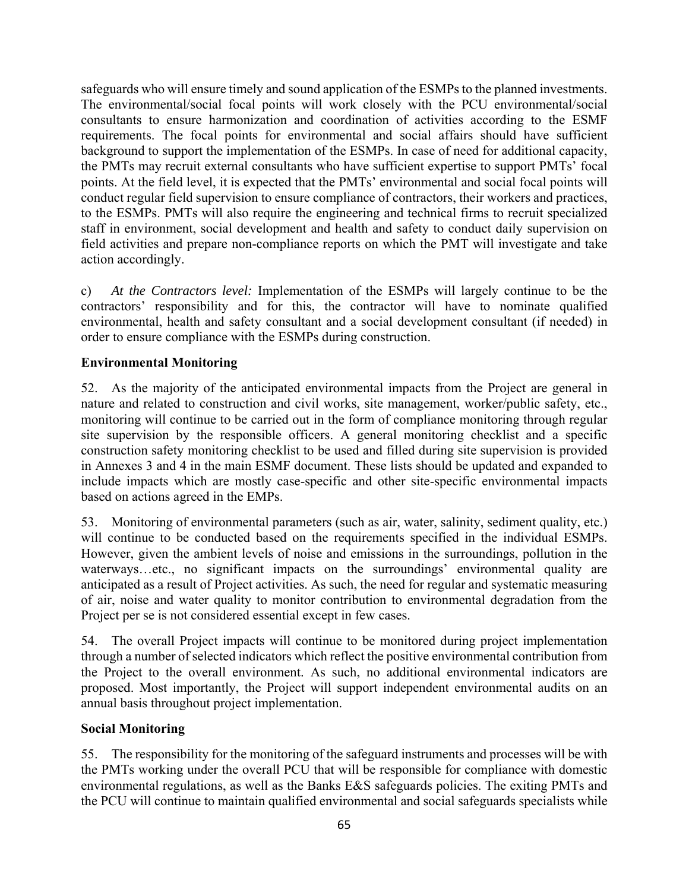safeguards who will ensure timely and sound application of the ESMPs to the planned investments. The environmental/social focal points will work closely with the PCU environmental/social consultants to ensure harmonization and coordination of activities according to the ESMF requirements. The focal points for environmental and social affairs should have sufficient background to support the implementation of the ESMPs. In case of need for additional capacity, the PMTs may recruit external consultants who have sufficient expertise to support PMTs' focal points. At the field level, it is expected that the PMTs' environmental and social focal points will conduct regular field supervision to ensure compliance of contractors, their workers and practices, to the ESMPs. PMTs will also require the engineering and technical firms to recruit specialized staff in environment, social development and health and safety to conduct daily supervision on field activities and prepare non-compliance reports on which the PMT will investigate and take action accordingly.

c) *At the Contractors level:* Implementation of the ESMPs will largely continue to be the contractors' responsibility and for this, the contractor will have to nominate qualified environmental, health and safety consultant and a social development consultant (if needed) in order to ensure compliance with the ESMPs during construction.

# **Environmental Monitoring**

52. As the majority of the anticipated environmental impacts from the Project are general in nature and related to construction and civil works, site management, worker/public safety, etc., monitoring will continue to be carried out in the form of compliance monitoring through regular site supervision by the responsible officers. A general monitoring checklist and a specific construction safety monitoring checklist to be used and filled during site supervision is provided in Annexes 3 and 4 in the main ESMF document. These lists should be updated and expanded to include impacts which are mostly case-specific and other site-specific environmental impacts based on actions agreed in the EMPs.

53. Monitoring of environmental parameters (such as air, water, salinity, sediment quality, etc.) will continue to be conducted based on the requirements specified in the individual ESMPs. However, given the ambient levels of noise and emissions in the surroundings, pollution in the waterways...etc., no significant impacts on the surroundings' environmental quality are anticipated as a result of Project activities. As such, the need for regular and systematic measuring of air, noise and water quality to monitor contribution to environmental degradation from the Project per se is not considered essential except in few cases.

54. The overall Project impacts will continue to be monitored during project implementation through a number of selected indicators which reflect the positive environmental contribution from the Project to the overall environment. As such, no additional environmental indicators are proposed. Most importantly, the Project will support independent environmental audits on an annual basis throughout project implementation.

#### **Social Monitoring**

55. The responsibility for the monitoring of the safeguard instruments and processes will be with the PMTs working under the overall PCU that will be responsible for compliance with domestic environmental regulations, as well as the Banks E&S safeguards policies. The exiting PMTs and the PCU will continue to maintain qualified environmental and social safeguards specialists while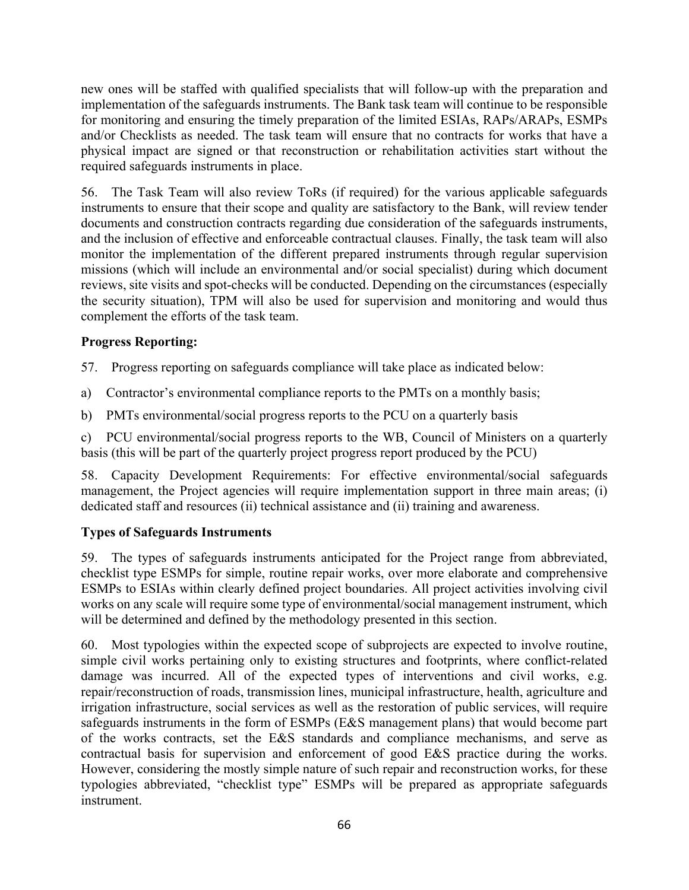new ones will be staffed with qualified specialists that will follow-up with the preparation and implementation of the safeguards instruments. The Bank task team will continue to be responsible for monitoring and ensuring the timely preparation of the limited ESIAs, RAPs/ARAPs, ESMPs and/or Checklists as needed. The task team will ensure that no contracts for works that have a physical impact are signed or that reconstruction or rehabilitation activities start without the required safeguards instruments in place.

56. The Task Team will also review ToRs (if required) for the various applicable safeguards instruments to ensure that their scope and quality are satisfactory to the Bank, will review tender documents and construction contracts regarding due consideration of the safeguards instruments, and the inclusion of effective and enforceable contractual clauses. Finally, the task team will also monitor the implementation of the different prepared instruments through regular supervision missions (which will include an environmental and/or social specialist) during which document reviews, site visits and spot-checks will be conducted. Depending on the circumstances (especially the security situation), TPM will also be used for supervision and monitoring and would thus complement the efforts of the task team.

## **Progress Reporting:**

57. Progress reporting on safeguards compliance will take place as indicated below:

a) Contractor's environmental compliance reports to the PMTs on a monthly basis;

b) PMTs environmental/social progress reports to the PCU on a quarterly basis

c) PCU environmental/social progress reports to the WB, Council of Ministers on a quarterly basis (this will be part of the quarterly project progress report produced by the PCU)

58. Capacity Development Requirements: For effective environmental/social safeguards management, the Project agencies will require implementation support in three main areas; (i) dedicated staff and resources (ii) technical assistance and (ii) training and awareness.

# **Types of Safeguards Instruments**

59. The types of safeguards instruments anticipated for the Project range from abbreviated, checklist type ESMPs for simple, routine repair works, over more elaborate and comprehensive ESMPs to ESIAs within clearly defined project boundaries. All project activities involving civil works on any scale will require some type of environmental/social management instrument, which will be determined and defined by the methodology presented in this section.

60. Most typologies within the expected scope of subprojects are expected to involve routine, simple civil works pertaining only to existing structures and footprints, where conflict-related damage was incurred. All of the expected types of interventions and civil works, e.g. repair/reconstruction of roads, transmission lines, municipal infrastructure, health, agriculture and irrigation infrastructure, social services as well as the restoration of public services, will require safeguards instruments in the form of ESMPs (E&S management plans) that would become part of the works contracts, set the E&S standards and compliance mechanisms, and serve as contractual basis for supervision and enforcement of good E&S practice during the works. However, considering the mostly simple nature of such repair and reconstruction works, for these typologies abbreviated, "checklist type" ESMPs will be prepared as appropriate safeguards instrument.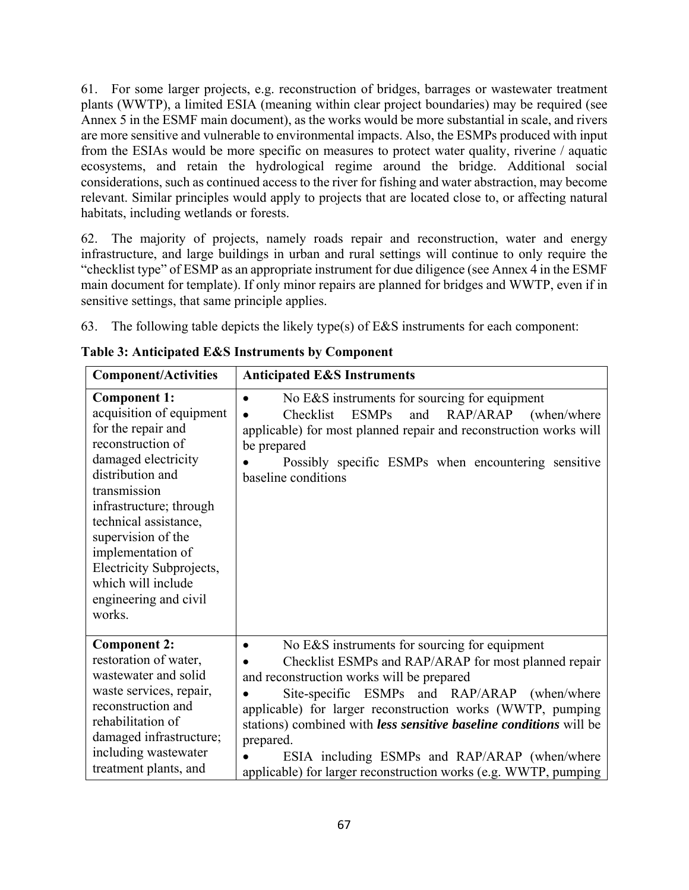61. For some larger projects, e.g. reconstruction of bridges, barrages or wastewater treatment plants (WWTP), a limited ESIA (meaning within clear project boundaries) may be required (see Annex 5 in the ESMF main document), as the works would be more substantial in scale, and rivers are more sensitive and vulnerable to environmental impacts. Also, the ESMPs produced with input from the ESIAs would be more specific on measures to protect water quality, riverine / aquatic ecosystems, and retain the hydrological regime around the bridge. Additional social considerations, such as continued access to the river for fishing and water abstraction, may become relevant. Similar principles would apply to projects that are located close to, or affecting natural habitats, including wetlands or forests.

62. The majority of projects, namely roads repair and reconstruction, water and energy infrastructure, and large buildings in urban and rural settings will continue to only require the "checklist type" of ESMP as an appropriate instrument for due diligence (see Annex 4 in the ESMF main document for template). If only minor repairs are planned for bridges and WWTP, even if in sensitive settings, that same principle applies.

63. The following table depicts the likely type(s) of E&S instruments for each component:

| <b>Component/Activities</b>                                                                                                                                                                                                                                                                                                               | <b>Anticipated E&amp;S Instruments</b>                                                                                                                                                                                                                                                                                                                                                               |
|-------------------------------------------------------------------------------------------------------------------------------------------------------------------------------------------------------------------------------------------------------------------------------------------------------------------------------------------|------------------------------------------------------------------------------------------------------------------------------------------------------------------------------------------------------------------------------------------------------------------------------------------------------------------------------------------------------------------------------------------------------|
| <b>Component 1:</b><br>acquisition of equipment<br>for the repair and<br>reconstruction of<br>damaged electricity<br>distribution and<br>transmission<br>infrastructure; through<br>technical assistance,<br>supervision of the<br>implementation of<br>Electricity Subprojects,<br>which will include<br>engineering and civil<br>works. | No E&S instruments for sourcing for equipment<br><b>ESMPs</b><br>Checklist<br>and RAP/ARAP (when/where<br>applicable) for most planned repair and reconstruction works will<br>be prepared<br>Possibly specific ESMPs when encountering sensitive<br>baseline conditions                                                                                                                             |
| <b>Component 2:</b><br>restoration of water,<br>wastewater and solid<br>waste services, repair,<br>reconstruction and<br>rehabilitation of<br>damaged infrastructure;<br>including wastewater                                                                                                                                             | No E&S instruments for sourcing for equipment<br>Checklist ESMPs and RAP/ARAP for most planned repair<br>and reconstruction works will be prepared<br>Site-specific ESMPs and RAP/ARAP (when/where<br>applicable) for larger reconstruction works (WWTP, pumping<br>stations) combined with less sensitive baseline conditions will be<br>prepared.<br>ESIA including ESMPs and RAP/ARAP (when/where |
| treatment plants, and                                                                                                                                                                                                                                                                                                                     | applicable) for larger reconstruction works (e.g. WWTP, pumping                                                                                                                                                                                                                                                                                                                                      |

**Table 3: Anticipated E&S Instruments by Component**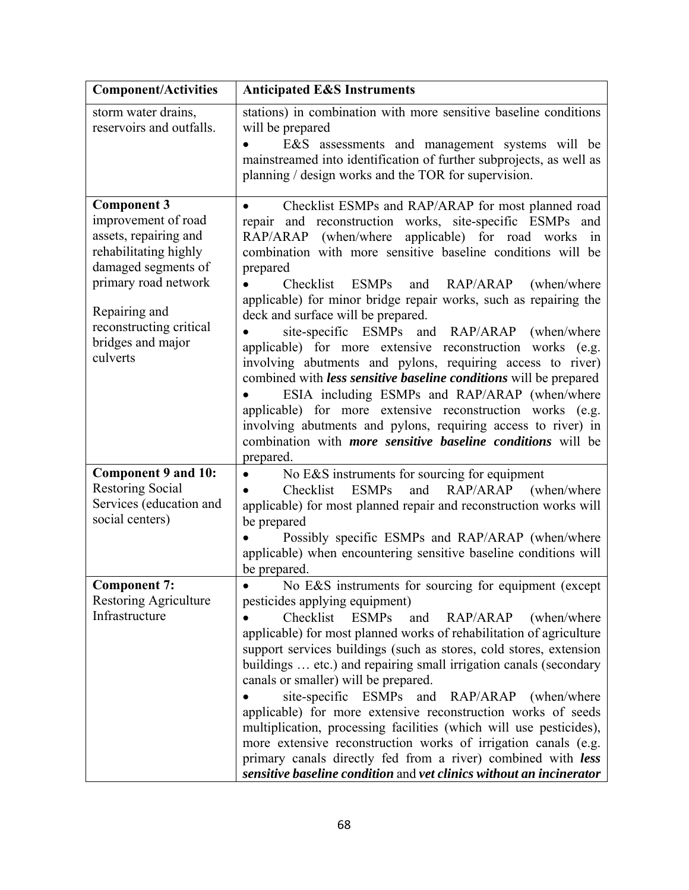| <b>Component/Activities</b>                                                                                                                                                                                             | <b>Anticipated E&amp;S Instruments</b>                                                                                                                                                                                                                                                                                                                                                                                                                                                                                                                                                                                                                                                                                                                                                                                                                                                                                                                          |
|-------------------------------------------------------------------------------------------------------------------------------------------------------------------------------------------------------------------------|-----------------------------------------------------------------------------------------------------------------------------------------------------------------------------------------------------------------------------------------------------------------------------------------------------------------------------------------------------------------------------------------------------------------------------------------------------------------------------------------------------------------------------------------------------------------------------------------------------------------------------------------------------------------------------------------------------------------------------------------------------------------------------------------------------------------------------------------------------------------------------------------------------------------------------------------------------------------|
| storm water drains,<br>reservoirs and outfalls.                                                                                                                                                                         | stations) in combination with more sensitive baseline conditions<br>will be prepared<br>E&S assessments and management systems will be<br>mainstreamed into identification of further subprojects, as well as<br>planning / design works and the TOR for supervision.                                                                                                                                                                                                                                                                                                                                                                                                                                                                                                                                                                                                                                                                                           |
| <b>Component 3</b><br>improvement of road<br>assets, repairing and<br>rehabilitating highly<br>damaged segments of<br>primary road network<br>Repairing and<br>reconstructing critical<br>bridges and major<br>culverts | Checklist ESMPs and RAP/ARAP for most planned road<br>$\bullet$<br>repair and reconstruction works, site-specific ESMPs and<br>RAP/ARAP (when/where<br>applicable) for road works in<br>combination with more sensitive baseline conditions will be<br>prepared<br>Checklist<br><b>ESMPs</b><br>and<br>RAP/ARAP<br>(when/where)<br>applicable) for minor bridge repair works, such as repairing the<br>deck and surface will be prepared.<br>site-specific ESMPs and RAP/ARAP<br>(when/where)<br>applicable) for more extensive reconstruction works (e.g.<br>involving abutments and pylons, requiring access to river)<br>combined with less sensitive baseline conditions will be prepared<br>ESIA including ESMPs and RAP/ARAP (when/where<br>applicable) for more extensive reconstruction works (e.g.<br>involving abutments and pylons, requiring access to river) in<br>combination with <i>more</i> sensitive baseline conditions will be<br>prepared. |
| <b>Component 9 and 10:</b><br><b>Restoring Social</b><br>Services (education and<br>social centers)                                                                                                                     | No E&S instruments for sourcing for equipment<br>$\bullet$<br>and RAP/ARAP (when/where<br>Checklist ESMPs<br>applicable) for most planned repair and reconstruction works will<br>be prepared<br>Possibly specific ESMPs and RAP/ARAP (when/where<br>applicable) when encountering sensitive baseline conditions will<br>be prepared.                                                                                                                                                                                                                                                                                                                                                                                                                                                                                                                                                                                                                           |
| <b>Component 7:</b><br><b>Restoring Agriculture</b><br>Infrastructure                                                                                                                                                   | No E&S instruments for sourcing for equipment (except<br>pesticides applying equipment)<br>Checklist ESMPs<br>and<br>RAP/ARAP<br>(when/where)<br>applicable) for most planned works of rehabilitation of agriculture<br>support services buildings (such as stores, cold stores, extension<br>buildings  etc.) and repairing small irrigation canals (secondary<br>canals or smaller) will be prepared.<br>site-specific ESMPs and RAP/ARAP<br>(when/where)<br>applicable) for more extensive reconstruction works of seeds<br>multiplication, processing facilities (which will use pesticides),<br>more extensive reconstruction works of irrigation canals (e.g.<br>primary canals directly fed from a river) combined with less<br>sensitive baseline condition and vet clinics without an incinerator                                                                                                                                                      |